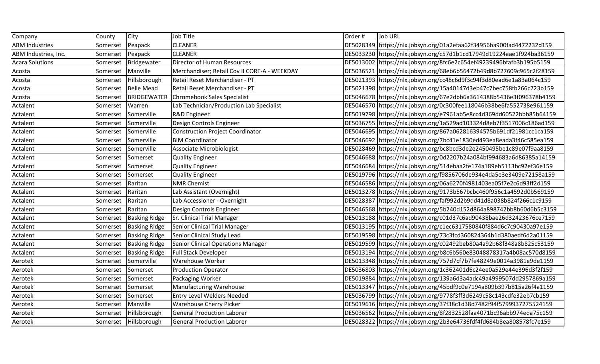| Company                | County   | City                  | Job Title                                      | Order# | Job URL                                                                |
|------------------------|----------|-----------------------|------------------------------------------------|--------|------------------------------------------------------------------------|
| <b>ABM Industries</b>  | Somerset | Peapack               | <b>CLEANER</b>                                 |        | DE5028349 https://nlx.jobsyn.org/01a2efaa62f34956ba900fad4472232d159   |
| ABM Industries, Inc.   | Somerset | Peapack               | <b>CLEANER</b>                                 |        | DE5033230 https://nlx.jobsyn.org/c57d1b1cd17949d19224aae1f924ba36159   |
| <b>Acara Solutions</b> | Somerset | Bridgewater           | Director of Human Resources                    |        | DE5013002 https://nlx.jobsyn.org/8fc6e2c654ef49239496bfafb3b195b5159   |
| Acosta                 | Somerset | Manville              | Merchandiser; Retail Cov II CORE-A - WEEKDAY   |        | DE5036521 https://nlx.jobsyn.org/68eb6b56472b49d8b727609c965c2f28159   |
| Acosta                 | Somerset | Hillsborough          | Retail Reset Merchandiser - PT                 |        | DE5021393 https://nlx.jobsyn.org/cc48c6d9f3c94f3d80ead6e1a83a064c159   |
| Acosta                 | Somerset | <b>Belle Mead</b>     | Retail Reset Merchandiser - PT                 |        | DE5021398 https://nlx.jobsyn.org/15a40147d3eb47c7bec758fb266c723b159   |
| Acosta                 | Somerset |                       | <b>BRIDGEWATER Chromebook Sales Specialist</b> |        | DE5046678 https://nlx.jobsyn.org/67e2dbb6a3614388b5436e3f096378b4159   |
| Actalent               | Somerset | Warren                | Lab Technician/Production Lab Specialist       |        | DE5046570 https://nlx.jobsyn.org/0c300fee118046b38be6fa552738e961159   |
| Actalent               | Somerset | Somerville            | R&D Engineer                                   |        | DE5019798 https://nlx.jobsyn.org/e7961ab5e8cc4d369dd60522bbb85b64159   |
| Actalent               | Somerset | Somerville            | Design Controls Engineer                       |        | DE5036755 https://nlx.jobsyn.org/1a529ad103324d8eb7f3517006c186ad159   |
| Actalent               | Somerset | Somerville            | Construction Project Coordinator               |        | DE5046695 https://nlx.jobsyn.org/867a062816394575b691df21981cc1ca159   |
| Actalent               | Somerset | Somerville            | <b>BIM Coordinator</b>                         |        | DE5046692 https://nlx.jobsyn.org/7bc41e1830ed493ea8eada3f46c585ea159   |
| Actalent               | Somerset | Somerville            | Associate Microbiologist                       |        | DE5028469 https://nlx.jobsyn.org/bc8bcd3de2e2450495be1c89e07f9aa8159   |
| Actalent               | Somerset | Somerset              | Quality Engineer                               |        | DE5046688 https://nlx.jobsyn.org/0d2207b24a084bf994683a6d86385a14159   |
| Actalent               | Somerset | Somerset              | Quality Engineer                               |        | DE5046684 https://nlx.jobsyn.org/514ebaa2fe174a189eb5113bc92ef36e159   |
| Actalent               | Somerset | Somerset              | Quality Engineer                               |        | DE5019796 https://nlx.jobsyn.org/f9856706de934e4da5e3e3409e72158a159   |
| Actalent               | Somerset | Raritan               | <b>NMR Chemist</b>                             |        | DE5046586   https://nlx.jobsyn.org/06a6270f4981403ea05f7e2c6d93ff2d159 |
| Actalent               | Somerset | Raritan               | Lab Assistant (Overnight)                      |        | DE5013278 https://nlx.jobsyn.org/9173b567bcbc460f956c1a4592d0b569159   |
| Actalent               | Somerset | Raritan               | Lab Accessioner - Overnight                    |        | DE5028387 https://nlx.jobsyn.org/faf992d2b9dd41d8a038b824f266c1c9159   |
| Actalent               | Somerset | Raritan               | Design Controls Engineer                       |        | DE5046568 https://nlx.jobsyn.org/5b240d152d864a898742bb8b60d6b5c3159   |
| Actalent               | Somerset | <b>Basking Ridge</b>  | Sr. Clinical Trial Manager                     |        | DE5013188 https://nlx.jobsyn.org/c01d37c6ad90438bae26d32423676ce7159   |
| Actalent               | Somerset | <b>Basking Ridge</b>  | Senior Clinical Trial Manager                  |        | DE5013195 https://nlx.jobsyn.org/c1ec6317580840f884d6c7c90430a97e159   |
| Actalent               | Somerset | <b>Basking Ridge</b>  | Senior Clinical Study Lead                     |        | DE5019598 https://nlx.jobsyn.org/73c3fcd360824364b1d380aedf6d2a01159   |
| Actalent               | Somerset | <b>Basking Ridge</b>  | <b>Senior Clinical Operations Manager</b>      |        | DE5019599 https://nlx.jobsyn.org/c02492beb80a4a92b68f348a8b825c53159   |
| Actalent               | Somerset | <b>Basking Ridge</b>  | <b>Full Stack Developer</b>                    |        | DE5013194 https://nlx.jobsyn.org/b8c6b560e83048878317a4b08ac570d8159   |
| Aerotek                | Somerset | Somerville            | <b>Warehouse Worker</b>                        |        | DE5013348 https://nlx.jobsyn.org/757d7cf7b7fe48249e0014a3981e9de1159   |
| Aerotek                | Somerset | Somerset              | <b>Production Operator</b>                     |        | DE5036803 https://nlx.jobsyn.org/1c362401d6c24ee0a529e44e396d3f2f159   |
| Aerotek                | Somerset | Somerset              | Packaging Worker                               |        | DE5019884 https://nlx.jobsyn.org/139a6d3a4adc49a4999507dd2957869a159   |
| Aerotek                | Somerset | Somerset              | Manufacturing Warehouse                        |        | DE5013347 https://nlx.jobsyn.org/45bdf9c0e7194a809b397b815a26f4a1159   |
| Aerotek                | Somerset | Somerset              | <b>Entry Level Welders Needed</b>              |        | DE5036799 https://nlx.jobsyn.org/9778f3ff3d6249c58c143cdfe32eb7cb159   |
| Aerotek                | Somerset | Manville              | <b>Warehouse Cherry Picker</b>                 |        | DE5019616 https://nlx.jobsyn.org/37f38c1d38d7482f94f5799937275524159   |
| Aerotek                | Somerset | Hillsborough          | General Production Laborer                     |        | DE5036562 https://nlx.jobsyn.org/8f2832528faa4071bc96abb974eda75c159   |
| Aerotek                |          | Somerset Hillsborough | <b>General Production Laborer</b>              |        | DE5028322 https://nlx.jobsyn.org/2b3e64736fdf4fd684b8ea808578fc7e159   |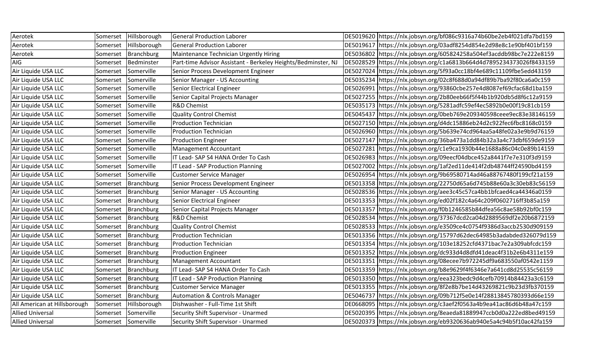| Aerotek                      | Somerset | Hillsborough        | General Production Laborer                                    | DE5019620 https://nlx.jobsyn.org/bf086c9316a74b60be2eb4f021dfa7bd159 |
|------------------------------|----------|---------------------|---------------------------------------------------------------|----------------------------------------------------------------------|
| Aerotek                      | Somerset | Hillsborough        | <b>General Production Laborer</b>                             | DE5019617 https://nlx.jobsyn.org/03adf8254d854e2d98e8c1e90bf401bf159 |
| Aerotek                      | Somerset | <b>Branchburg</b>   | Maintenance Technician Urgently Hiring                        | DE5036802 https://nlx.jobsyn.org/605824258a504ef3acddb98bc7e222e8159 |
| AIG                          | Somerset | Bedminster          | Part-time Advisor Assistant - Berkeley Heights/Bedminster, NJ | DE5028529 https://nlx.jobsyn.org/c1a6813b664d4d7895234373026f8433159 |
| Air Liquide USA LLC          | Somerset | Somerville          | Senior Process Development Engineer                           | DE5027024 https://nlx.jobsyn.org/5f93a0cc18bf4e689c11109fbe5edd43159 |
| Air Liquide USA LLC          | Somerset | Somerville          | Senior Manager - US Accounting                                | DE5035234 https://nlx.jobsyn.org/02c8f688d0a94df89b7ba92f80ca6a0c159 |
| Air Liquide USA LLC          | Somerset | Somerville          | Senior Electrical Engineer                                    | DE5026991 https://nlx.jobsyn.org/93860cbe257e4d8087ef69cfac68d1ba159 |
| Air Liquide USA LLC          | Somerset | Somerville          | Senior Capital Projects Manager                               | DE5027255 https://nlx.jobsyn.org/2b80eeb66f5f44b1b920db5d8f6c12a9159 |
| Air Liquide USA LLC          | Somerset | Somerville          | <b>R&amp;D Chemist</b>                                        | DE5035173 https://nlx.jobsyn.org/5281adfc59ef4ec5892b0e00f19c81cb159 |
| Air Liquide USA LLC          | Somerset | Somerville          | Quality Control Chemist                                       | DE5045437 https://nlx.jobsyn.org/0beb769e209340598ceee9ec83e38146159 |
| Air Liquide USA LLC          | Somerset | Somerville          | <b>Production Technician</b>                                  | DE5027150 https://nlx.jobsyn.org/d4dc15886eb24d2c922fec6fbc8168c0159 |
| Air Liquide USA LLC          | Somerset | Somerville          | <b>Production Technician</b>                                  | DE5026960 https://nlx.jobsyn.org/5b639e74cd964aa5a48fe02a3e9b9d76159 |
| Air Liquide USA LLC          | Somerset | Somerville          | Production Engineer                                           | DE5027147 https://nlx.jobsyn.org/36ba473a1dd84b32a3a4c73dbf659de9159 |
| Air Liquide USA LLC          | Somerset | Somerville          | Management Accountant                                         | DE5027281 https://nlx.jobsyn.org/c1e9ca1930b44e1688a86c04c0e89b14159 |
| Air Liquide USA LLC          | Somerset | Somerville          | IT Lead-SAP S4 HANA Order To Cash                             | DE5026983 https://nlx.jobsyn.org/09eecf04dbce452a8441f7e7e310f3d9159 |
| Air Liquide USA LLC          | Somerset | Somerville          | IT Lead - SAP Production Planning                             | DE5027002 https://nlx.jobsyn.org/1af2ed11de414f2db48744ff24590bd4159 |
| Air Liquide USA LLC          | Somerset | Somerville          | <b>Customer Service Manager</b>                               | DE5026954 https://nlx.jobsyn.org/9b69580714ad46a88767480f199cf21a159 |
| Air Liquide USA LLC          | Somerset | Branchburg          | Senior Process Development Engineer                           | DE5013358 https://nlx.jobsyn.org/22750d65a6d745b88e60a3c30eb83c56159 |
| Air Liquide USA LLC          | Somerset | Branchburg          | Senior Manager - US Accounting                                | DE5028536 https://nlx.jobsyn.org/aee3c45c57ca4bb1bfcaed4ca44346a0159 |
| Air Liquide USA LLC          | Somerset | Branchburg          | Senior Electrical Engineer                                    | DE5013353 https://nlx.jobsyn.org/ed02f182c4a64c209f0602716ff3b85a159 |
| Air Liquide USA LLC          | Somerset | Branchburg          | Senior Capital Projects Manager                               | DE5013357 https://nlx.jobsyn.org/f0b1246585b84dfea56c8ae58b92bf0c159 |
| Air Liquide USA LLC          | Somerset | <b>Branchburg</b>   | <b>R&amp;D Chemist</b>                                        | DE5028534 https://nlx.jobsyn.org/37367dcd2ca04d2889569df2e20b6872159 |
| Air Liquide USA LLC          | Somerset | Branchburg          | Quality Control Chemist                                       | DE5028533 https://nlx.jobsyn.org/e3509ce4c0754f9386d3accb2530d909159 |
| Air Liquide USA LLC          | Somerset | Branchburg          | <b>Production Technician</b>                                  | DE5013356 https://nlx.jobsyn.org/15797d62dec64985b3adabded326079d159 |
| Air Liquide USA LLC          | Somerset | Branchburg          | <b>Production Technician</b>                                  | DE5013354 https://nlx.jobsyn.org/103e18252cfd4371bac7e2a309abfcdc159 |
| Air Liquide USA LLC          | Somerset | <b>Branchburg</b>   | <b>Production Engineer</b>                                    | DE5013352 https://nlx.jobsyn.org/dc933d4d8dfd41deac4f31b2e6b4311e159 |
| Air Liquide USA LLC          | Somerset | <b>Branchburg</b>   | Management Accountant                                         | DE5013351 https://nlx.jobsyn.org/08ecee7b972245df9a683550af0542e1159 |
| Air Liquide USA LLC          | Somerset | Branchburg          | IT Lead- SAP S4 HANA Order To Cash                            | DE5013359 https://nlx.jobsyn.org/b8e9629f4f6346e7a641cd8d25535c56159 |
| Air Liquide USA LLC          | Somerset | Branchburg          | IT Lead - SAP Production Planning                             | DE5013350 https://nlx.jobsyn.org/eea323bedc9d4cefb70914b84423a3c6159 |
| Air Liquide USA LLC          | Somerset | Branchburg          | <b>Customer Service Manager</b>                               | DE5013355 https://nlx.jobsyn.org/8f2e8b7be14d43269821c9b23d3fb370159 |
| Air Liquide USA LLC          | Somerset | Branchburg          | <b>Automation &amp; Controls Manager</b>                      | DE5046737 https://nlx.jobsyn.org/09b712f5e0e14f28813845780393d66e159 |
| All American at Hillsborough | Somerset | Hillsborough        | Dishwasher - Full-Time 1st Shift                              | DE0668095 https://nlx.jobsyn.org/c3aef2f0563a4b9ea41ac86d6b48a47c159 |
| <b>Allied Universal</b>      | Somerset | Somerville          | Security Shift Supervisor - Unarmed                           | DE5020395 https://nlx.jobsyn.org/8eaeda81889947ccb0d0a222ed8bed49159 |
| <b>Allied Universal</b>      |          | Somerset Somerville | Security Shift Supervisor - Unarmed                           | DE5020373 https://nlx.jobsyn.org/eb9320636ab940e5a4c94b5f10ac42fa159 |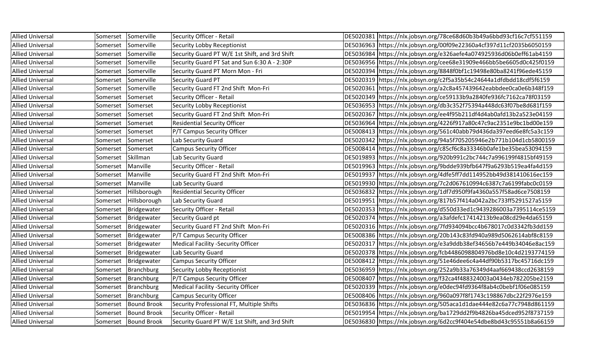| <b>Allied Universal</b> | Somerset | Somerville             | Security Officer - Retail                      | DE5020381 https://nlx.jobsyn.org/78ce68d60b3b49a6bbd93cf16c7cf551159 |
|-------------------------|----------|------------------------|------------------------------------------------|----------------------------------------------------------------------|
| <b>Allied Universal</b> | Somerset | Somerville             | Security Lobby Receptionist                    | DE5036963 https://nlx.jobsyn.org/00f09e22360a4cf397d11cf2035b6050159 |
| <b>Allied Universal</b> | Somerset | Somerville             | Security Guard PT W/E 1st Shift, and 3rd Shift | DE5036984 https://nlx.jobsyn.org/e326aefe4a074925936d06b0eff61ab4159 |
| <b>Allied Universal</b> | Somerset | Somerville             | Security Guard PT Sat and Sun 6:30 A - 2:30P   | DE5036956 https://nlx.jobsyn.org/cee68e31909e466bb5be6605d0c425f0159 |
| <b>Allied Universal</b> | Somerset | Somerville             | Security Guard PT Morn Mon - Fri               | DE5020394 https://nlx.jobsyn.org/8848f0bf1c19498e80ba8241f96ede45159 |
| <b>Allied Universal</b> | Somerset | Somerville             | <b>Security Guard PT</b>                       | DE5020319 https://nlx.jobsyn.org/c2f5a35b54c24644a1dfdbdd18cdf5f6159 |
| <b>Allied Universal</b> | Somerset | Somerville             | Security Guard FT 2nd Shift Mon-Fri            | DE5020361 https://nlx.jobsyn.org/a2c8a457439642eabbdee0ca0e6b348f159 |
| <b>Allied Universal</b> | Somerset | Somerset               | Security Officer - Retail                      | DE5020349 https://nlx.jobsyn.org/ce59133b9a2840fe936fc7162ca78f03159 |
| <b>Allied Universal</b> | Somerset | Somerset               | Security Lobby Receptionist                    | DE5036953 https://nlx.jobsyn.org/db3c352f75394a448dc63f07be8d681f159 |
| <b>Allied Universal</b> | Somerset | Somerset               | Security Guard FT 2nd Shift Mon-Fri            | DE5020367 https://nlx.jobsyn.org/ee4f95b211df4d4ab0afd13b2a523e04159 |
| <b>Allied Universal</b> | Somerset | Somerset               | <b>Residential Security Officer</b>            | DE5036964 https://nlx.jobsyn.org/4226f917a80c47c9ac2351e9bc1bd00e159 |
| <b>Allied Universal</b> | Somerset | Somerset               | P/T Campus Security Officer                    | DE5008413 https://nlx.jobsyn.org/561c40abb79d436da397eed6e8fc5a3c159 |
| <b>Allied Universal</b> | Somerset | Somerset               | Lab Security Guard                             | DE5020342 https://nlx.jobsyn.org/94a5f705205946e2b771b104d1cb5800159 |
| <b>Allied Universal</b> | Somerset | Somerset               | <b>Campus Security Officer</b>                 | DE5008414 https://nlx.jobsyn.org/c85cf6c8a33346b0afe1be35bea53094159 |
| <b>Allied Universal</b> | Somerset | Skillman               | Lab Security Guard                             | DE5019893 https://nlx.jobsyn.org/920b991c2bc744c7a996199f4815bf49159 |
| <b>Allied Universal</b> | Somerset | Manville               | Security Officer - Retail                      | DE5019963 https://nlx.jobsyn.org/9bdde939bfb647f9a6293b519ea4fa4d159 |
| <b>Allied Universal</b> | Somerset | Manville               | Security Guard FT 2nd Shift Mon-Fri            | DE5019937 https://nlx.jobsyn.org/4dfe5ff7dd114952bb49d381410616ec159 |
| <b>Allied Universal</b> | Somerset | Manville               | Lab Security Guard                             | DE5019930 https://nlx.jobsyn.org/7c2d067610994c6387c7a6199fabc0c0159 |
| <b>Allied Universal</b> | Somerset | Hillsborough           | <b>Residential Security Officer</b>            | DE5036832 https://nlx.jobsyn.org/1df7d950f9fa4360a557f58ad6ce7508159 |
| <b>Allied Universal</b> | Somerset | Hillsborough           | Lab Security Guard                             | DE5019951 https://nlx.jobsyn.org/817b57f414a042a2bc733ff5291527a5159 |
| <b>Allied Universal</b> | Somerset | Bridgewater            | Security Officer - Retail                      | DE5020353 https://nlx.jobsyn.org/d550d33ed1c9439286003a7395114ce5159 |
| <b>Allied Universal</b> | Somerset | Bridgewater            | Security Guard pt                              | DE5020374 https://nlx.jobsyn.org/a3afdefc17414213b9ea08cd29e4da65159 |
| <b>Allied Universal</b> | Somerset | Bridgewater            | Security Guard FT 2nd Shift Mon-Fri            | DE5020316 https://nlx.jobsyn.org/7fd934094bcc4b678017c0d3342fb3dd159 |
| <b>Allied Universal</b> | Somerset | Bridgewater            | P/T Campus Security Officer                    | DE5008386 https://nlx.jobsyn.org/20b143c83fd940a989d5062614abf8c8159 |
| <b>Allied Universal</b> | Somerset | Bridgewater            | <b>Medical Facility -Security Officer</b>      | DE5020317 https://nlx.jobsyn.org/e3a9ddb38ef34656b7e449b34046e8ac159 |
| <b>Allied Universal</b> | Somerset | Bridgewater            | Lab Security Guard                             | DE5020378 https://nlx.jobsyn.org/fcb4486098804976bd8e10c4d2193774159 |
| <b>Allied Universal</b> | Somerset | Bridgewater            | <b>Campus Security Officer</b>                 | DE5008412 https://nlx.jobsyn.org/51e46dee6c4a44df90b5317bc45716dc159 |
| <b>Allied Universal</b> | Somerset | Branchburg             | Security Lobby Receptionist                    | DE5036959 https://nlx.jobsyn.org/252a9b33a76349d4aaf669438ccd2638159 |
| <b>Allied Universal</b> | Somerset | Branchburg             | P/T Campus Security Officer                    | DE5008407 https://nlx.jobsyn.org/f32ca4f488324003a0434eb782205be2159 |
| <b>Allied Universal</b> | Somerset | Branchburg             | Medical Facility -Security Officer             | DE5020339 https://nlx.jobsyn.org/e0dec94fd9364f8ab4c0bebf1f06e085159 |
| <b>Allied Universal</b> | Somerset | Branchburg             | <b>Campus Security Officer</b>                 | DE5008406 https://nlx.jobsyn.org/960a097f8f1743c198867dbc22f2976e159 |
| <b>Allied Universal</b> | Somerset | <b>Bound Brook</b>     | Security Professional FT, Multiple Shifts      | DE5036836 https://nlx.jobsyn.org/505aca1d1dae444e82c6a77c7948d861159 |
| <b>Allied Universal</b> | Somerset | Bound Brook            | Security Officer - Retail                      | DE5019954 https://nlx.jobsyn.org/ba1729dd2f9b4826ba45dced952f8737159 |
| <b>Allied Universal</b> |          | Somerset   Bound Brook | Security Guard PT W/E 1st Shift, and 3rd Shift | DE5036830 https://nlx.jobsyn.org/6d2cc9f404e54dbe8bd43c95551b8a66159 |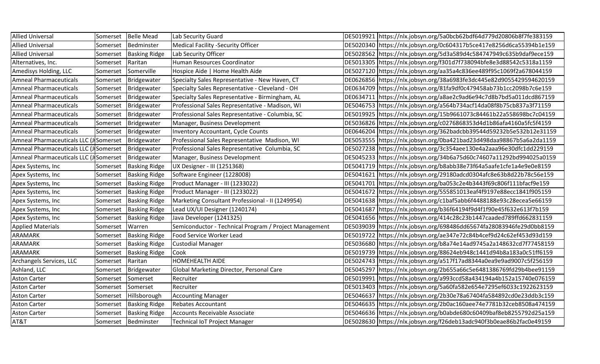| <b>Allied Universal</b>                              | Somerset | <b>Belle Mead</b>    | Lab Security Guard                                     | DE5019921 https://nlx.jobsyn.org/5a0bcb62bdf64d779d20806b8f7fe383159   |
|------------------------------------------------------|----------|----------------------|--------------------------------------------------------|------------------------------------------------------------------------|
| <b>Allied Universal</b>                              | Somerset | Bedminster           | <b>Medical Facility -Security Officer</b>              | DE5020340 https://nlx.jobsyn.org/0c604317b5ce417e8256d6ca55394b1e159   |
| <b>Allied Universal</b>                              | Somerset | <b>Basking Ridge</b> | Lab Security Officer                                   | DE5028562 https://nlx.jobsyn.org/5d3a589d4c584747949c635b9daf9ece159   |
| Alternatives, Inc.                                   | Somerset | Raritan              | Human Resources Coordinator                            | DE5013305 https://nlx.jobsyn.org/f301d7f738094bfe8e3d88542c5318a1159   |
| Amedisys Holding, LLC                                | Somerset | Somerville           | Hospice Aide   Home Health Aide                        | DE5027120 https://nlx.jobsyn.org/aa35a4c836ee489f95c1069f2a678044159   |
| <b>Amneal Pharmaceuticals</b>                        | Somerset | Bridgewater          | Specialty Sales Representative - New Haven, CT         | DE0626856 https://nlx.jobsyn.org/38a6983fe3dc445e82d9055429594620159   |
| <b>Amneal Pharmaceuticals</b>                        | Somerset | Bridgewater          | Specialty Sales Representative - Cleveland - OH        | DE0634709 https://nlx.jobsyn.org/81fa9df0c479458ab73b1cc2098b7c6e159   |
| <b>Amneal Pharmaceuticals</b>                        | Somerset | Bridgewater          | Specialty Sales Representative - Birmingham, AL        | DE0634711 https://nlx.jobsyn.org/a8ae2c9ad6e94c7d8b7bd5a011dcd867159   |
| <b>Amneal Pharmaceuticals</b>                        | Somerset | Bridgewater          | Professional Sales Representative - Madison, WI        | DE5046753 https://nlx.jobsyn.org/a564b734acf14da08f8b75cb837a3f71159   |
| <b>Amneal Pharmaceuticals</b>                        | Somerset | Bridgewater          | Professional Sales Representative - Columbia, SC       | DE5019925   https://nlx.jobsyn.org/15b9661073c84461b22a558698bc7c04159 |
| <b>Amneal Pharmaceuticals</b>                        | Somerset | Bridgewater          | Manager, Business Development                          | DE5036826 https://nlx.jobsyn.org/c0276868353d4d1b86afa4160a5fc5f4159   |
| <b>Amneal Pharmaceuticals</b>                        | Somerset | Bridgewater          | <b>Inventory Accountant, Cycle Counts</b>              | DE0646204 https://nlx.jobsyn.org/362badcbb39544d59232b5e532b12e31159   |
| Amneal Pharmaceuticals LLC (J Somerset               |          | Bridgewater          | Professional Sales Representative Madison, WI          | DE5053555 https://nlx.jobsyn.org/0ba421bad23d498daa98867b5a6a2da1159   |
| Amneal Pharmaceuticals LLC (J Somerset   Bridgewater |          |                      | Professional Sales Representative Columbia, SC         | DE5027238 https://nlx.jobsyn.org/3c354aee130e4a2aaa96e30dfc1dd229159   |
| Amneal Pharmaceuticals LLC (J Somerset               |          | Bridgewater          | Manager, Business Development                          | DE5045233 https://nlx.jobsyn.org/34b6a75d60c74607a11292bd994025a0159   |
| Apex Systems, Inc                                    | Somerset | <b>Basking Ridge</b> | UX Designer - III (1251368)                            | DE5041719 https://nlx.jobsyn.org/b8abb38e73f64a5aafe1cfe1a4e9e0e8159   |
| Apex Systems, Inc                                    | Somerset | <b>Basking Ridge</b> | Software Engineer (1228008)                            | DE5041621 https://nlx.jobsyn.org/29180adcd0304afc8e63b8d22b78c56e159   |
| Apex Systems, Inc                                    | Somerset | <b>Basking Ridge</b> | Product Manager - III (1233022)                        | DE5041701  https://nlx.jobsyn.org/ba053c2e4b3443f69c806f111bfacf9e159  |
| Apex Systems, Inc                                    | Somerset | <b>Basking Ridge</b> | Product Manager - III (1233022)                        | DE5041672 https://nlx.jobsyn.org/555851013eaf4f9197e88ecc1841f905159   |
| Apex Systems, Inc                                    | Somerset | <b>Basking Ridge</b> | Marketing Consultant Professional - II (1249954)       | DE5041638 https://nlx.jobsyn.org/c1baf5abb6f4488188e93c28ecea5e66159   |
| Apex Systems, Inc                                    | Somerset | <b>Basking Ridge</b> | Lead UX/UI Designer (1240174)                          | DE5041687 https://nlx.jobsyn.org/b36f64194f9d4f1f90e45f632e613f7b159   |
| Apex Systems, Inc                                    | Somerset | <b>Basking Ridge</b> | Java Developer (1241325)                               | DE5041656 https://nlx.jobsyn.org/414c28c23b1447caaded789ffd662831159   |
| <b>Applied Materials</b>                             | Somerset | Warren               | Semiconductor - Technical Program / Project Management | DE5039039 https://nlx.jobsyn.org/698486dd65674fa28083946fe29d0bb8159   |
| ARAMARK                                              | Somerset | <b>Basking Ridge</b> | Food Service Worker Lead                               | DE5019722 https://nlx.jobsyn.org/ae347e72c84b4cef9d24c62ef453d93d159   |
| ARAMARK                                              | Somerset | <b>Basking Ridge</b> | <b>Custodial Manager</b>                               | DE5036680 https://nlx.jobsyn.org/b8a74e14ad9745a2a148632cd7f77458159   |
| <b>ARAMARK</b>                                       | Somerset | <b>Basking Ridge</b> | Cook                                                   | DE5019739 https://nlx.jobsyn.org/88624eb948c1441d94b8a183a0c51ff6159   |
| Archangels Services, LLC                             | Somerset | Raritan              | <b>HOMEHEALTH AIDE</b>                                 | DE5024743 https://nlx.jobsyn.org/a517f17ad8344a0ea9e9ad9007c5f256159   |
| Ashland, LLC                                         | Somerset | Bridgewater          | Global Marketing Director, Personal Care               | DE5045297   https://nlx.jobsyn.org/2b655a66c5e6481386769fd29b4bee91159 |
| <b>Aston Carter</b>                                  | Somerset | Somerset             | Recruiter                                              | DE5019991 https://nlx.jobsyn.org/a993ccd58a434194a4b152a15740e076159   |
| <b>Aston Carter</b>                                  | Somerset | Somerset             | Recruiter                                              | DE5013403 https://nlx.jobsyn.org/5a60fa582e654e7295ef6033c1922623159   |
| <b>Aston Carter</b>                                  | Somerset | Hillsborough         | <b>Accounting Manager</b>                              | DE5046637 https://nlx.jobsyn.org/2b30e78a67404fa584892cd0e23ddb3c159   |
| <b>Aston Carter</b>                                  | Somerset | <b>Basking Ridge</b> | <b>Rebates Accountant</b>                              | DE5046635 https://nlx.jobsyn.org/2b0ac160aee74e7781b32ceb8508a474159   |
| <b>Aston Carter</b>                                  | Somerset | <b>Basking Ridge</b> | Accounts Receivable Associate                          | DE5046636 https://nlx.jobsyn.org/b0abde680c60409baf8eb8255792d25a159   |
| AT&T                                                 |          | Somerset Bedminster  | <b>Technical IoT Project Manager</b>                   | DE5028630 https://nlx.jobsyn.org/f26deb13adc940f3b0eae86b2fac0e49159   |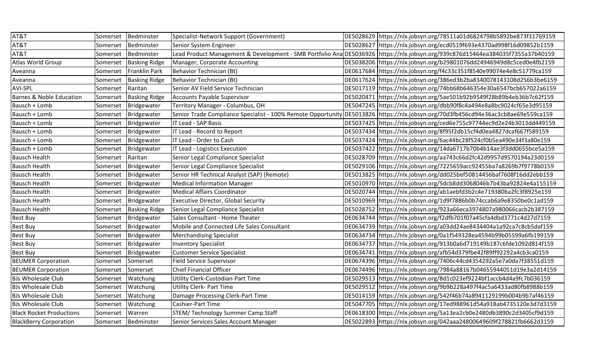| AT&T                                | Somerset | Bedminster           | Specialist-Network Support (Government)    | DE5028629 https://nlx.jobsyn.org/78511a01d6824798b5892be873f31769159                                                              |
|-------------------------------------|----------|----------------------|--------------------------------------------|-----------------------------------------------------------------------------------------------------------------------------------|
| AT&T                                | Somerset | Bedminster           | Senior System Engineer                     | DE5028627 https://nlx.jobsyn.org/ecd0519f693e4370ad998f16d09852b1159                                                              |
| AT&T                                | Somerset | Bedminster           |                                            | Lead Product Management & Development - SMB Portfolio Ana DE5036926 https://nlx.jobsyn.org/939c876d15464ea384035f7355a37b40159    |
| Atlas World Group                   | Somerset | <b>Basking Ridge</b> | Manager, Corporate Accounting              | DE5038206 https://nlx.jobsyn.org/b29801076dd24946949d8c5ced0e4fb2159                                                              |
| Aveanna                             | Somerset | Franklin Park        | Behavior Technician (Bt)                   | DE0617684 https://nlx.jobsyn.org/f4c33c351f8540e99074e4e8c51779ca159                                                              |
| Aveanna                             | Somerset | <b>Basking Ridge</b> | Behavior Technician (Bt)                   | DE0617624 https://nlx.jobsyn.org/386ed3b2ba8340078143108d256b3be6159                                                              |
| <b>AVI-SPL</b>                      | Somerset | Raritan              | Senior AV Field Service Technician         | DE5017119 https://nlx.jobsyn.org/74bb68b646354e30a6547bcb657022a6159                                                              |
| <b>Barnes &amp; Noble Education</b> | Somerset | <b>Basking Ridge</b> | Accounts Payable Supervisor                | DE5020471 https://nlx.jobsyn.org/5ae501b92b9549f28b89b4eb36b7c62f159                                                              |
| Bausch + Lomb                       | Somerset | Bridgewater          | Territory Manager - Columbus, OH           | DE5047245 https://nlx.jobsyn.org/dbb90f8c4a494e8a8bc9024cf65e3d95159                                                              |
| Bausch + Lomb                       | Somerset | Bridgewater          |                                            | Senior Trade Compliance Specialist - 100% Remote Opportunity DE5013826 https://nlx.jobsyn.org/70d3fb456cd94e36ac3cb8ae69e559ca159 |
| Bausch + Lomb                       | Somerset | Bridgewater          | <b>IT Lead - SAP Basis</b>                 | DE5037425 https://nlx.jobsyn.org/ced6e755c97744ec9d2e24b3013dd449159                                                              |
| Bausch + Lomb                       | Somerset | Bridgewater          | IT Lead - Record to Report                 | DE5037434 https://nlx.jobsyn.org/8f95f2db15cf4d0ea4827dcaf667f589159                                                              |
| Bausch + Lomb                       | Somerset | Bridgewater          | IT Lead - Order to Cash                    | DE5037424 https://nlx.jobsyn.org/6ac44bc28f524cf0b5ea490e34f3a80e159                                                              |
| Bausch + Lomb                       | Somerset | Bridgewater          | IT Lead - Logistics Execution              | DE5037422 https://nlx.jobsyn.org/14da6717b70b4b14ae3f3dd0655bce5a159                                                              |
| <b>Bausch Health</b>                | Somerset | Raritan              | Senior Legal Compliance Specialist         | DE5028709 https://nlx.jobsyn.org/aa743c66d2fc42d9957d9570194a23d0159                                                              |
| <b>Bausch Health</b>                | Somerset | Bridgewater          | Senior Legal Compliance Specialist         | DE5029106 https://nlx.jobsyn.org/7225659acc92455ba7a8269b7f9778b0159                                                              |
| <b>Bausch Health</b>                | Somerset | Bridgewater          | Senior HR Technical Analyst (SAP) (Remote) | DE5013825 https://nlx.jobsyn.org/dd025bef50814456baf7608f16dd2ebb159                                                              |
| <b>Bausch Health</b>                | Somerset | Bridgewater          | Medical Information Manager                | DE5010970 https://nlx.jobsyn.org/5dcb8dd3068046b7b43ba92824e4a155159                                                              |
| <b>Bausch Health</b>                | Somerset | Bridgewater          | Medical Affairs Coordinator                | DE5020744 https://nlx.jobsyn.org/ab1aebfd3b2c4e719380ba2fc3f8925e159                                                              |
| <b>Bausch Health</b>                | Somerset | Bridgewater          | <b>Executive Director, Global Security</b> | DE5010969 https://nlx.jobsyn.org/1d9f7886b0b74ccab6a9e8350be0c1ad159                                                              |
| <b>Bausch Health</b>                | Somerset | <b>Basking Ridge</b> | Senior Legal Compliance Specialist         | DE5028752 https://nlx.jobsyn.org/923a66eca3974807a980066cacb2b387159                                                              |
| Best Buy                            | Somerset | Bridgewater          | Sales Consultant - Home Theater            | DE0634744 https://nlx.jobsyn.org/f2dfb701f07a45cfa4dbd3771c4d27d7159                                                              |
| <b>Best Buy</b>                     | Somerset | Bridgewater          | Mobile and Connected Life Sales Consultant | DE0634739 https://nlx.jobsyn.org/a03dd24ae8434404a1a92ca7c8cb5daf159                                                              |
| <b>Best Buy</b>                     | Somerset | Bridgewater          | Merchandising Specialist                   | DE0634734 https://nlx.jobsyn.org/0a1f549328ea4594b99b05599a6fb199159                                                              |
| <b>Best Buy</b>                     | Somerset | Bridgewater          | <b>Inventory Specialist</b>                | DE0634737 https://nlx.jobsyn.org/913b0a6d719149b187c6fde1092d814f159                                                              |
| Best Buy                            | Somerset | Bridgewater          | <b>Customer Service Specialist</b>         | DE0634741 https://nlx.jobsyn.org/afb54d379fbe42f89ff92292a4cb3ca0159                                                              |
| <b>BEUMER Corporation</b>           | Somerset | Somerset             | <b>Field Service Supervisor</b>            | DE0674396 https://nlx.jobsyn.org/7406c44cd4354292a5e7a0da7f38551d159                                                              |
| <b>BEUMER Corporation</b>           | Somerset | Somerset             | Chief Financial Officer                    | DE0674496 https://nlx.jobsyn.org/7984a88167b04655944051d19e3a2d14159                                                              |
| <b>BJs Wholesale Club</b>           | Somerset | Watchung             | Utility Clerk-Custodian-Part Time          | DE5029513 https://nlx.jobsyn.org/8d1c023ef9224bf1accb4d4a9fc7b036159                                                              |
| <b>BJs Wholesale Club</b>           | Somerset | Watchung             | <b>Utility Clerk- Part Time</b>            | DE5029512 https://nlx.jobsyn.org/9b9b228a497f4ac5a6433ad80fb8988b159                                                              |
| <b>BJs Wholesale Club</b>           | Somerset | Watchung             | Damage Processing Clerk-Part Time          | DE5014159 https://nlx.jobsyn.org/542f46b74a8941129199b004b9b7af46159                                                              |
| <b>BJs Wholesale Club</b>           | Somerset | Watchung             | Cashier-Part Time                          | DE5047705 https://nlx.jobsyn.org/17ed988961d54a918ab4735120e3d7d3159                                                              |
| <b>Black Rocket Productions</b>     | Somerset | Warren               | STEM/ Technology Summer Camp Staff         | DE0618300 https://nlx.jobsyn.org/5a13ea2cb0e2480db3890c2d3405cf9d159                                                              |
| <b>BlackBerry Corporation</b>       |          | Somerset Bedminster  | Senior Services Sales Account Manager      | DE5022893 https://nlx.jobsyn.org/042aaa24800649609f278821fb6662d3159                                                              |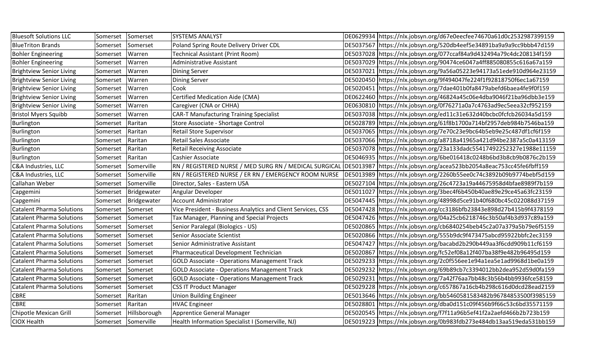| <b>Bluesoft Solutions LLC</b>    | Somerset | Somerset            | <b>SYSTEMS ANALYST</b>                                       | DE0629934 https://nlx.jobsyn.org/d67e0eecfee74670a61d0c2532987399159   |
|----------------------------------|----------|---------------------|--------------------------------------------------------------|------------------------------------------------------------------------|
| <b>BlueTriton Brands</b>         | Somerset | Somerset            | Poland Spring Route Delivery Driver CDL                      | DE5037567 https://nlx.jobsyn.org/520db4eef5e34891ba9a9a9cc9bbb47d159   |
| <b>Bohler Engineering</b>        | Somerset | Warren              | Technical Assistant (Print Room)                             | DE5037028 https://nlx.jobsyn.org/077ccaf84a9d432494a79c4dc208134f159   |
| <b>Bohler Engineering</b>        | Somerset | Warren              | Administrative Assistant                                     | DE5037029 https://nlx.jobsyn.org/90474ce6047a4ff885080855c616a67a159   |
| <b>Brightview Senior Living</b>  | Somerset | Warren              | <b>Dining Server</b>                                         | DE5037021   https://nlx.jobsyn.org/9a56a05223e94173a51ede910d964e23159 |
| <b>Brightview Senior Living</b>  | Somerset | Warren              | <b>Dining Server</b>                                         | DE5020450 https://nlx.jobsyn.org/9f494047fe224f1f92818750f6ec1a67159   |
| <b>Brightview Senior Living</b>  | Somerset | Warren              | Cook                                                         | DE5020451 https://nlx.jobsyn.org/7dae401b0fa8479abefd6baea4fe9f0f159   |
| <b>Brightview Senior Living</b>  | Somerset | Warren              | <b>Certified Medication Aide (CMA)</b>                       | DE0622460 https://nlx.jobsyn.org/46824a45c06e4dba9046f21ba96dbb3e159   |
| <b>Brightview Senior Living</b>  | Somerset | Warren              | Caregiver (CNA or CHHA)                                      | DE0630810 https://nlx.jobsyn.org/0f76271a0a7c4763ad9ec5eea32cf952159   |
| <b>Bristol Myers Squibb</b>      | Somerset | Warren              | <b>CAR-T Manufacturing Training Specialist</b>               | DE5037038 https://nlx.jobsyn.org/ed11c31e632d40bcbc0fcfcb26034a5d159   |
| Burlington                       | Somerset | Raritan             | Store Associate - Shortage Control                           | DE5028789 https://nlx.jobsyn.org/61f8b1700a714bf2957deb984b7546ba159   |
| Burlington                       | Somerset | Raritan             | Retail Store Supervisor                                      | DE5037065 https://nlx.jobsyn.org/7e70c23e9bc64b5eb9e25c487df1cf6f159   |
| Burlington                       | Somerset | Raritan             | <b>Retail Sales Associate</b>                                | DE5037066 https://nlx.jobsyn.org/a8718a41965a421d94be2387a5c0a413159   |
| Burlington                       | Somerset | Raritan             | <b>Retail Receiving Associate</b>                            | DE5037078   https://nlx.jobsyn.org/23a133dadc55417492252327e1988e11159 |
| Burlington                       | Somerset | Raritan             | Cashier Associate                                            | DE5046935 https://nlx.jobsyn.org/6be016418c0248b6bd3b8cb9b0876c2b159   |
| C&A Industries, LLC              | Somerset | Somerville          | RN / REGISTERED NURSE / MED SURG RN / MEDICAL SURGICAL       | DE5013987 https://nlx.jobsyn.org/acea523bb2054a8eac753cc45fe6fbff159   |
| C&A Industries, LLC              | Somerset | Somerville          | RN / REGISTERED NURSE / ER RN / EMERGENCY ROOM NURSE         | DE5013989 https://nlx.jobsyn.org/2260b55ee0c74c3892b09b9774bebf5d159   |
| Callahan Weber                   | Somerset | Somerville          | Director, Sales - Eastern USA                                | DE5027104 https://nlx.jobsyn.org/26c4723a19a44675958d4bfae8989f7b159   |
| Capgemini                        | Somerset | Bridgewater         | Angular Developer                                            | DE5011027 https://nlx.jobsyn.org/3bec4f6b450b40ae89e29ce45a63fc23159   |
| Capgemini                        | Somerset | Bridgewater         | <b>Account Administrator</b>                                 | DE5047445 https://nlx.jobsyn.org/48998d5ce91b40f680bc45c022088d37159   |
| <b>Catalent Pharma Solutions</b> | Somerset | Somerset            | Vice President - Business Analytics and Client Services, CSS | DE5047428 https://nlx.jobsyn.org/cc3186bfb23843e898d27b415b9f4378159   |
| <b>Catalent Pharma Solutions</b> | Somerset | Somerset            | Tax Manager, Planning and Special Projects                   | DE5047426 https://nlx.jobsyn.org/04a25cb6218746c3b50af4b3d937c89a159   |
| <b>Catalent Pharma Solutions</b> | Somerset | Somerset            | Senior Paralegal (Biologics - US)                            | DE5020865 https://nlx.jobsyn.org/cb6840254beb45c2a07a379a5b79e6f5159   |
| <b>Catalent Pharma Solutions</b> | Somerset | Somerset            | Senior Associate Scientist                                   | DE5020866 https://nlx.jobsyn.org/555b9dc9f473475abcd95922bbfc2ec3159   |
| <b>Catalent Pharma Solutions</b> | Somerset | Somerset            | Senior Administrative Assistant                              | DE5047427 https://nlx.jobsyn.org/bacabd2b290b449aa3f6cdd909b11cf6159   |
| <b>Catalent Pharma Solutions</b> | Somerset | Somerset            | Pharmaceutical Development Technician                        | DE5020867 https://nlx.jobsyn.org/fc52ef08a12f407ba38f9e482b96495d159   |
| <b>Catalent Pharma Solutions</b> | Somerset | Somerset            | <b>GOLD Associate - Operations Management Track</b>          | DE5029233 https://nlx.jobsyn.org/2c0f556ee1e94a1ea5e1ad9968d1be0a159   |
| <b>Catalent Pharma Solutions</b> | Somerset | Somerset            | <b>GOLD Associate - Operations Management Track</b>          | DE5029232 https://nlx.jobsyn.org/69b89cb7c3394012bb2dea952d59d0fa159   |
| <b>Catalent Pharma Solutions</b> | Somerset | Somerset            | <b>GOLD Associate - Operations Management Track</b>          | DE5029231 https://nlx.jobsyn.org/7a42f76aa7bb48c3b56b4bb9936fce58159   |
| <b>Catalent Pharma Solutions</b> | Somerset | Somerset            | <b>CSS IT Product Manager</b>                                | DE5029228 https://nlx.jobsyn.org/c657867a16cb4b298c616d0dcd28ead2159   |
| CBRE                             | Somerset | Raritan             | <b>Union Building Engineer</b>                               |                                                                        |
| <b>CBRE</b>                      | Somerset | Raritan             | <b>HVAC</b> Engineer                                         | DE5028801 https://nlx.jobsyn.org/dba0d151c09f456b9f66c53c6bd35571159   |
| Chipotle Mexican Grill           | Somerset | Hillsborough        | Apprentice General Manager                                   | DE5020545  https://nlx.jobsyn.org/f7f11a96b5ef41f2a2aefd466b2b723b159  |
| CIOX Health                      |          | Somerset Somerville | Health Information Specialist I (Somerville, NJ)             | DE5019223 https://nlx.jobsyn.org/0b983fdb273e484db13aa519eda531bb159   |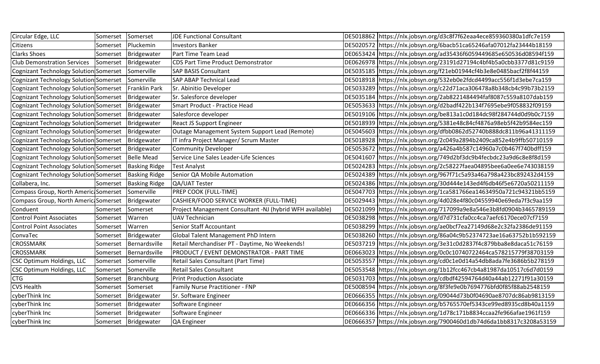| Circular Edge, LLC                                     | Somerset          | Somerset                 | <b>JDE Functional Consultant</b>                         | DE5018862 https://nlx.jobsyn.org/d3c8f7f62eaa4ece859360380a1dfc7e159 |
|--------------------------------------------------------|-------------------|--------------------------|----------------------------------------------------------|----------------------------------------------------------------------|
| Citizens                                               | Somerset          | Pluckemin                | <b>Investors Banker</b>                                  | DE5020572 https://nlx.jobsyn.org/6bacb51ca65246afa07012fa23444b18159 |
| <b>Clarks Shoes</b>                                    |                   | Somerset Bridgewater     | Part Time Team Lead                                      | DE0653424 https://nlx.jobsyn.org/ad35436f6059449685e650536d08594f159 |
| <b>Club Demonstration Services</b>                     |                   | Somerset Bridgewater     | CDS Part Time Product Demonstrator                       | DE0626978 https://nlx.jobsyn.org/23191d27194c4bf4b5a0cbb3377d81c9159 |
| Cognizant Technology Solution Somerset                 |                   | Somerville               | <b>SAP BASIS Consultant</b>                              | DE5035185 https://nlx.jobsyn.org/f21eb01944cf4b3e8e0485bacf2f8f44159 |
| Cognizant Technology Solution Somerset                 |                   | Somerville               | <b>SAP ABAP Technical Lead</b>                           | DE5018918 https://nlx.jobsyn.org/532eb0e2fdcd4499acc556f1d3ebe7ca159 |
| Cognizant Technology Solution Somerset                 |                   | Franklin Park            | Sr. Abinitio Developer                                   | DE5033289 https://nlx.jobsyn.org/c22d71aca306478a8b348cb4c99b73b2159 |
| Cognizant Technology Solution Somerset   Bridgewater   |                   |                          | Sr. Salesforce developer                                 | DE5035184 https://nlx.jobsyn.org/2ab8221484494faf8087c559a8107dab159 |
| Cognizant Technology Solution Somerset   Bridgewater   |                   |                          | Smart Product - Practice Head                            | DE5053633 https://nlx.jobsyn.org/d2badf422b134f7695ebe9f058832f09159 |
| Cognizant Technology Solution Somerset   Bridgewater   |                   |                          | Salesforce developer                                     | DE5019106 https://nlx.jobsyn.org/be813a1c0d184dc98f284744d0d9b0c7159 |
| Cognizant Technology Solution Somerset   Bridgewater   |                   |                          | <b>React JS Support Engineer</b>                         | DE5018939 https://nlx.jobsyn.org/5381e48c84cf4876a98eb5f42b9584ec159 |
| Cognizant Technology Solution Somerset   Bridgewater   |                   |                          | Outage Management System Support Lead (Remote)           | DE5045603 https://nlx.jobsyn.org/dfbb0862d52740b888dc811b96a41311159 |
| Cognizant Technology Solution Somerset   Bridgewater   |                   |                          | IT infra Project Manager/ Scrum Master                   | DE5018928 https://nlx.jobsyn.org/2c049a2894b2409ca852e4b9ffb50710159 |
| Cognizant Technology Solution Somerset   Bridgewater   |                   |                          | <b>Community Developer</b>                               | DE5053672 https://nlx.jobsyn.org/a426a4b587c14960a7c0b467f740bdff159 |
| Cognizant Technology Solution Somerset   Belle Mead    |                   |                          | Service Line Sales Leader-Life Sciences                  | DE5041607 https://nlx.jobsyn.org/749d2bf3dc9b4fecbdc23a9d6c8e8f8d159 |
| Cognizant Technology Solution Somerset   Basking Ridge |                   |                          | <b>Test Analyst</b>                                      | DE5024283 https://nlx.jobsyn.org/2c58227faea04895bee6a0ee6e743038159 |
| Cognizant Technology Solution Somerset   Basking Ridge |                   |                          | Senior QA Mobile Automation                              | DE5024389 https://nlx.jobsyn.org/967f71c5a93a46a798a423bc892432d4159 |
| Collabera, Inc.                                        |                   | Somerset   Basking Ridge | QA/UAT Tester                                            | DE5024386 https://nlx.jobsyn.org/30d444e143ed4f6db46f5e6720a50211159 |
| Compass Group, North Americ Somerset Somerville        |                   |                          | <b>PREP COOK (FULL-TIME)</b>                             | DE5047703 https://nlx.jobsyn.org/1ca581766ea14634950a721c94321bb5159 |
| Compass Group, North Americ Somerset                   |                   | Bridgewater              | CASHIER/FOOD SERVICE WORKER (FULL-TIME)                  | DE5029443 https://nlx.jobsyn.org/4d028e4f80c04559940e69eda7f3c9aa159 |
| Conduent                                               | Somerset          | Somerset                 | Project Management Consultant -NJ (hybrid WFH available) | DE5021099 https://nlx.jobsyn.org/717099a9e8a546e3b8fd0904b3465789159 |
| <b>Control Point Associates</b>                        | Somerset          | Warren                   | <b>UAV Technician</b>                                    | DE5038298 https://nlx.jobsyn.org/d7d731cfa0cc4ca7aefc6170ece07cf7159 |
| <b>Control Point Associates</b>                        | Somerset          | Warren                   | Senior Staff Accountant                                  | DE5038299 https://nlx.jobsyn.org/ae0bcf7ea27149d68e2c32fa2386de91159 |
| ConvaTec                                               |                   | Somerset Bridgewater     | Global Talent Management PhD Intern                      | DE5038260 https://nlx.jobsyn.org/86a04c9b52374723ae16a63752b1b592159 |
| <b>CROSSMARK</b>                                       | Somerset          | Bernardsville            | Retail Merchandiser PT - Daytime, No Weekends!           | DE5037219 https://nlx.jobsyn.org/3e31c0d2837f4c879bba8e8daca51c76159 |
| <b>CROSSMARK</b>                                       | Somerset          | Bernardsville            | PRODUCT / EVENT DEMONSTRATOR - PART TIME                 | DE0663023 https://nlx.jobsyn.org/0c0c10740722464ca578215779f38703159 |
| CSC Optimum Holdings, LLC                              | Somerset          | Somerville               | Retail Sales Consultant (Part Time)                      | DE5053557 https://nlx.jobsyn.org/cd0c1e0d14a54db8ada7fe3686b5b278159 |
| CSC Optimum Holdings, LLC                              | Somerset          | Somerville               | <b>Retail Sales Consultant</b>                           | DE5053548 https://nlx.jobsyn.org/1b12fcc467cb4a81987da10517c6d7d0159 |
| <b>CTG</b>                                             |                   | Somerset Branchburg      | <b>Print Production Associate</b>                        | DE5031703 https://nlx.jobsyn.org/cdbdf42594764d40a44ab12271f91a30159 |
| <b>CVS Health</b>                                      | Somerset Somerset |                          | Family Nurse Practitioner - FNP                          | DE5008594 https://nlx.jobsyn.org/8f3fe9e0b7694776bfd0f85f88ab2548159 |
| cyberThink Inc                                         | Somerset          | Bridgewater              | Sr. Software Engineer                                    | DE0666355 https://nlx.jobsyn.org/09044d73b0f04690ae8707dc86ab9813159 |
| cyberThink Inc                                         |                   | Somerset Bridgewater     | Software Engineer                                        | DE0666356 https://nlx.jobsyn.org/b5765570ef5343ce99ed8935cd8b40a1159 |
| cyberThink Inc                                         |                   | Somerset   Bridgewater   | Software Engineer                                        | DE0666336 https://nlx.jobsyn.org/1d78c171b8834ccaa2fe966afae1961f159 |
| cyberThink Inc                                         |                   | Somerset Bridgewater     | QA Engineer                                              | DE0666357 https://nlx.jobsyn.org/7900460d1db74d6da1bb8317c3208a53159 |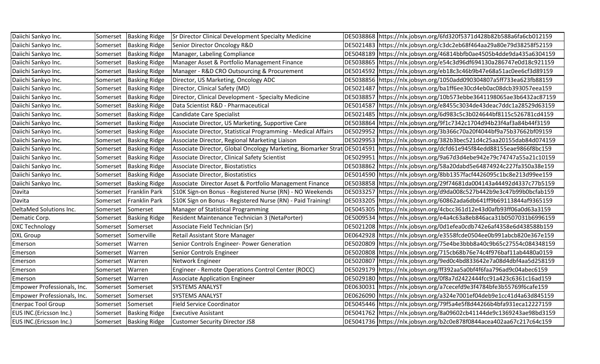| Daiichi Sankyo Inc.         | Somerset | <b>Basking Ridge</b>     | Sr Director Clinical Development Specialty Medicine           | DE5038868 https://nlx.jobsyn.org/6fd320f5371d428b82b588a6fa6cb012159                                                                |
|-----------------------------|----------|--------------------------|---------------------------------------------------------------|-------------------------------------------------------------------------------------------------------------------------------------|
| Daiichi Sankyo Inc.         | Somerset | <b>Basking Ridge</b>     | Senior Director Oncology R&D                                  | DE5021483 https://nlx.jobsyn.org/c3dc2eb68f464aa29a80e79d38258f52159                                                                |
| Daiichi Sankyo Inc.         | Somerset | <b>Basking Ridge</b>     | Manager, Labeling Compliance                                  | DE5048189 https://nlx.jobsyn.org/46814bbfb0ae4505b4dde9da435a6304159                                                                |
| Daiichi Sankyo Inc.         | Somerset | <b>Basking Ridge</b>     | Manager Asset & Portfolio Management Finance                  | DE5038865 https://nlx.jobsyn.org/e54c3d96df694130a286747e0d18c921159                                                                |
| Daiichi Sankyo Inc.         | Somerset | <b>Basking Ridge</b>     | Manager - R&D CRO Outsourcing & Procurement                   | DE5014592 https://nlx.jobsyn.org/eb18c3c46b9b47e68a51ac0ee6cf3d89159                                                                |
| Daiichi Sankyo Inc.         | Somerset | <b>Basking Ridge</b>     | Director, US Marketing, Oncology ADC                          | DE5038856   https://nlx.jobsyn.org/1050add090304807a5ff733ea623fb88159                                                              |
| Daiichi Sankyo Inc.         | Somerset | <b>Basking Ridge</b>     | Director, Clinical Safety (MD)                                | DE5021487 https://nlx.jobsyn.org/ba1ff6ee30cd4eb0ac08dcb393057eea159                                                                |
| Daiichi Sankyo Inc.         | Somerset | <b>Basking Ridge</b>     | Director, Clinical Development - Specialty Medicine           | DE5038857 https://nlx.jobsyn.org/10b573ebbe3641198065ae3b6432ac87159                                                                |
| Daiichi Sankyo Inc.         | Somerset | <b>Basking Ridge</b>     | Data Scientist R&D - Pharmaceutical                           | DE5014587 https://nlx.jobsyn.org/e8455c3034de43deac7ddc1a28529d63159                                                                |
| Daiichi Sankyo Inc.         | Somerset | <b>Basking Ridge</b>     | Candidate Care Specialist                                     | DE5021485 https://nlx.jobsyn.org/6d983c5c3b024644bf8115c526781cd4159                                                                |
| Daiichi Sankyo Inc.         | Somerset | <b>Basking Ridge</b>     | Associate Director, US Marketing, Supportive Care             | DE5038864 https://nlx.jobsyn.org/9f1c7342c1704d94b23f4af3a84b44f3159                                                                |
| Daiichi Sankyo Inc.         | Somerset | <b>Basking Ridge</b>     | Associate Director, Statistical Programming - Medical Affairs | DE5029952 https://nlx.jobsyn.org/3b366c70a20f4044bf9a75b37662bf09159                                                                |
| Daiichi Sankyo Inc.         | Somerset | <b>Basking Ridge</b>     | Associate Director, Regional Marketing Liaison                | DE5029953 https://nlx.jobsyn.org/382b3bec521d4c25aa20155dab84d074159                                                                |
| Daiichi Sankyo Inc.         | Somerset | <b>Basking Ridge</b>     |                                                               | Associate Director, Global Oncology Marketing, Biomarker Strat DE5014591 https://nlx.jobsyn.org/dcfd61e945f84edd88155eae9866f8bc159 |
| Daiichi Sankyo Inc.         | Somerset | <b>Basking Ridge</b>     | Associate Director, Clinical Safety Scientist                 | DE5029951 https://nlx.jobsyn.org/9a67d3d4ebe942e79c74747a55a21c10159                                                                |
| Daiichi Sankyo Inc.         | Somerset | <b>Basking Ridge</b>     | Associate Director, Biostatistics                             | DE5038862 https://nlx.jobsyn.org/58a20dabd5e64874924c227fa350a38e159                                                                |
| Daiichi Sankyo Inc.         | Somerset | <b>Basking Ridge</b>     | Associate Director, Biostatistics                             | DE5014590 https://nlx.jobsyn.org/8bb1357facf4426095c1bc8e213d99ee159                                                                |
| Daiichi Sankyo Inc.         | Somerset | <b>Basking Ridge</b>     | Associate Director Asset & Portfolio Management Finance       | DE5038858 https://nlx.jobsyn.org/29f74681da004143a44492d4337c77b5159                                                                |
| Davita                      | Somerset | Franklin Park            | \$10K Sign-on Bonus - Registered Nurse (RN) - NO Weekends     | DE5033257 https://nlx.jobsyn.org/d9da008c527b442b9e3c47b99b0bcfab159                                                                |
| Davita                      | Somerset | Franklin Park            | \$10K Sign on Bonus - Registered Nurse (RN) - Paid Training!  | DE5033205 https://nlx.jobsyn.org/60862ada6db641ff9b69113844af9365159                                                                |
| DeltaMed Solutions Inc.     | Somerset | Somerset                 | Manager of Statistical Programming                            | DE5045305 https://nlx.jobsyn.org/4cbcc361d12e43d0afb93ff06a0d63a3159                                                                |
| Dematic Corp.               | Somerset | <b>Basking Ridge</b>     | Resident Maintenance Technician 3 (NetaPorter)                | DE5009534 https://nlx.jobsyn.org/e4a4c63a8eb846aca31b0507031b6996159                                                                |
| <b>DXC Technology</b>       | Somerset | Somerset                 | Associate Field Technician (Sr)                               | DE5021208 https://nlx.jobsyn.org/0d1efea0cdb742e6af4358e6d438588b159                                                                |
| <b>DXL Group</b>            | Somerset | Somerville               | Retail Assistant Store Manager                                | DE0642928 https://nlx.jobsyn.org/e3558fcde0504ee0b991abcb820e367e159                                                                |
| Emerson                     | Somerset | Warren                   | Senior Controls Engineer- Power Generation                    | DE5020809 https://nlx.jobsyn.org/75e4be3bbb8a40c9b65c27554c084348159                                                                |
| Emerson                     | Somerset | Warren                   | Senior Controls Engineer                                      | DE5020808 https://nlx.jobsyn.org/715cb68b76e74c4f976baf11ab4480a0159                                                                |
| Emerson                     | Somerset | Warren                   | Network Engineer                                              | DE5020807 https://nlx.jobsyn.org/9ed0c4bd833642e7a08d4dbf4aa5d258159                                                                |
| Emerson                     | Somerset | Warren                   | Engineer - Remote Operations Control Center (ROCC)            | DE5029179 https://nlx.jobsyn.org/ff392aa5a0bf4f6faa796ad9c04abec6159                                                                |
| Emerson                     | Somerset | Warren                   | <b>Associate Application Engineer</b>                         | DE5029180 https://nlx.jobsyn.org/0f8a7d2422444fcc91a423c6361c16ad159                                                                |
| Empower Professionals, Inc. | Somerset | Somerset                 | <b>SYSTEMS ANALYST</b>                                        | DE0630031 https://nlx.jobsyn.org/a7cecefd9e3f4784bfe3b55769f6cafe159                                                                |
| Empower Professionals, Inc. | Somerset | Somerset                 | <b>SYSTEMS ANALYST</b>                                        | DE0626090 https://nlx.jobsyn.org/a324e7001ef04deb9e1cc41d4a63d845159                                                                |
| <b>Enerpac Tool Group</b>   | Somerset | Somerset                 | <b>Field Service Coordinator</b>                              | DE5045446 https://nlx.jobsyn.org/79f5a4e5f8d44266b4bfa931eca12227159                                                                |
| EUS INC.(Ericsson Inc.)     | Somerset | <b>Basking Ridge</b>     | <b>Executive Assistant</b>                                    | DE5041762 https://nlx.jobsyn.org/8a09602cb41144de9c1369243ae98bd3159                                                                |
| EUS INC.(Ericsson Inc.)     |          | Somerset   Basking Ridge | <b>Customer Security Director JS8</b>                         | DE5041736 https://nlx.jobsyn.org/b2c0e878f0844acea402aa67c217c64c159                                                                |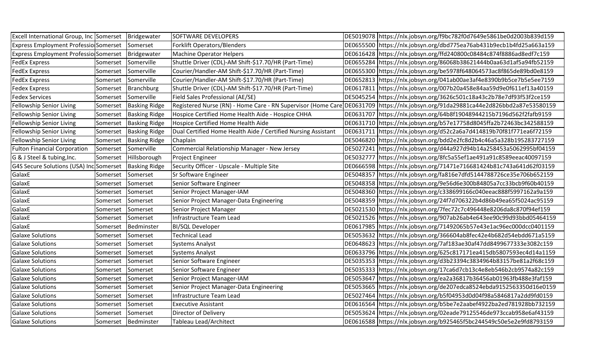| Excell International Group, Inc Somerset   Bridgewater |          |                       | <b>SOFTWARE DEVELOPERS</b>                                    | DE5019078 https://nlx.jobsyn.org/f9bc782f0d7649e5861be0d2003b839d159                                                               |
|--------------------------------------------------------|----------|-----------------------|---------------------------------------------------------------|------------------------------------------------------------------------------------------------------------------------------------|
| Express Employment Professio Somerset                  |          | Somerset              | <b>Forklift Operators/Blenders</b>                            | DE0655500 https://nlx.jobsyn.org/dbd775ea76ab431b9ecb1b4fd25a663a159                                                               |
| Express Employment Professio Somerset                  |          | Bridgewater           | <b>Machine Operator Helpers</b>                               | DE0616428 https://nlx.jobsyn.org/ffd240800c08484c874f8886ad8edf7c159                                                               |
| <b>FedEx Express</b>                                   | Somerset | Somerville            | Shuttle Driver (CDL)-AM Shift-\$17.70/HR (Part-Time)          | DE0655284 https://nlx.jobsyn.org/86068b38621444b0aa63d1af5a94fb52159                                                               |
| <b>FedEx Express</b>                                   | Somerset | Somerville            | Courier/Handler-AM Shift-\$17.70/HR (Part-Time)               | DE0655300 https://nlx.jobsyn.org/be5978f648064573ac8f865de89bd0e8159                                                               |
| <b>FedEx Express</b>                                   | Somerset | Somerville            | Courier/Handler-AM Shift-\$17.70/HR (Part-Time)               | DE0652813 https://nlx.jobsyn.org/041ab00ae3af4e8390b9b5ce7b5e5ee7159                                                               |
| <b>Fedex Express</b>                                   | Somerset | Branchburg            | Shuttle Driver (CDL)-AM Shift-\$17.70/HR (Part-Time)          | DE0617811 https://nlx.jobsyn.org/007b20a458e84aa59d9e0f611ef13a40159                                                               |
| <b>Fedex Services</b>                                  | Somerset | Somerville            | Field Sales Professional (AE/SE)                              | DE5045254 https://nlx.jobsyn.org/3626c501c18a43c2b78e7df93f53f2ce159                                                               |
| <b>Fellowship Senior Living</b>                        | Somerset | <b>Basking Ridge</b>  |                                                               | Registered Nurse (RN) - Home Care - RN Supervisor (Home Care DE0631709  https://nlx.jobsyn.org/91da29881ca44e2d826bbd2a87e53580159 |
| Fellowship Senior Living                               | Somerset | <b>Basking Ridge</b>  | Hospice Certified Home Health Aide - Hospice CHHA             | DE0631707 https://nlx.jobsyn.org/64b8f19048944215b7196d562f2fafb9159                                                               |
| <b>Fellowship Senior Living</b>                        | Somerset | <b>Basking Ridge</b>  | Hospice Certified Home Health Aide                            | DE0631710 https://nlx.jobsyn.org/b57e17758d8045ffa2b72463bc342588159                                                               |
| Fellowship Senior Living                               | Somerset | <b>Basking Ridge</b>  | Dual Certified Home Health Aide / Certified Nursing Assistant | DE0631711   https://nlx.jobsyn.org/d52c2a6a7d414819b70f81f771ea6f72159                                                             |
| <b>Fellowship Senior Living</b>                        | Somerset | <b>Basking Ridge</b>  | Chaplain                                                      | DE5046820 https://nlx.jobsyn.org/bdd2e2fc8d2b4c46a5a328b195283727159                                                               |
| <b>Fulton Financial Corporation</b>                    |          | Somerset Somerville   | Commercial Relationship Manager - New Jersey                  | DE5027241 https://nlx.jobsyn.org/d44a927d94b14a258453a5062995bf04159                                                               |
| G & J Steel & tubing, Inc.                             | Somerset | Hillsborough          | Project Engineer                                              | DE5032777 https://nlx.jobsyn.org/8fc5a55ef1ae491a91c8589eeac40097159                                                               |
| G4S Secure Solutions (USA) Inc Somerset                |          | <b>Basking Ridge</b>  | Security Officer - Upscale - Multiple Site                    | DE0666598 https://nlx.jobsyn.org/71471e716681424b81c743a641d62f03159                                                               |
| GalaxE                                                 | Somerset | Somerset              | Sr Software Engineer                                          | DE5048357 https://nlx.jobsyn.org/fa816e7dfd5144788726ce35e706b652159                                                               |
| GalaxE                                                 | Somerset | Somerset              | Senior Software Engineer                                      | DE5048358 https://nlx.jobsyn.org/9e56d6e300b84805a7cc33bcb9f60b40159                                                               |
| GalaxE                                                 | Somerset | Somerset              | Senior Project Manager-IAM                                    | DE5048360 https://nlx.jobsyn.org/c338699166c040eeac888f5997162a9a159                                                               |
| GalaxE                                                 | Somerset | Somerset              | Senior Project Manager-Data Engineering                       | DE5048359 https://nlx.jobsyn.org/24f7d706322b4d86b49ea65f5024ac95159                                                               |
| GalaxE                                                 | Somerset | Somerset              | Senior Project Manager                                        | DE5021530 https://nlx.jobsyn.org/7fec72c7c496448e8206da8c870f94ef159                                                               |
| GalaxE                                                 | Somerset | Somerset              | Infrastructure Team Lead                                      | DE5021526 https://nlx.jobsyn.org/907ab26ab4e643ee90c99d93bbd05464159                                                               |
| GalaxE                                                 | Somerset | Bedminster            | <b>BI/SQL Developer</b>                                       | DE0617985 https://nlx.jobsyn.org/71492065b57e43e1ac96ec000dcc0401159                                                               |
| <b>Galaxe Solutions</b>                                | Somerset | Somerset              | <b>Technical Lead</b>                                         | DE5053632 https://nlx.jobsyn.org/366604ab8fec42e4b682d54ebdd671a5159                                                               |
| <b>Galaxe Solutions</b>                                | Somerset | Somerset              | <b>Systems Analyst</b>                                        | DE0648623 https://nlx.jobsyn.org/7af183ae30af47dd8499677333e3082c159                                                               |
| <b>Galaxe Solutions</b>                                | Somerset | Somerset              | <b>Systems Analyst</b>                                        | DE0633796 https://nlx.jobsyn.org/625c817171ea415db5807593ec4d14a1159                                                               |
| <b>Galaxe Solutions</b>                                | Somerset | Somerset              | Senior Software Engineer                                      | DE5035353 https://nlx.jobsyn.org/d3b23394c3834964b83157be81a2f68c159                                                               |
| <b>Galaxe Solutions</b>                                | Somerset | Somerset              | Senior Software Engineer                                      | DE5035333 https://nlx.jobsyn.org/17ca6d7cb13c4e8eb546b2cb9574a82c159                                                               |
| <b>Galaxe Solutions</b>                                | Somerset | Somerset              | Senior Project Manager-IAM                                    | DE5053647 https://nlx.jobsyn.org/ea2a36817b36456ab01963fb488e3faf159                                                               |
| <b>Galaxe Solutions</b>                                | Somerset | Somerset              | Senior Project Manager-Data Engineering                       | DE5053665 https://nlx.jobsyn.org/de207edca8524ebda9152563350d16e0159                                                               |
| <b>Galaxe Solutions</b>                                | Somerset | Somerset              | Infrastructure Team Lead                                      | DE5027464 https://nlx.jobsyn.org/b5f04953d0d04f98a5846817a2dd9fd0159                                                               |
| <b>Galaxe Solutions</b>                                | Somerset | Somerset              | <b>Executive Assistant</b>                                    | DE0616564 https://nlx.jobsyn.org/b5be7e2aabef4922ba2ed781928bb732159                                                               |
| <b>Galaxe Solutions</b>                                | Somerset | Somerset              | Director of Delivery                                          | DE5053624 https://nlx.jobsyn.org/02eade79125546de973ccab958e6af43159                                                               |
| <b>Galaxe Solutions</b>                                |          | Somerset   Bedminster | <b>Tableau Lead/Architect</b>                                 | DE0616588  https://nlx.jobsyn.org/b925465f5bc244549c50e5e2e9fd8793159                                                              |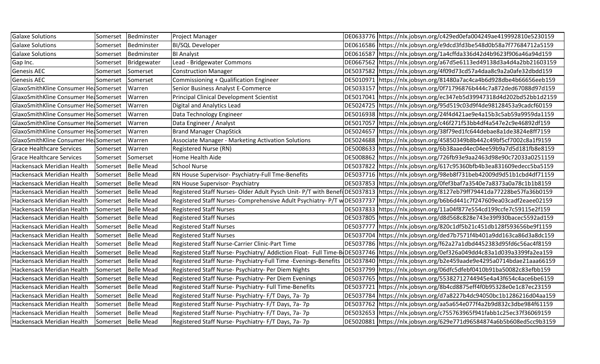| <b>Galaxe Solutions</b>              | Somerset | Bedminster            | Project Manager                                                 | DE0633776 https://nlx.jobsyn.org/c429ed0efa004249ae419992810e5230159                                                                  |
|--------------------------------------|----------|-----------------------|-----------------------------------------------------------------|---------------------------------------------------------------------------------------------------------------------------------------|
| <b>Galaxe Solutions</b>              | Somerset | Bedminster            | <b>BI/SQL Developer</b>                                         | DE0616586 https://nlx.jobsyn.org/e9dcd3fd3be548d0b58a7f77684712a5159                                                                  |
| <b>Galaxe Solutions</b>              | Somerset | Bedminster            | <b>BI Analyst</b>                                               | DE0616587 https://nlx.jobsyn.org/1a4cffda336d42d4b9623f906a46a94d159                                                                  |
| Gap Inc.                             | Somerset | Bridgewater           | Lead - Bridgewater Commons                                      | DE0667562 https://nlx.jobsyn.org/a67d5e6113ed49138d3a4d4a2bb21603159                                                                  |
| <b>Genesis AEC</b>                   | Somerset | Somerset              | <b>Construction Manager</b>                                     | DE5037582 https://nlx.jobsyn.org/4f09d73cd57a4daa8c9a2a0afe32dbdd159                                                                  |
| <b>Genesis AEC</b>                   | Somerset | Somerset              | Commissioning + Qualification Engineer                          | DE5010971 https://nlx.jobsyn.org/81480a7ac4ca4b6d928dbe4b66656eeb159                                                                  |
| GlaxoSmithKline Consumer HelSomerset |          | Warren                | Senior Business Analyst E-Commerce                              | DE5033157 https://nlx.jobsyn.org/0f71796876b444c7a872ded67088d97d159                                                                  |
| GlaxoSmithKline Consumer He Somerset |          | Warren                | Principal Clinical Development Scientist                        | DE5017041 https://nlx.jobsyn.org/ec347eb5d39947318d4d202bd52bb1d2159                                                                  |
| GlaxoSmithKline Consumer He Somerset |          | Warren                | Digital and Analytics Lead                                      | DE5024725 https://nlx.jobsyn.org/95d519c03d9f4de98128453a9cadcf60159                                                                  |
| GlaxoSmithKline Consumer HelSomerset |          | Warren                | Data Technology Engineer                                        | DE5016938 https://nlx.jobsyn.org/24f4d421ae9e4a15b3c5ab59a9959da1159                                                                  |
| GlaxoSmithKline Consumer HelSomerset |          | Warren                | Data Engineer / Analyst                                         | DE5017057 https://nlx.jobsyn.org/c46f271f53bb4df4a547e2c9e46892df159                                                                  |
| GlaxoSmithKline Consumer HeaSomerset |          | Warren                | <b>Brand Manager ChapStick</b>                                  | DE5024657 https://nlx.jobsyn.org/38f79ed1fc644debae8a1de3824e8ff7159                                                                  |
| GlaxoSmithKline Consumer HelSomerset |          | Warren                | Associate Manager - Marketing Activation Solutions              | DE5024688 https://nlx.jobsyn.org/45850349b8b442c49bf5cf7002c8a1f9159                                                                  |
| <b>Grace Healthcare Services</b>     | Somerset | Warren                | Registered Nurse (RN)                                           | DE5008633 https://nlx.jobsyn.org/6b38aaed4ec04ee59b9a7d5d181fb8e8159                                                                  |
| <b>Grace Healthcare Services</b>     | Somerset | Somerset              | Home Health Aide                                                | DE5008862 https://nlx.jobsyn.org/726fb93e9aa2463d98e90c72033a0251159                                                                  |
| Hackensack Meridian Health           | Somerset | <b>Belle Mead</b>     | <b>School Nurse</b>                                             | DE5037822 https://nlx.jobsyn.org/617c95360bfb4b3ea831609edecc5ba5159                                                                  |
| Hackensack Meridian Health           | Somerset | <b>Belle Mead</b>     | RN House Supervisor- Psychiatry-Full Tme-Benefits               | DE5037716 https://nlx.jobsyn.org/98eb8f731beb42009d9d51b1cbd4df71159                                                                  |
| Hackensack Meridian Health           | Somerset | <b>Belle Mead</b>     | RN House Supervisor- Psychiatry                                 | DE5037853 https://nlx.jobsyn.org/0fef3baf7a3540e7a8373a0a78c1b1b8159                                                                  |
| Hackensack Meridian Health           |          | Somerset   Belle Mead |                                                                 | Registered Staff Nurses-Older Adult Pysch Unit-P/T with Benefi DE5037813 https://nlx.jobsyn.org/8127eb79ff79441da77228be57fa36b0159   |
| Hackensack Meridian Health           | Somerset | <b>Belle Mead</b>     |                                                                 | Registered Staff Nurses-Comprehensive Adult Psychiatry- P/T w DE5037737 https://nlx.jobsyn.org/b6b6d441c7f247609ea03cadf2eaee02159    |
| Hackensack Meridian Health           | Somerset | <b>Belle Mead</b>     | <b>Registered Staff Nurses</b>                                  | DE5037833 https://nlx.jobsyn.org/11a04f877e554cd199ccfe7c59115e2f159                                                                  |
| Hackensack Meridian Health           | Somerset | <b>Belle Mead</b>     | <b>Registered Staff Nurses</b>                                  | DE5037805 https://nlx.jobsyn.org/d8d568c828e743e39f930bacec5592ad159                                                                  |
| Hackensack Meridian Health           | Somerset | <b>Belle Mead</b>     | <b>Registered Staff Nurses</b>                                  | DE5037777 https://nlx.jobsyn.org/820c1df5b21c451db128f593656be9f1159                                                                  |
| Hackensack Meridian Health           | Somerset | <b>Belle Mead</b>     | <b>Registered Staff Nurses</b>                                  | DE5037704 https://nlx.jobsyn.org/ded7b7571f4b401a9dd163ca86d3a8dc159                                                                  |
| Hackensack Meridian Health           | Somerset | <b>Belle Mead</b>     | Registered Staff Nurse-Carrier Clinic-Part Time                 | DE5037786 https://nlx.jobsyn.org/f62a27a1dbd4452383d95fd6c56ac4f8159                                                                  |
| Hackensack Meridian Health           | Somerset | <b>Belle Mead</b>     |                                                                 | Registered Staff Nurse- Psychiatry/ Addiction Float- Full Time-B DE5037746 https://nlx.jobsyn.org/0ef326a049dd4c83a1d039a3399fa2ea159 |
| Hackensack Meridian Health           | Somerset | <b>Belle Mead</b>     | Registered Staff Nurse- Psychiatry-Full Time -Evenings-Benefits | DE5037840 https://nlx.jobsyn.org/b2e459aade9e4295a0714bdae21aaa66159                                                                  |
| Hackensack Meridian Health           | Somerset | <b>Belle Mead</b>     | Registered Staff Nurse- Psychiatry- Per Diem Nights             | DE5037799 https://nlx.jobsyn.org/06dfc5dfebf0410b91ba50082c83efbb159                                                                  |
| Hackensack Meridian Health           | Somerset | <b>Belle Mead</b>     | Registered Staff Nurse- Psychiatry- Per Diem Evenings           | DE5037765 https://nlx.jobsyn.org/55382712744945e4a43f654c4ace6be6159                                                                  |
| Hackensack Meridian Health           | Somerset | <b>Belle Mead</b>     | Registered Staff Nurse- Psychiatry- Full Time-Benefits          | DE5037721 https://nlx.jobsyn.org/8b4cd8875eff4f0b95328e0e1c87ec23159                                                                  |
| Hackensack Meridian Health           | Somerset | <b>Belle Mead</b>     | Registered Staff Nurse- Psychiatry- F/T Days, 7a- 7p            | DE5037784 https://nlx.jobsyn.org/d7a8227b4dc94050bc1b1286216d04aa159                                                                  |
| Hackensack Meridian Health           | Somerset | <b>Belle Mead</b>     | Registered Staff Nurse- Psychiatry- F/T Days, 7a- 7p            | DE5037762 https://nlx.jobsyn.org/aa5a654e077f4a2b9d832c3dbe984f61159                                                                  |
| Hackensack Meridian Health           | Somerset | <b>Belle Mead</b>     | Registered Staff Nurse- Psychiatry- F/T Days, 7a-7p             | DE5032653  https://nlx.jobsyn.org/c755763965f941fabb1c25ec37f36069159                                                                 |
| Hackensack Meridian Health           |          | Somerset   Belle Mead | Registered Staff Nurse- Psychiatry- F/T Days, 7a- 7p            | DE5020881 https://nlx.jobsyn.org/629e771d96584874a6b5b608ed5cc9b3159                                                                  |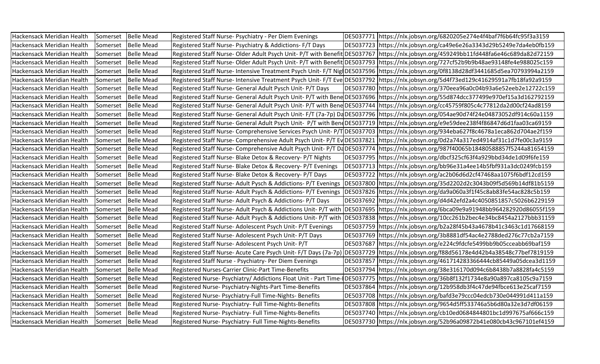| Hackensack Meridian Health | Somerset | <b>Belle Mead</b>     | Registered Staff Nurse- Psychiatry - Per Diem Evenings       | DE5037771   https://nlx.jobsyn.org/6820205e274e4f4baf7f6b64fc95f3a3159                                                                |
|----------------------------|----------|-----------------------|--------------------------------------------------------------|---------------------------------------------------------------------------------------------------------------------------------------|
| Hackensack Meridian Health | Somerset | <b>Belle Mead</b>     | Registered Staff Nurse- Psychiatry & Addictions- F/T Days    | DE5037723 https://nlx.jobsyn.org/ca49e6e26a3343d29b5249e7da4eb0fb159                                                                  |
| Hackensack Meridian Health | Somerset | <b>Belle Mead</b>     |                                                              | Registered Staff Nurse-Older Adult Psych Unit-P/T with Benefit DE5037767 https://nlx.jobsyn.org/459249bb11fd448fa6e46c689da82d72159   |
| Hackensack Meridian Health | Somerset | <b>Belle Mead</b>     |                                                              | Registered Staff Nurse-Older Adult Psych Unit-P/T with Benefit DE5037793 https://nlx.jobsyn.org/727cf52b9b9b48ae93148fe4e988025c159   |
| Hackensack Meridian Health | Somerset | <b>Belle Mead</b>     |                                                              | Registered Staff Nurse- Intensive Treatment Psych Unit- F/T Nig DE5037596  https://nlx.jobsyn.org/0f8138d28df3441685d5ea70793994a2159 |
| Hackensack Meridian Health | Somerset | <b>Belle Mead</b>     |                                                              | Registered Staff Nurse- Intensive Treatment Psych Unit- F/T Eve DE5037792 https://nlx.jobsyn.org/5d4f73ed129c41629591a7fb18fa92a9159  |
| Hackensack Meridian Health | Somerset | <b>Belle Mead</b>     | Registered Staff Nurse- General Adult Pysch Unit- P/T Days   | DE5037780 https://nlx.jobsyn.org/370eea96a0c04b93a6e52eeb2e12722c159                                                                  |
| Hackensack Meridian Health | Somerset | <b>Belle Mead</b>     |                                                              | Registered Staff Nurse- General Adult Psych Unit- P/T with Bene DE5037696  https://nlx.jobsyn.org/55d874dcc377499e970ef15a3d162792159 |
| Hackensack Meridian Health | Somerset | <b>Belle Mead</b>     |                                                              | Registered Staff Nurse- General Adult Psych Unit- P/T with Bene DE5037744 https://nlx.jobsyn.org/cc45759f805c4c77812da2d00cf24ad8159  |
| Hackensack Meridian Health | Somerset | <b>Belle Mead</b>     |                                                              | Registered Staff Nurse- General Adult Psych Unit- F/T (7a-7p) DaDE5037796 https://nlx.jobsyn.org/054ae90d74f24e04873052df914c60a1159  |
| Hackensack Meridian Health | Somerset | <b>Belle Mead</b>     |                                                              | Registered Staff Nurse-General Adult Psych Unit- P/T with Bend DE5037719 https://nlx.jobsyn.org/e9e59dee238f4f86847d6d1faa03ca69159   |
| Hackensack Meridian Health | Somerset | <b>Belle Mead</b>     |                                                              | Registered Staff Nurse-Comprehensive Services Psych Unit-P/TDE5037703 https://nlx.jobsyn.org/934eba627f8c4678a1eca862d704ae2f159      |
| Hackensack Meridian Health | Somerset | <b>Belle Mead</b>     |                                                              | Registered Staff Nurse-Comprehensive Adult Psych Unit-P/T Ev DE5037821 https://nlx.jobsyn.org/0d2a74a317ed4914af31c1d7fe00c3a9159     |
| Hackensack Meridian Health | Somerset | <b>Belle Mead</b>     |                                                              | Registered Staff Nurse-Comprehensive Adult Psych Unit-P/T D4DE5037774 https://nlx.jobsyn.org/987f40065b18480588857f5244a81654159      |
| Hackensack Meridian Health | Somerset | <b>Belle Mead</b>     | Registered Staff Nurse- Blake Detox & Recovery- P/T Nights   | DE5037795 https://nlx.jobsyn.org/dbcf325cf63f4a929bbd34de1d09f6fe159                                                                  |
| Hackensack Meridian Health | Somerset | <b>Belle Mead</b>     | Registered Staff Nurse- Blake Detox & Recovery- P/T Evenings | DE5037713 https://nlx.jobsyn.org/bb96e31a4ee14b5fbf931a3dc0249fcb159                                                                  |
| Hackensack Meridian Health | Somerset | <b>Belle Mead</b>     | Registered Staff Nurse- Blake Detox & Recovery- P/T Days     | DE5037722 https://nlx.jobsyn.org/ac2b06d6d2cf47468aa1075f6bdf12cd159                                                                  |
| Hackensack Meridian Health | Somerset | <b>Belle Mead</b>     |                                                              | Registered Staff Nurse- Adult Pysch & Addictions- P/T Evenings  DE5037800  https://nlx.jobsyn.org/35d2202d2c3043b09f5d569b14df81b5159 |
| Hackensack Meridian Health | Somerset | <b>Belle Mead</b>     |                                                              | Registered Staff Nurse-Adult Psych & Addictions-P/T Evenings DE5037826 https://nlx.jobsyn.org/da9a060a3f1f45c8ab83fe54ac828c5b159     |
| Hackensack Meridian Health | Somerset | <b>Belle Mead</b>     | Registered Staff Nurse- Adult Psych & Addictions- P/T Days   | DE5037692 https://nlx.jobsyn.org/d4d42efd2a4c4050851857c5026b6229159                                                                  |
| Hackensack Meridian Health | Somerset | <b>Belle Mead</b>     |                                                              | Registered Staff Nurse- Adult Psych & Addictions Unit- P/T with DE5037695  https://nlx.jobsyn.org/6bca09e9a91948bb964282920d86055f159 |
| Hackensack Meridian Health | Somerset | <b>Belle Mead</b>     |                                                              | Registered Staff Nurse-Adult Psych & Addictions Unit-P/T with DE5037838 https://nlx.jobsyn.org/10cc261b2bec4e34bc8454a2127bbb31159    |
| Hackensack Meridian Health | Somerset | <b>Belle Mead</b>     | Registered Staff Nurse-Adolescent Psych Unit-P/T Evenings    | DE5037759 https://nlx.jobsyn.org/b2a28f45b43a4678b41c3463c1d17668159                                                                  |
| Hackensack Meridian Health | Somerset | <b>Belle Mead</b>     | Registered Staff Nurse- Adolescent Psych Unit- P/T Days      | DE5037769 https://nlx.jobsyn.org/3b8881df54ac4e2788ded276c77cb2a7159                                                                  |
| Hackensack Meridian Health | Somerset | <b>Belle Mead</b>     | Registered Staff Nurse- Adolescent Psych Unit- P/T           | DE5037687 https://nlx.jobsyn.org/e224c9fdcfe5499bb9b05cceabb69baf159                                                                  |
| Hackensack Meridian Health | Somerset | <b>Belle Mead</b>     |                                                              | Registered Staff Nurse-Acute Care Psych Unit-F/T Days (7a-7p) DE5037729  https://nlx.jobsyn.org/f88d56178e4d42b4a38548c77bef7819159   |
| Hackensack Meridian Health | Somerset | <b>Belle Mead</b>     | Registered Staff Nurse - Psychiatry- Per Diem Evenings       | DE5037857 https://nlx.jobsyn.org/461714283366444cb85449a05dcea3d1159                                                                  |
| Hackensack Meridian Health | Somerset | <b>Belle Mead</b>     | Registered Nurses-Carrier Clinic-Part Time-Benefits          | DE5037794 https://nlx.jobsyn.org/38e316170d094c6b8438b7a8828fa4c5159                                                                  |
| Hackensack Meridian Health | Somerset | <b>Belle Mead</b>     |                                                              | Registered Nurse-Psychiatry/Addictions Float Unit - Part Time-(DE5037775 https://nlx.jobsyn.org/36b8f132f1734e8a90a897ca8105c9a7159   |
| Hackensack Meridian Health | Somerset | <b>Belle Mead</b>     | Registered Nurse- Psychiatry-Nights-Part Time-Benefits       | DE5037864 https://nlx.jobsyn.org/12b958db3f4c47de94fbce613e25caf7159                                                                  |
| Hackensack Meridian Health | Somerset | <b>Belle Mead</b>     | Registered Nurse- Psychiatry-Full Time-Nights- Benefits      | DE5037708 https://nlx.jobsyn.org/bafd3e79ccc04edcb730e044991d411a159                                                                  |
| Hackensack Meridian Health | Somerset | <b>Belle Mead</b>     | Registered Nurse- Psychiatry- Full Time-Nights-Benefits      | DE5037808 https://nlx.jobsyn.org/9654d5ff533746a5b6d80a32e3d7df06159                                                                  |
| Hackensack Meridian Health | Somerset | <b>Belle Mead</b>     | Registered Nurse- Psychiatry- Full Time-Nights-Benefits      | DE5037740 https://nlx.jobsyn.org/cb10ed0684844801bc1d997675af666c159                                                                  |
| Hackensack Meridian Health |          | Somerset   Belle Mead | Registered Nurse- Psychiatry- Full Time-Nights-Benefits      | DE5037730 https://nlx.jobsyn.org/52b96a09872b41e080cb43c967101ef4159                                                                  |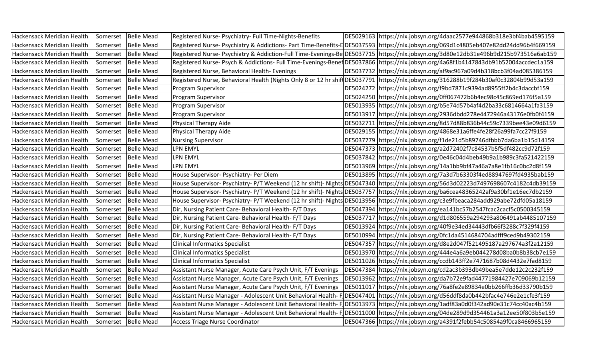| Hackensack Meridian Health | Somerset | <b>Belle Mead</b>     | Registered Nurse- Psychiatry- Full Time-Nights-Benefits      | DE5029163 https://nlx.jobsyn.org/4daac2577e944868b318e3bf4bab4595159                                                                   |
|----------------------------|----------|-----------------------|--------------------------------------------------------------|----------------------------------------------------------------------------------------------------------------------------------------|
| Hackensack Meridian Health | Somerset | <b>Belle Mead</b>     |                                                              | Registered Nurse-Psychiatry & Addictions-Part Time-Benefits-EDE5037593 https://nlx.jobsyn.org/069d1c4805eb407e82dd24dd96b4f669159      |
| Hackensack Meridian Health |          | Somerset   Belle Mead |                                                              | Registered Nurse-Psychiatry & Addiction-Full Time-Evenings-Be DE5037715 https://nlx.jobsyn.org/3d80e12db31e496b9d215b973516a6ab159     |
| Hackensack Meridian Health |          | Somerset   Belle Mead |                                                              | Registered Nurse-Psych & Addictions-Full Time-Evenings-Benef DE5037866 https://nlx.jobsyn.org/4a68f1b4147843db91b52004accdec1a159      |
| Hackensack Meridian Health | Somerset | <b>Belle Mead</b>     | Registered Nurse, Behavioral Health- Evenings                | DE5037732 https://nlx.jobsyn.org/af9ac967a09d4b318bcb3f04ad085386159                                                                   |
| Hackensack Meridian Health | Somerset | <b>Belle Mead</b>     |                                                              | Registered Nurse, Behavioral Health (Nights Only 8 or 12 hr shift DE5037791 https://nlx.jobsyn.org/316288b19f284b30af0c32804b99d53a159 |
| Hackensack Meridian Health | Somerset | <b>Belle Mead</b>     | Program Supervisor                                           | DE5024272 https://nlx.jobsyn.org/f9bd7871c9394ad8955ff2b4c3daccbf159                                                                   |
| Hackensack Meridian Health |          | Somerset   Belle Mead | Program Supervisor                                           | DE5024250 https://nlx.jobsyn.org/0ff067472b6b4ec98c45c869ed176f5a159                                                                   |
| Hackensack Meridian Health |          | Somerset   Belle Mead | Program Supervisor                                           | DE5013935 https://nlx.jobsyn.org/b5e74d57b4af4d2ba33c6814664a1fa3159                                                                   |
| Hackensack Meridian Health | Somerset | <b>Belle Mead</b>     | Program Supervisor                                           | DE5013917 https://nlx.jobsyn.org/2936dbdd278e4472946a43176e0fb0f4159                                                                   |
| Hackensack Meridian Health | Somerset | <b>Belle Mead</b>     | <b>Physical Therapy Aide</b>                                 | DE5032711 https://nlx.jobsyn.org/8d57d88b836b44c59c7339bee43e09d6159                                                                   |
| Hackensack Meridian Health | Somerset | <b>Belle Mead</b>     | Physical Therapy Aide                                        | DE5029155 https://nlx.jobsyn.org/4868e31a6ffe4fe28f26a99fa7cc27f9159                                                                   |
| Hackensack Meridian Health |          | Somerset   Belle Mead | <b>Nursing Supervisor</b>                                    | DE5037779 https://nlx.jobsyn.org/f1de21d5b89746dfbbb7da6ba1b15d14159                                                                   |
| Hackensack Meridian Health |          | Somerset   Belle Mead | <b>LPN EMYL</b>                                              | DE5047373 https://nlx.jobsyn.org/a2d72402f7c84537b5f5df482cc9d72f159                                                                   |
| Hackensack Meridian Health | Somerset | <b>Belle Mead</b>     | LPN EMYL                                                     | DE5037842 https://nlx.jobsyn.org/0e46c04d4beb49b9a1b989c3fa521422159                                                                   |
| Hackensack Meridian Health | Somerset | <b>Belle Mead</b>     | <b>LPN EMYL</b>                                              | DE5013969 https://nlx.jobsyn.org/14a1bb9bf47a46a7a8e1fb16c0bc2d8f159                                                                   |
| Hackensack Meridian Health | Somerset | <b>Belle Mead</b>     | House Supervisor- Psychiatry- Per Diem                       | DE5013895 https://nlx.jobsyn.org/7a3d7b63303f4ed88947697fd4935bab159                                                                   |
| Hackensack Meridian Health |          | Somerset Belle Mead   |                                                              | House Supervisor-Psychiatry-P/T Weekend (12 hr shift)-Nights DE5047340 https://nlx.jobsyn.org/56d3d02223d7497698607c4182c4db39159      |
| Hackensack Meridian Health |          | Somerset   Belle Mead |                                                              | House Supervisor-Psychiatry-P/T Weekend (12 hr shift)-Nights DE5037757 https://nlx.jobsyn.org/ba6cea48365242af9a30bf1e16ec7db2159      |
| Hackensack Meridian Health | Somerset | <b>Belle Mead</b>     |                                                              | House Supervisor-Psychiatry-P/T Weekend (12 hr shift)-Nights DE5013956 https://nlx.jobsyn.org/c3e9fbeaca284add929abe72dfd05a18159      |
| Hackensack Meridian Health | Somerset | <b>Belle Mead</b>     | Dir, Nursing Patient Care- Behavioral Health-F/T Days        | DE5047394 https://nlx.jobsyn.org/ea141bc57b2547fcac2cacf5c0500345159                                                                   |
| Hackensack Meridian Health | Somerset | <b>Belle Mead</b>     | Dir, Nursing Patient Care- Behavioral Health- F/T Days       | DE5037717 https://nlx.jobsyn.org/d1d806559a294293a806491ab4485107159                                                                   |
| Hackensack Meridian Health |          | Somerset   Belle Mead | Dir, Nursing Patient Care- Behavioral Health-F/T Days        | DE5013924 https://nlx.jobsyn.org/40f9e34ed34443dfb66f3288c7f329f4159                                                                   |
| Hackensack Meridian Health | Somerset | <b>Belle Mead</b>     | Dir, Nursing Patient Care- Behavioral Health-F/T Days        | DE5010994 https://nlx.jobsyn.org/0fc1da4514684704adfff9ced9b49302159                                                                   |
| Hackensack Meridian Health | Somerset | <b>Belle Mead</b>     | <b>Clinical Informatics Specialist</b>                       | DE5047357 https://nlx.jobsyn.org/d8e2d047f521495187a297674a3f2a12159                                                                   |
| Hackensack Meridian Health | Somerset | <b>Belle Mead</b>     | <b>Clinical Informatics Specialist</b>                       | DE5013970 https://nlx.jobsyn.org/444e4a6a9eb044278d08ba0b8b38cb7e159                                                                   |
| Hackensack Meridian Health | Somerset | <b>Belle Mead</b>     | <b>Clinical Informatics Specialist</b>                       | DE5011026 https://nlx.jobsyn.org/ccdb143ff2e7471687b08d4432e7fad8159                                                                   |
| Hackensack Meridian Health | Somerset | <b>Belle Mead</b>     | Assistant Nurse Manager, Acute Care Psych Unit, F/T Evenings | DE5047384 https://nlx.jobsyn.org/cd2ac3b393db49bea5e7dde12c2c232f159                                                                   |
| Hackensack Meridian Health |          | Somerset   Belle Mead | Assistant Nurse Manager, Acute Care Psych Unit, F/T Evenings | DE5013962 https://nlx.jobsyn.org/da7b72e9fad44771984427e709069b12159                                                                   |
| Hackensack Meridian Health | Somerset | <b>Belle Mead</b>     | Assistant Nurse Manager, Acute Care Psych Unit, F/T Evenings | DE5011017 https://nlx.jobsyn.org/76a8fe2e89834e0bb266ffb36d33790b159                                                                   |
| Hackensack Meridian Health | Somerset | <b>Belle Mead</b>     |                                                              | Assistant Nurse Manager - Adolescent Unit Behavioral Health- FOE5047401 https://nlx.jobsyn.org/d56ddf8da0b442bfac4e746e2e1cfe3f159     |
| Hackensack Meridian Health | Somerset | <b>Belle Mead</b>     |                                                              | Assistant Nurse Manager - Adolescent Unit Behavioral Health- FIDE5013973  https://nlx.jobsyn.org/1adf83a0d0f342ad90e31c74cc40ac4b159   |
| Hackensack Meridian Health | Somerset | <b>Belle Mead</b>     |                                                              | Assistant Nurse Manager - Adolescent Unit Behavioral Health-FlDE5011000 https://nlx.jobsyn.org/04de289d9d354461a3a12ee50f803b5e159     |
| Hackensack Meridian Health |          | Somerset   Belle Mead | <b>Access Triage Nurse Coordinator</b>                       | DE5047366 https://nlx.jobsyn.org/a4391f2febb54c50854a9f0ca8466965159                                                                   |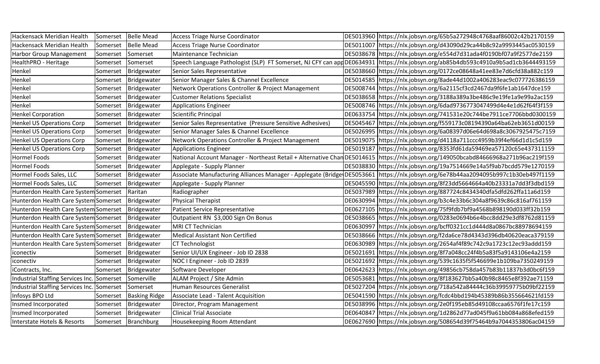| Hackensack Meridian Health                 | Somerset | <b>Belle Mead</b>    | <b>Access Triage Nurse Coordinator</b>                     | DE5013960 https://nlx.jobsyn.org/65b5a272948c4768aaf86002c42b2170159                                                                  |
|--------------------------------------------|----------|----------------------|------------------------------------------------------------|---------------------------------------------------------------------------------------------------------------------------------------|
| Hackensack Meridian Health                 | Somerset | <b>Belle Mead</b>    | <b>Access Triage Nurse Coordinator</b>                     | DE5011007 https://nlx.jobsyn.org/d43090d29ca44b8c92a9993445ac0530159                                                                  |
| Harbor Group Management                    | Somerset | Somerset             | Maintenance Technician                                     | DE5038678 https://nlx.jobsyn.org/e554d7d31ada4f0190bf07a9f2577de2159                                                                  |
| HealthPRO - Heritage                       | Somerset | Somerset             |                                                            | Speech Language Pathologist (SLP) FT Somerset, NJ CFY can appDE0634931 https://nlx.jobsyn.org/ab85b4db593c4910a9b5ad1cb3644493159     |
| Henkel                                     | Somerset | Bridgewater          | Senior Sales Representative                                | DE5038660 https://nlx.jobsyn.org/0172ce08648a41ee83e7d6cfd38a882c159                                                                  |
| Henkel                                     | Somerset | Bridgewater          | Senior Manager Sales & Channel Excellence                  | DE5014585 https://nlx.jobsyn.org/8ade44d1002a406283eac9c077726386159                                                                  |
| Henkel                                     | Somerset | Bridgewater          | Network Operations Controller & Project Management         | DE5008744 https://nlx.jobsyn.org/6a2115cf3cd2467da9f6fe1ab1647dce159                                                                  |
| Henkel                                     | Somerset | Bridgewater          | <b>Customer Relations Specialist</b>                       | DE5038658 https://nlx.jobsyn.org/3188a389a3be486c9e19fe1a9e99a2ac159                                                                  |
| Henkel                                     | Somerset | Bridgewater          | <b>Applications Engineer</b>                               | DE5008746 https://nlx.jobsyn.org/6dad9736773047499d4e4e1d62f64f3f159                                                                  |
| <b>Henkel Corporation</b>                  | Somerset | Bridgewater          | <b>Scientific Principal</b>                                | DE0633754 https://nlx.jobsyn.org/741531e20c744be7911ce7706bbd0300159                                                                  |
| <b>Henkel US Operations Corp</b>           | Somerset | Bridgewater          | Senior Sales Representative (Pressure Sensitive Adhesives) | DE5045467 https://nlx.jobsyn.org/f559173c08194390a64ba62eb3651d00159                                                                  |
| <b>Henkel US Operations Corp</b>           | Somerset | Bridgewater          | Senior Manager Sales & Channel Excellence                  | DE5026995 https://nlx.jobsyn.org/6a08397d06e64d698a8c3067925475c7159                                                                  |
| <b>Henkel US Operations Corp</b>           | Somerset | Bridgewater          | Network Operations Controller & Project Management         | DE5019075 https://nlx.jobsyn.org/d4118a711ccc4959b39f4ef66d1d1c5d159                                                                  |
| <b>Henkel US Operations Corp</b>           | Somerset | Bridgewater          | <b>Applications Engineer</b>                               | DE5019187 https://nlx.jobsyn.org/8353fd61da59469ea57120c65e437311159                                                                  |
| Hormel Foods                               | Somerset | Bridgewater          |                                                            | National Account Manager - Northeast Retail + Alternative Chan DE5014615   https://nlx.jobsyn.org/149050bcabd84666968a271b96ac219f159 |
| <b>Hormel Foods</b>                        | Somerset | Bridgewater          | Applegate - Supply Planner                                 | DE5038830 https://nlx.jobsyn.org/19a7514669e14a5f9ab7bcdd579e1270159                                                                  |
| Hormel Foods Sales, LLC                    | Somerset | Bridgewater          |                                                            | Associate Manufacturing Alliances Manager - Applegate (Bridge DE5053661  https://nlx.jobsyn.org/6e78b44aa2094095b997c1b30eb497f1159   |
| Hormel Foods Sales, LLC                    | Somerset | Bridgewater          | Applegate - Supply Planner                                 | DE5045590 https://nlx.jobsyn.org/8f23dd5664664a40b23331a7dd3f3dbd159                                                                  |
| Hunterdon Health Care System Somerset      |          | Raritan              | Radiographer                                               | DE5037989 https://nlx.jobsyn.org/887724c8434340dfa5dfd262ffa11a6d159                                                                  |
| Hunterdon Health Care System Somerset      |          | Bridgewater          | <b>Physical Therapist</b>                                  | DE0630994 https://nlx.jobsyn.org/b3c4e33b6c304a8f9639c86c816af761159                                                                  |
| Hunterdon Health Care System Somerset      |          | Bridgewater          | Patient Service Representative                             | DE0627105  https://nlx.jobsyn.org/75f9fdb7bf9a4568b898190d033ff32b159                                                                 |
| Hunterdon Health Care System Somerset      |          | Bridgewater          | Outpatient RN \$3,000 Sign On Bonus                        | DE5038665 https://nlx.jobsyn.org/0283e0694b6e4bcc8dd29e3df8762d81159                                                                  |
| Hunterdon Health Care System Somerset      |          | Bridgewater          | <b>MRI CT Technician</b>                                   | DE0630997 https://nlx.jobsyn.org/bcff0321cc1d444d8a0867bc88978694159                                                                  |
| Hunterdon Health Care System Somerset      |          | Bridgewater          | <b>Medical Assistant Non Certified</b>                     | DE5038666 https://nlx.jobsyn.org/f2da6ce78d4343d396db40620eaca379159                                                                  |
| Hunterdon Health Care System Somerset      |          | Bridgewater          | <b>CT Technologist</b>                                     | DE0630989 https://nlx.jobsyn.org/2654af4f89c742c9a1723c12ec93addd159                                                                  |
| iconectiv                                  | Somerset | Bridgewater          | Senior UI/UX Engineer - Job ID 2838                        | DE5021691 https://nlx.jobsyn.org/8f7a048cc24f4b5a83f5a9143106e4a2159                                                                  |
| iconectiv                                  | Somerset | Bridgewater          | NOC I Engineer - Job ID 2839                               | DE5021692 https://nlx.jobsyn.org/539c1635f5f546699e1b109ba7350249159                                                                  |
| iContracts, Inc.                           | Somerset | Bridgewater          | Software Developer                                         | DE0642623 https://nlx.jobsyn.org/49856cb758da457b83b11837b3d0bc6f159                                                                  |
| Industrial Staffing Services Inc. Somerset |          | Somerville           | ALAM Project / Site Admin                                  | DE5053681 https://nlx.jobsyn.org/8f183627bb5a40b98c8465e8f392ae71159                                                                  |
| Industrial Staffing Services Inc. Somerset |          | Somerset             | Human Resources Generalist                                 | DE5027204 https://nlx.jobsyn.org/718a542a84444c36b39959775b09bf22159                                                                  |
| Infosys BPO Ltd                            | Somerset | <b>Basking Ridge</b> | Associate Lead - Talent Acquisition                        | DE5041590 https://nlx.jobsyn.org/fcdc4bbd194b45389b86b355664621fd159                                                                  |
| Insmed Incorporated                        | Somerset | Bridgewater          | Director, Program Management                               | DE5038996 https://nlx.jobsyn.org/2e0f195eb85d49108ccaa6576f1fe17c159                                                                  |
| Insmed Incorporated                        | Somerset | Bridgewater          | <b>Clinical Trial Associate</b>                            | DE0640847 https://nlx.jobsyn.org/1d2862d77ad045f9a61bb084a868efed159                                                                  |
| <b>Interstate Hotels &amp; Resorts</b>     |          | Somerset Branchburg  | Housekeeping Room Attendant                                | DE0627690 https://nlx.jobsyn.org/508654d39f75464b9a7044353806ac04159                                                                  |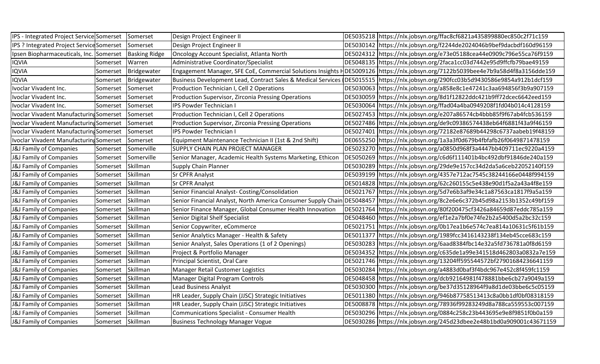| IPS - Integrated Project Service Somerset |                   | Somerset             | Design Project Engineer II                                   | DE5035218 https://nlx.jobsyn.org/ffac8cf6821a435899880ec850c2f71c159                                                               |
|-------------------------------------------|-------------------|----------------------|--------------------------------------------------------------|------------------------------------------------------------------------------------------------------------------------------------|
| IPS ? Integrated Project Service Somerset |                   | Somerset             | Design Project Engineer II                                   | DE5030142 https://nlx.jobsyn.org/f2244de2024046b9bef9dacbdf160d96159                                                               |
| Ipsen Biopharmaceuticals, Inc. Somerset   |                   | <b>Basking Ridge</b> | Oncology Account Specialist, Atlanta North                   | DE5024312 https://nlx.jobsyn.org/e73e05188cea44e0909c796e55ca76f9159                                                               |
| <b>IQVIA</b>                              | Somerset          | Warren               | Administrative Coordinator/Specialist                        | DE5048135 https://nlx.jobsyn.org/2faca1cc03d7442e95d9ffcfb79bae49159                                                               |
| <b>IQVIA</b>                              | Somerset          | Bridgewater          |                                                              | Engagement Manager, SFE CoE, Commercial Solutions Insights HDE5009126  https://nlx.jobsyn.org/7122b5039bee4e7b9a58d4f8a3156dde159  |
| <b>IQVIA</b>                              | Somerset          | Bridgewater          | Business Development Lead, Contract Sales & Medical Services | DE5015515  https://nlx.jobsyn.org/290fcc03b5d9430586e9854a912b1dcf159                                                              |
| Ivoclar Vivadent Inc.                     | Somerset          | Somerset             | Production Technician I, Cell 2 Operations                   | DE5030063 https://nlx.jobsyn.org/a858e8c1e47241c3aa694856f3b9a907159                                                               |
| Ivoclar Vivadent Inc.                     | Somerset          | Somerset             | Production Supervisor, Zirconia Pressing Operations          | DE5030059 https://nlx.jobsyn.org/8d1f12822ddc421b9ff72dcec6642eed159                                                               |
| Ivoclar Vivadent Inc.                     | Somerset          | Somerset             | <b>IPS Powder Technician I</b>                               | DE5030064 https://nlx.jobsyn.org/ffad04a4ba0949208f1fd04b014c4128159                                                               |
| Ivoclar Vivadent Manufacturing Somerset   |                   | Somerset             | Production Technician I, Cell 2 Operations                   | DE5027453 https://nlx.jobsyn.org/e207a86574cb4bbb85f9f67ab4fcb536159                                                               |
| Ivoclar Vivadent Manufacturing Somerset   |                   | Somerset             | Production Supervisor, Zirconia Pressing Operations          | DE5027486 https://nlx.jobsyn.org/de9c09386574438eb64f6881f43a9f46159                                                               |
| Ivoclar Vivadent Manufacturing Somerset   |                   | Somerset             | <b>IPS Powder Technician I</b>                               | DE5027401 https://nlx.jobsyn.org/72182e87689b44298c6737aabeb19f48159                                                               |
| Ivoclar Vivadent Manufacturing Somerset   |                   | Somerset             | Equipment Maintenance Technician II (1st & 2nd Shift)        | DE0655250 https://nlx.jobsyn.org/1a3a3f0d679b4fbfafb26f0649871478159                                                               |
| J&J Family of Companies                   | Somerset          | Somerville           | SUPPLY CHAIN PLAN PROJECT MANAGER                            | DE5023270 https://nlx.jobsyn.org/a0850d968f3a4447bb409711ec9220a4159                                                               |
| J&J Family of Companies                   | Somerset          | Somerville           | Senior Manager, Academic Health Systems Marketing, Ethicon   | DE5050269 https://nlx.jobsyn.org/c6d6f111401b4bc492dbf91846de240a159                                                               |
| J&J Family of Companies                   | Somerset          | Skillman             | <b>Supply Chain Planner</b>                                  | DE5030289 https://nlx.jobsyn.org/29de9e157cc34d2da5a6ceb22052140f159                                                               |
| J&J Family of Companies                   | Somerset          | Skillman             | <b>Sr CPFR Analyst</b>                                       | DE5039199 https://nlx.jobsyn.org/4357e712ac7545c38244166e0448f994159                                                               |
| J&J Family of Companies                   | Somerset          | Skillman             | <b>Sr CPFR Analyst</b>                                       | DE5014828 https://nlx.jobsyn.org/62c260155c5e438e90d1f5a2a43a4f8e159                                                               |
| J&J Family of Companies                   | Somerset          | Skillman             | Senior Financial Analyst- Costing/Consolidation              | DE5021767 https://nlx.jobsyn.org/5d7e6b3af9e34c1a87563ca1817f9a5a159                                                               |
| J&J Family of Companies                   | Somerset          | Skillman             |                                                              | Senior Financial Analyst, North America Consumer Supply Chain DE5048457 https://nlx.jobsyn.org/8c2e6e6c372b45d98a2153b1352c49bf159 |
| J&J Family of Companies                   | Somerset          | Skillman             | Senior Finance Manager, Global Consumer Health Innovation    | DE5021764 https://nlx.jobsyn.org/80f200475cf3426a84659d87eddc785a159                                                               |
| J&J Family of Companies                   | Somerset          | Skillman             | Senior Digital Shelf Specialist                              | DE5048460 https://nlx.jobsyn.org/ef1e2a7bf0e74fe2b2a5400d5a2bc32c159                                                               |
| J&J Family of Companies                   | Somerset          | Skillman             | Senior Copywriter, eCommerce                                 | DE5021751 https://nlx.jobsyn.org/0b17ea1b6e574c7ea814a10631c5f61b159                                                               |
| J&J Family of Companies                   | Somerset          | Skillman             | Senior Analytics Manager - Health & Safety                   | DE5011377   https://nlx.jobsyn.org/1989fcc3416143238f134eb45cce683c159                                                             |
| J&J Family of Companies                   | Somerset          | Skillman             | Senior Analyst, Sales Operations (1 of 2 Openings)           | DE5030283 https://nlx.jobsyn.org/6aad8384fbc14e32a5fd736781a0f8d6159                                                               |
| J&J Family of Companies                   | Somerset          | Skillman             | Project & Portfolio Manager                                  | DE5034352 https://nlx.jobsyn.org/c635de1a99e341518d462803a0832a7e159                                                               |
| J&J Family of Companies                   | Somerset          | Skillman             | Principal Scientist, Oral Care                               | DE5021746 https://nlx.jobsyn.org/13204ff595544572bf27901684236641159                                                               |
| J&J Family of Companies                   | Somerset          | Skillman             | Manager Retail Customer Logistics                            | DE5030284 https://nlx.jobsyn.org/a4883d0baf3f4bdc967e452c8f459fc1159                                                               |
| J&J Family of Companies                   | Somerset          | Skillman             | Manager Digital Program Controls                             | DE5048458 https://nlx.jobsyn.org/dcb92164981f478881bbe6cb27a9049a159                                                               |
| J&J Family of Companies                   | Somerset          | Skillman             | <b>Lead Business Analyst</b>                                 | DE5030300 https://nlx.jobsyn.org/be37d35128964f9a8d1de03bbe6c5c05159                                                               |
| J&J Family of Companies                   | Somerset          | Skillman             | HR Leader, Supply Chain (JJSC) Strategic Initiatives         | DE5011380 https://nlx.jobsyn.org/946b87758513413c8a0bb1df0bf08318159                                                               |
| J&J Family of Companies                   | Somerset          | Skillman             | HR Leader, Supply Chain (JJSC) Strategic Initiatives         | DE5008878 https://nlx.jobsyn.org/78936f99283249d8a788ca559553c007159                                                               |
| J&J Family of Companies                   | Somerset          | Skillman             | <b>Communications Specialist - Consumer Health</b>           | DE5030296 https://nlx.jobsyn.org/0884c258c23b443695e9e8f9851f0b0a159                                                               |
| J&J Family of Companies                   | Somerset Skillman |                      | <b>Business Technology Manager Vogue</b>                     | DE5030286 https://nlx.jobsyn.org/245d23dbee2e48b1bd0a909001c43671159                                                               |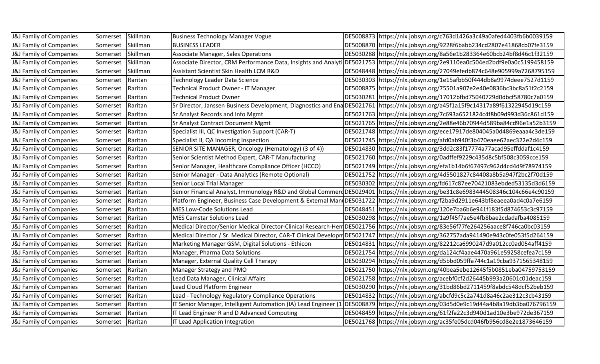| J&J Family of Companies            | Somerset         | Skillman | <b>Business Technology Manager Vogue</b>                        | DE5008873 https://nlx.jobsyn.org/c763d1426a3c49a0afed4403fb6b0039159                                                                  |
|------------------------------------|------------------|----------|-----------------------------------------------------------------|---------------------------------------------------------------------------------------------------------------------------------------|
| <b>J&amp;J Family of Companies</b> | Somerset         | Skillman | <b>BUSINESS LEADER</b>                                          | DE5008870 https://nlx.jobsyn.org/9228f6babb234cd2807e41868cb07fe3159                                                                  |
| <b>J&amp;J Family of Companies</b> | Somerset         | Skillman | <b>Associate Manager, Sales Operations</b>                      | DE5030288 https://nlx.jobsyn.org/8a56e1b283364e60bcb24bf8d46c1f32159                                                                  |
| <b>J&amp;J Family of Companies</b> | Somerset         | Skillman |                                                                 | Associate Director, CRM Performance Data, Insights and Analyti DE5021753 https://nlx.jobsyn.org/2e9110ea0c504ed2bdf9e0a0c5199458159   |
| <b>J&amp;J Family of Companies</b> | Somerset         | Skillman | Assistant Scientist Skin Health LCM R&D                         | DE5048448   https://nlx.jobsyn.org/27049efedb874c648e905999a7268795159                                                                |
| <b>J&amp;J Family of Companies</b> | Somerset         | Raritan  | Technology Leader Data Science                                  | DE5030303 https://nlx.jobsyn.org/1e15afbb50f444db8a9974deee7527d1159                                                                  |
| <b>J&amp;J Family of Companies</b> | Somerset         | Raritan  | Technical Product Owner - IT Manager                            | DE5008875 https://nlx.jobsyn.org/75501a907e2e40e0836bc3bc8a51f2c2159                                                                  |
| <b>J&amp;J Family of Companies</b> | Somerset         | Raritan  | <b>Technical Product Owner</b>                                  | DE5030281 https://nlx.jobsyn.org/17012bfbd75040729d0dbcf58780c7a0159                                                                  |
| <b>J&amp;J Family of Companies</b> | Somerset         | Raritan  |                                                                 | Sr Director, Janssen Business Development, Diagnostics and Ena DE5021761  https://nlx.jobsyn.org/a45f1a15f9c14317a89f61322945d19c159  |
| <b>J&amp;J Family of Companies</b> | Somerset         | Raritan  | Sr Analyst Records and Info Mgmt                                | DE5021763 https://nlx.jobsyn.org/7c693a6521824c4f8b09d993d36c861d159                                                                  |
| J&J Family of Companies            | Somerset         | Raritan  | <b>Sr Analyst Contract Document Mgmt</b>                        | DE5021765 https://nlx.jobsyn.org/2e88e46b70944d589ba84cd96e1a52b3159                                                                  |
| J&J Family of Companies            | Somerset         | Raritan  | Specialist III, QC Investigation Support (CAR-T)                | DE5021748 https://nlx.jobsyn.org/ece17917de804045a0d4869eaaa4c3de159                                                                  |
| J&J Family of Companies            | Somerset         | Raritan  | Specialist II, QA Incoming Inspection                           | DE5021745 https://nlx.jobsyn.org/afd0ab940f3b470eaee62aec322e2d4c159                                                                  |
| <b>J&amp;J Family of Companies</b> | Somerset         | Raritan  | SENIOR SITE MANAGER, Oncology (Hematology) (3 of 4))            | DE5014830 https://nlx.jobsyn.org/3dd2c83f17774a77acad95effddaf1c4159                                                                  |
| <b>J&amp;J Family of Companies</b> | Somerset         | Raritan  | Senior Scientist Method Expert, CAR-T Manufacturing             | DE5021760 https://nlx.jobsyn.org/0adffef9229c435d8c5bf508c3059cce159                                                                  |
| J&J Family of Companies            | Somerset         | Raritan  | Senior Manager, Healthcare Compliance Officer (HCCO)            | DE5021749 https://nlx.jobsyn.org/efa1b14b6f67497c962d4cd4d9f78974159                                                                  |
| <b>J&amp;J Family of Companies</b> | Somerset         | Raritan  | Senior Manager - Data Analytics (Remote Optional)               | DE5021752 https://nlx.jobsyn.org/4d5501827c84408a8b5a947f2bc2f70d159                                                                  |
| J&J Family of Companies            | Somerset         | Raritan  | Senior Local Trial Manager                                      | DE5030302 https://nlx.jobsyn.org/fd617c87ee70421083ebded53135d3d6159                                                                  |
| <b>J&amp;J Family of Companies</b> | Somerset         | Raritan  |                                                                 | Senior Financial Analyst, Immunology R&D and Global Commerd DE5029401 https://nlx.jobsyn.org/be31c8e6983444508346c104c66e4c90159      |
| <b>J&amp;J Family of Companies</b> | Somerset         | Raritan  |                                                                 | Platform Engineer, Business Case Development & External MandDE5031722 https://nlx.jobsyn.org/f2ba9d2911e643bf8eaeea0ad4c0a7e6159      |
| J&J Family of Companies            | Somerset         | Raritan  | <b>MES Low-Code Solutions Lead</b>                              | DE5048451 https://nlx.jobsyn.org/120e7ba6b6e941f183f5d874653c3c97159                                                                  |
| <b>J&amp;J Family of Companies</b> | Somerset         | Raritan  | <b>MES Camstar Solutions Lead</b>                               | DE5030298 https://nlx.jobsyn.org/1a9f45f7ae5e4fb8bae2cdadafba4085159                                                                  |
| <b>J&amp;J Family of Companies</b> | Somerset         | Raritan  |                                                                 | Medical Director/Senior Medical Director-Clinical Research-Hem DE5021756  https://nlx.jobsyn.org/83e56f77fe264256aace8f746ca0bc03159  |
| <b>J&amp;J Family of Companies</b> | Somerset         | Raritan  |                                                                 | Medical Director / Sr. Medical Director, CAR-T Clinical Developm DE5021747 https://nlx.jobsyn.org/362757ada941490e943c0fe053f5d264159 |
| <b>J&amp;J Family of Companies</b> | Somerset         | Raritan  | Marketing Manager GSM, Digital Solutions - Ethicon              | DE5014831 https://nlx.jobsyn.org/82212ca6990247d9a012cc0ad054aff4159                                                                  |
| J&J Family of Companies            | Somerset         | Raritan  | Manager, Pharma Data Solutions                                  | DE5021754 https://nlx.jobsyn.org/da124cf4aae4470a961e59258cefea7c159                                                                  |
| J&J Family of Companies            | Somerset         | Raritan  | Manager, External Quality Cell Therapy                          | DE5030294 https://nlx.jobsyn.org/d5bbd059ffa744c1a19cba9371565348159                                                                  |
| J&J Family of Companies            | Somerset         | Raritan  | Manager Strategy and PMO                                        | DE5021750 https://nlx.jobsyn.org/40bea5ebe12645f5b0851eba04759753159                                                                  |
| <b>J&amp;J Family of Companies</b> | Somerset         | Raritan  | Lead Data Manager, Clinical Affairs                             | DE5021758 https://nlx.jobsyn.org/acebf0cf2d26445b993a20601c01deac159                                                                  |
| <b>J&amp;J Family of Companies</b> | Somerset         | Raritan  | Lead Cloud Platform Engineer                                    | DE5030290 https://nlx.jobsyn.org/31bd86bd2711459f8abdc548dcf52beb159                                                                  |
| J&J Family of Companies            | Somerset         | Raritan  | Lead - Technology Regulatory Compliance Operations              | DE5014832 https://nlx.jobsyn.org/abcfd9c5c2a741d8a46c2ae312c3cb43159                                                                  |
| <b>J&amp;J Family of Companies</b> | Somerset         | Raritan  | IT Senior Manager, Intelligent Automation (IA) Lead Engineer (1 | DE5008879 https://nlx.jobsyn.org/03d5d0e9c19d44a4b8a19db3ba076796159                                                                  |
| <b>J&amp;J Family of Companies</b> | Somerset         | Raritan  | IT Lead Engineer R and D Advanced Computing                     | DE5048459 https://nlx.jobsyn.org/61f2fa22c3d940d1ad10e3be972de367159                                                                  |
| J&J Family of Companies            | Somerset Raritan |          | IT Lead Application Integration                                 | DE5021768  https://nlx.jobsyn.org/ac35fe05dcd046fb956cd8e2e1873646159                                                                 |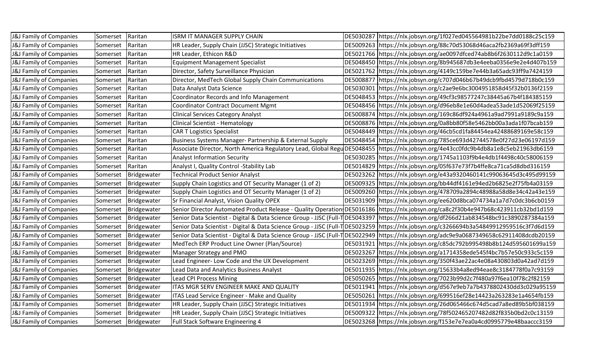| J&J Family of Companies            | Somerset | Raritan              | ISRM IT MANAGER SUPPLY CHAIN                                       | DE5030287 https://nlx.jobsyn.org/1f027ed045564981b22be7dd0188c25c159                                                                      |
|------------------------------------|----------|----------------------|--------------------------------------------------------------------|-------------------------------------------------------------------------------------------------------------------------------------------|
| J&J Family of Companies            | Somerset | Raritan              | HR Leader, Supply Chain (JJSC) Strategic Initiatives               | DE5009263 https://nlx.jobsyn.org/88c70d53068d46aca2fb2369a69f3dff159                                                                      |
| J&J Family of Companies            | Somerset | Raritan              | HR Leader, Ethicon R&D                                             | DE5021766 https://nlx.jobsyn.org/ae0097dfced74ab8b6f2630112d9c1a0159                                                                      |
| <b>J&amp;J Family of Companies</b> | Somerset | Raritan              | <b>Equipment Management Specialist</b>                             | DE5048450 https://nlx.jobsyn.org/8b945687db3e4eeba0356e9e2e4d407b159                                                                      |
| <b>J&amp;J Family of Companies</b> | Somerset | Raritan              | Director, Safety Surveillance Physician                            | DE5021762 https://nlx.jobsyn.org/4149c159be7e44b3a65adc93ff9a7424159                                                                      |
| <b>J&amp;J Family of Companies</b> | Somerset | Raritan              | Director, MedTech Global Supply Chain Communications               | DE5008877 https://nlx.jobsyn.org/c707d046b67b49dcb9fbd4579d718b0c159                                                                      |
| J&J Family of Companies            | Somerset | Raritan              | Data Analyst Data Science                                          | DE5030301 https://nlx.jobsyn.org/c2ae9e6bc3004951858d45f32b0136f2159                                                                      |
| J&J Family of Companies            | Somerset | Raritan              | Coordinator Records and Info Management                            | DE5048453 https://nlx.jobsyn.org/49cf3c98577247c38445a67b4f184385159                                                                      |
| <b>J&amp;J Family of Companies</b> | Somerset | Raritan              | <b>Coordinator Contract Document Mgmt</b>                          | DE5048456 https://nlx.jobsyn.org/d96eb8e1e60d4adea53ade1d52069f25159                                                                      |
| J&J Family of Companies            | Somerset | Raritan              | <b>Clinical Services Category Analyst</b>                          | DE5008874 https://nlx.jobsyn.org/169c86df924a4961a9ad7991a9189c9a159                                                                      |
| J&J Family of Companies            | Somerset | Raritan              | <b>Clinical Scientist - Hematology</b>                             | DE5008876 https://nlx.jobsyn.org/0a8bb80f58e5462bb00a3ada1f07bcab159                                                                      |
| J&J Family of Companies            | Somerset | Raritan              | <b>CAR T Logistics Specialist</b>                                  | DE5048449 https://nlx.jobsyn.org/46cb5cd1fa84454ea42488689169e58c159                                                                      |
| J&J Family of Companies            | Somerset | Raritan              | Business Systems Manager- Partnership & External Supply            | DE5048454  https://nlx.jobsyn.org/785ce693d42744578e0f27d23e06197d159                                                                     |
| <b>J&amp;J Family of Companies</b> | Somerset | Raritan              |                                                                    | Associate Director, North America Regulatory Lead, Global Regu DE5048455  https://nlx.jobsyn.org/4e43cc0fdc9b4db8a1e8c5eb21963db6159      |
| <b>J&amp;J Family of Companies</b> | Somerset | Raritan              | <b>Analyst Information Security</b>                                | DE5030285 https://nlx.jobsyn.org/1745a1103f9b4e4db1f4498c40c58006159                                                                      |
| J&J Family of Companies            | Somerset | Raritan              | Analyst I, Quality Control - Stability Lab                         | DE5014829 https://nlx.jobsyn.org/05f637e73f7b4ffe8ca71ca5d8dbd316159                                                                      |
| J&J Family of Companies            | Somerset | Bridgewater          | <b>Technical Product Senior Analyst</b>                            | DE5023262 https://nlx.jobsyn.org/e43a9320460141c99063645d3c495d99159                                                                      |
| J&J Family of Companies            | Somerset | Bridgewater          | Supply Chain Logistics and OT Security Manager (1 of 2)            | DE5009325 https://nlx.jobsyn.org/bb44df4161e94ed2b6825e2f75fb4a03159                                                                      |
| <b>J&amp;J Family of Companies</b> | Somerset | Bridgewater          | Supply Chain Logistics and OT Security Manager (1 of 2)            | DE5009260 https://nlx.jobsyn.org/478709a2894c48988a58d8e34c42a43e159                                                                      |
| J&J Family of Companies            | Somerset | Bridgewater          | Sr Financial Analyst, Vision Quality OPEX                          | DE5031909 https://nlx.jobsyn.org/ee620d8bca074734a1a7d7c0dc3b6cb0159                                                                      |
| J&J Family of Companies            | Somerset | Bridgewater          |                                                                    | Senior Director Automated Product Release - Quality Operation DE5016186 https://nlx.jobsyn.org/ca8c2f30b4e947b68c423911cb32bd1d159        |
| J&J Family of Companies            | Somerset | Bridgewater          |                                                                    | Senior Data Scientist - Digital & Data Science Group - JJSC (Full-T DE5043397  https://nlx.jobsyn.org/df266d21ab834548bc91c3890287384a159 |
| J&J Family of Companies            | Somerset | Bridgewater          | Senior Data Scientist - Digital & Data Science Group - JJSC (Full- |                                                                                                                                           |
| <b>J&amp;J Family of Companies</b> | Somerset | Bridgewater          |                                                                    | Senior Data Scientist - Digital & Data Science Group - JJSC (Full-T DE5022949  https://nlx.jobsyn.org/adc9e9a0687349658c62911408dcdb20159 |
| J&J Family of Companies            | Somerset | Bridgewater          | MedTech ERP Product Line Owner (Plan/Source)                       | DE5031921 https://nlx.jobsyn.org/c85dc792b995498b8b124d595601699a159                                                                      |
| J&J Family of Companies            | Somerset | Bridgewater          | Manager Strategy and PMO                                           | DE5023267 https://nlx.jobsyn.org/a1714358ede545f4bc7b57e50c933c5c159                                                                      |
| <b>J&amp;J Family of Companies</b> | Somerset | Bridgewater          | Lead Engineer- Low Code and the UX Development                     | DE5023269 https://nlx.jobsyn.org/350f43ae22ac4e08a430803d0a42ad7d159                                                                      |
| J&J Family of Companies            | Somerset | Bridgewater          | Lead Data and Analytics Business Analyst                           | DE5011935 https://nlx.jobsyn.org/15633b4a8ed94eae8c3184778f0a7c93159                                                                      |
| <b>J&amp;J Family of Companies</b> | Somerset | Bridgewater          | Lead CPI Process Mining                                            | DE5050265 https://nlx.jobsyn.org/7023b99d2c7f480a97f6ea10f78c2f82159                                                                      |
| J&J Family of Companies            | Somerset | Bridgewater          | ITAS MGR SERV ENGINEER MAKE AND QUALITY                            | DE5011941 https://nlx.jobsyn.org/d567e9eb7a7b4378802430dd3c029a95159                                                                      |
| J&J Family of Companies            | Somerset | Bridgewater          | ITAS Lead Service Engineer - Make and Quality                      | DE5050261 https://nlx.jobsyn.org/699516ef28e14423a263283e1a4654fb159                                                                      |
| J&J Family of Companies            | Somerset | Bridgewater          | HR Leader, Supply Chain (JJSC) Strategic Initiatives               | DE5011934 https://nlx.jobsyn.org/26d065466c674d5cad7a8ed89b5bf038159                                                                      |
| J&J Family of Companies            | Somerset | Bridgewater          | HR Leader, Supply Chain (JJSC) Strategic Initiatives               | DE5009322 https://nlx.jobsyn.org/78f502465207482d82f835b0bd2c0c13159                                                                      |
| <b>J&amp;J Family of Companies</b> |          | Somerset Bridgewater | Full Stack Software Engineering 4                                  | DE5023268 https://nlx.jobsyn.org/f153e7e7ea0a4cd0995779e48baaccc3159                                                                      |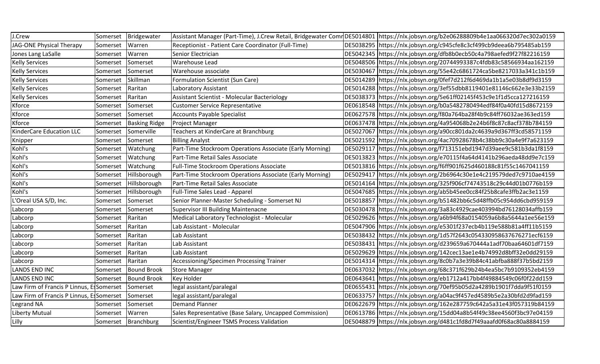| J.Crew                                   | Somerset | Bridgewater          |                                                          | Assistant Manager (Part-Time), J.Crew Retail, Bridgewater Comr DE5014801 https://nlx.jobsyn.org/b2e06288809b4e1aa066320d7ec302a0159 |
|------------------------------------------|----------|----------------------|----------------------------------------------------------|-------------------------------------------------------------------------------------------------------------------------------------|
| JAG-ONE Physical Therapy                 | Somerset | Warren               | Receptionist - Patient Care Coordinator (Full-Time)      | DE5038295 https://nlx.jobsyn.org/c945cfe8c3cf499cb9deea6b795485ab159                                                                |
| Jones Lang LaSalle                       | Somerset | Warren               | Senior Electrician                                       | DE5042345 https://nlx.jobsyn.org/dfb8b0ecb50c4a798aefed9f27f82216159                                                                |
| <b>Kelly Services</b>                    | Somerset | Somerset             | <b>Warehouse Lead</b>                                    | DE5048506 https://nlx.jobsyn.org/20744993387c4fdb83c58566934aa162159                                                                |
| <b>Kelly Services</b>                    | Somerset | Somerset             | Warehouse associate                                      | DE5030467 https://nlx.jobsyn.org/55e42c6861724ca5be8217033a341c1b159                                                                |
| <b>Kelly Services</b>                    | Somerset | Skillman             | Formulation Scientist (Sun Care)                         | DE5014289 https://nlx.jobsyn.org/0fef7d212f6d469da1b1a5e03b8df9d3159                                                                |
| <b>Kelly Services</b>                    | Somerset | Raritan              | Laboratory Assistant                                     | DE5014288 https://nlx.jobsyn.org/3ef55dbb8119401e81146c662e3e33b2159                                                                |
| <b>Kelly Services</b>                    | Somerset | Raritan              | Assistant Scientist - Molecular Bacteriology             | DE5038373 https://nlx.jobsyn.org/5e61ff02145f453c9e1f1d5cca127216159                                                                |
| Kforce                                   | Somerset | Somerset             | <b>Customer Service Representative</b>                   | DE0618548 https://nlx.jobsyn.org/b0a5482780494edf84f0a40fd15d8672159                                                                |
| Kforce                                   | Somerset | Somerset             | <b>Accounts Payable Specialist</b>                       | DE0627578 https://nlx.jobsyn.org/f80a764ba28f4b9c84ff76032ae363ed159                                                                |
| Kforce                                   | Somerset | <b>Basking Ridge</b> | Project Manager                                          | DE0637478 https://nlx.jobsyn.org/4a954068b2e24b6f8c87c8acf378b784159                                                                |
| KinderCare Education LLC                 | Somerset | Somerville           | Teachers at KinderCare at Branchburg                     | DE5027067 https://nlx.jobsyn.org/a90cc801da2c4639a9d367ff3cd58571159                                                                |
| Knipper                                  | Somerset | Somerset             | <b>Billing Analyst</b>                                   | DE5021592 https://nlx.jobsyn.org/4ac70928678b4c38bb9c30a4e9f7a623159                                                                |
| Kohl's                                   | Somerset | Watchung             | Part-Time Stockroom Operations Associate (Early Morning) | DE5029117 https://nlx.jobsyn.org/f713151ebd1947d39aee9c581b3da1f8159                                                                |
| Kohl's                                   | Somerset | Watchung             | Part-Time Retail Sales Associate                         | DE5013823 https://nlx.jobsyn.org/e70115f4a64d4141b296aeda48dd9e7c159                                                                |
| Kohl's                                   | Somerset | Watchung             | <b>Full-Time Stockroom Operations Associate</b>          | DE5013816 https://nlx.jobsyn.org/f6ff901f625d460188c81f55c1467041159                                                                |
| Kohl's                                   | Somerset | Hillsborough         | Part-Time Stockroom Operations Associate (Early Morning) | DE5029417 https://nlx.jobsyn.org/2b6964c30e1e4c219579ded7c9710ae4159                                                                |
| Kohl's                                   | Somerset | Hillsborough         | Part-Time Retail Sales Associate                         | DE5014164 https://nlx.jobsyn.org/325f906cf74743518c29c44d01b0776b159                                                                |
| Kohl's                                   | Somerset | Hillsborough         | Full-Time Sales Lead - Apparel                           | DE5047685 https://nlx.jobsyn.org/ab5b45ee0cc84f25b8cafe3ffb2ac3e1159                                                                |
| L'Oreal USA S/D, Inc.                    | Somerset | Somerset             | Senior Planner-Master Scheduling - Somerset NJ           | DE5018857 https://nlx.jobsyn.org/b51482bb6c5d48ffb05c954dd6cbd959159                                                                |
| Labcorp                                  | Somerset | Somerset             | <b>Supervisor III Building Maintenacne</b>               | DE5030478   https://nlx.jobsyn.org/3a83c4929cae403994bd76128034affb159                                                              |
| Labcorp                                  | Somerset | Raritan              | Medical Laboratory Technologist - Molecular              | DE5029626 https://nlx.jobsyn.org/a6b94f68a0154059a6b8a5644a1ee56e159                                                                |
| Labcorp                                  | Somerset | Raritan              | Lab Assistant - Molecular                                | DE5047906 https://nlx.jobsyn.org/e5301f237ecb4b119e588b81a4ff11b5159                                                                |
| Labcorp                                  | Somerset | Raritan              | Lab Assistant                                            | DE5038432 https://nlx.jobsyn.org/1d57f2643c054330958637676271ecf6159                                                                |
| Labcorp                                  | Somerset | Raritan              | Lab Assistant                                            | DE5038431 https://nlx.jobsyn.org/d239659a670444a1adf70baa64601df7159                                                                |
| Labcorp                                  | Somerset | Raritan              | Lab Assistant                                            | DE5029629 https://nlx.jobsyn.org/142cec13ae1e4b74992d8bff32e0dd29159                                                                |
| Labcorp                                  | Somerset | Raritan              | <b>Accessioning/Specimen Processing Trainer</b>          | DE5014314 https://nlx.jobsyn.org/8c0b7a3e39b84c41abfba888f37b5bd2159                                                                |
| <b>LANDS END INC</b>                     | Somerset | Bound Brook          | <b>Store Manager</b>                                     | DE0637032 https://nlx.jobsyn.org/68c371f629b24b4ea5bc7b9109352eb4159                                                                |
| <b>LANDS END INC</b>                     | Somerset | Bound Brook          | Key Holder                                               | DE0643641 https://nlx.jobsyn.org/eb1712a417bb4f49884549c06f0f22dd159                                                                |
| Law Firm of Francis P Linnus, Essomerset |          | Somerset             | legal assistant/paralegal                                | DE0655431 https://nlx.jobsyn.org/70ef95b05d2a4289b1901f7dda9f51f0159                                                                |
| Law Firm of Francis P Linnus, EsSomerset |          | Somerset             | legal assistant/paralegal                                | DE0633757 https://nlx.jobsyn.org/a04ac9f457ed4589b5e2a30bfd2d9fad159                                                                |
| Legrand NA                               | Somerset | Somerset             | <b>Demand Planner</b>                                    | DE0622679 https://nlx.jobsyn.org/162e287759c642a5a31e43f057319b84159                                                                |
| Liberty Mutual                           | Somerset | Warren               | Sales Representative (Base Salary, Uncapped Commission)  | DE0613786 https://nlx.jobsyn.org/15dd04a8b54f49c38ee4560f3bc97e04159                                                                |
| Lilly                                    |          | Somerset Branchburg  | Scientist/Engineer TSMS Process Validation               | DE5048879 https://nlx.jobsyn.org/d481c1fd8d7f49aaafd0f68ac80a8884159                                                                |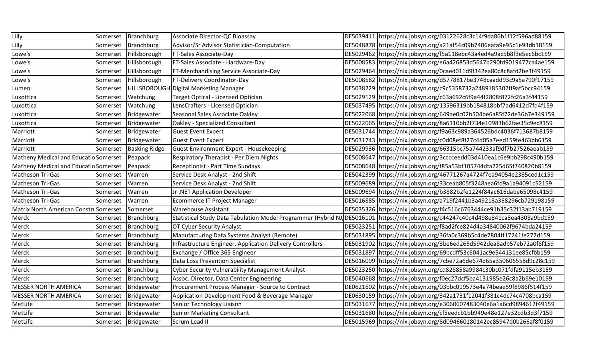| Lilly                                 | Somerset | Branchburg           | Associate Director-QC Bioassay                                | DE5039411 https://nlx.jobsyn.org/03122628c3c14f9da86b1f12f596ad88159 |
|---------------------------------------|----------|----------------------|---------------------------------------------------------------|----------------------------------------------------------------------|
| Lilly                                 | Somerset | Branchburg           | Advisor/Sr Advisor Statistician-Computation                   | DE5048878 https://nlx.jobsyn.org/a21af54c09b7406eafa9e95c1e93db10159 |
| Lowe's                                | Somerset | Hillsborough         | <b>FT-Sales Associate-Day</b>                                 | DE5029462 https://nlx.jobsyn.org/f5a118ebc43a4ed4a9ac5b8f3e5ec6bc159 |
| Lowe's                                | Somerset | Hillsborough         | FT-Sales Associate - Hardware-Day                             | DE5008583 https://nlx.jobsyn.org/e6a426853d5647b290fd9019477ca4ae159 |
| Lowe's                                | Somerset | Hillsborough         | <b>FT-Merchandising Service Associate-Day</b>                 | DE5029464 https://nlx.jobsyn.org/0caed011d9f342ea80c8c8afd2be3f49159 |
| Lowe's                                | Somerset | Hillsborough         | FT-Delivery Coordinator-Day                                   | DE5008582 https://nlx.jobsyn.org/d5778817be3748caadd93c9a5a790f17159 |
| Lumen                                 | Somerset |                      | HILLSBOROUGH Digital Marketing Manager                        | DE5038229 https://nlx.jobsyn.org/c9c5358732a2489185302ff9af5bcc94159 |
| Luxottica                             | Somerset | Watchung             | Target Optical - Licensed Optician                            | DE5029129 https://nlx.jobsyn.org/c63a692c6f9a44f2808f872fc26a3f44159 |
| Luxottica                             | Somerset | Watchung             | LensCrafters - Licensed Optician                              | DE5037495 https://nlx.jobsyn.org/13596319bb184818bbf7ad6412d7fd4f159 |
| Luxottica                             | Somerset | Bridgewater          | Seasonal Sales Associate Oakley                               | DE5022068 https://nlx.jobsyn.org/649ae0c02b504be6a85f72de36b7e349159 |
| Luxottica                             | Somerset | Bridgewater          | Oakley - Specialized Consultant                               | DE5022065 https://nlx.jobsyn.org/8a6110bb2f734e10983b62fae35c9ec8159 |
| Marriott                              | Somerset | Bridgewater          | Guest Event Expert                                            | DE5031744 https://nlx.jobsyn.org/f9a63c989a364526bdc4036f713687b8159 |
| Marriott                              | Somerset | Bridgewater          | Guest Event Expert                                            | DE5031743 https://nlx.jobsyn.org/c0d08ef8f27c4d05a7eed159fe463bb6159 |
| Marriott                              | Somerset | <b>Basking Ridge</b> | Guest Environment Expert - Housekeeping                       | DE5029936 https://nlx.jobsyn.org/66315bc75a744233af9df7b27526aeab159 |
| Matheny Medical and Educatid Somerset |          | Peapack              | Respiratory Therapist - Per Diem Nights                       | DE5008647 https://nlx.jobsyn.org/3cccceedd03d410ea1c6e9bb298c490b159 |
| Matheny Medical and Educatid Somerset |          | Peapack              | Receptionist - Part Time Sundays                              | DE5008648 https://nlx.jobsyn.org/f85a53bf105744dfa225d65f740820b8159 |
| Matheson Tri-Gas                      | Somerset | Warren               | Service Desk Analyst - 2nd Shift                              | DE5042399 https://nlx.jobsyn.org/46771267a4724f7ea94054e2385ced1c159 |
| Matheson Tri-Gas                      | Somerset | Warren               | Service Desk Analyst - 2nd Shift                              | DE5009689 https://nlx.jobsyn.org/33ceab805f3248aea6fd9a1a94091c52159 |
| Matheson Tri-Gas                      | Somerset | Warren               | Jr.NET Application Developer                                  | DE5009694 https://nlx.jobsyn.org/b3882b2fe1224f84ac616dabe65098c4159 |
| Matheson Tri-Gas                      | Somerset | Warren               | Ecommerce IT Project Manager                                  | DE5016885 https://nlx.jobsyn.org/a719f2441b3a49218a358296cb729198159 |
| Matrix North American ConstruSomerset |          | Somerset             | <b>Warehouse Assistant</b>                                    | DE5035326 https://nlx.jobsyn.org/f4c516c6763444ce91b35c32f13ab719159 |
| Merck                                 | Somerset | <b>Branchburg</b>    | Statistical Study Data Tabulation Model Programmer (Hybrid NJ | DE5016101 https://nlx.jobsyn.org/c44247c40c4d498e841ca8ea4308a9bd159 |
| Merck                                 | Somerset | Branchburg           | <b>OT Cyber Security Analyst</b>                              | DE5023251 https://nlx.jobsyn.org/f8ad2fce824d4a34840062f9674bda24159 |
| Merck                                 | Somerset | Branchburg           | Manufacturing Data Systems Analyst (Remote)                   | DE5031895 https://nlx.jobsyn.org/36fa0c369b5c4de7804ff17241fe277d159 |
| Merck                                 | Somerset | <b>Branchburg</b>    | Infrastructure Engineer, Application Delivery Controllers     | DE5031902 https://nlx.jobsyn.org/3be6ed265d5942dea8adb57eb72a0f8f159 |
| Merck                                 | Somerset | <b>Branchburg</b>    | Exchange / Office 365 Engineer                                | DE5031897 https://nlx.jobsyn.org/69bcdff53c6041ac9e544131ee85cfbb159 |
| Merck                                 | Somerset | <b>Branchburg</b>    | Data Loss Prevention Specialist                               | DE5016099 https://nlx.jobsyn.org/7cbe72a6de674d65a350606558d9c28c159 |
| Merck                                 | Somerset | <b>Branchburg</b>    | Cyber Security Vulnerability Management Analyst               | DE5023250 https://nlx.jobsyn.org/cd828858a9984c30bc071fdfa9115eb3159 |
| Merck                                 | Somerset | Branchburg           | Assoc. Director, Data Center Engineering                      | DE5040668 https://nlx.jobsyn.org/f0ec27dcf5ba4131985e26c8a2b69e10159 |
| MESSER NORTH AMERICA                  | Somerset | Bridgewater          | Procurement Process Manager - Source to Contract              | DE0621602 https://nlx.jobsyn.org/03bbc019573e4a74beae59f8986f514f159 |
| MESSER NORTH AMERICA                  | Somerset | Bridgewater          | Application Development Food & Beverage Manager               | DE0630159 https://nlx.jobsyn.org/342a1731f12041f381c4dc74c4708bca159 |
| MetLife                               | Somerset | Bridgewater          | Senior Technology Liaison                                     | DE5031677 https://nlx.jobsyn.org/e3060607483040e6a1a6cd9894612f49159 |
| MetLife                               | Somerset | Bridgewater          | Senior Marketing Consultant                                   | DE5031680 https://nlx.jobsyn.org/cf5eedcb1bb949e48e127e32cdb3d3f7159 |
| MetLife                               |          | Somerset Bridgewater | Scrum Lead II                                                 | DE5015969 https://nlx.jobsyn.org/8d094660180142ec85947d0b266af8f0159 |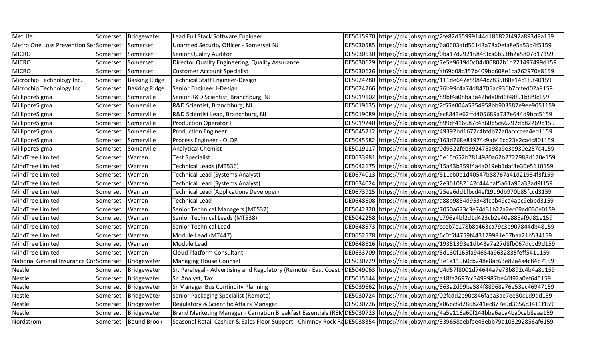| MetLife                                | Somerset | Bridgewater          | Lead Full Stack Software Engineer               | DE5015970 https://nlx.jobsyn.org/2fe82d55999144d181827f492a893d8a159                                                                   |
|----------------------------------------|----------|----------------------|-------------------------------------------------|----------------------------------------------------------------------------------------------------------------------------------------|
| Metro One Loss Prevention Ser Somerset |          | Somerset             | Unarmed Security Officer - Somerset NJ          | DE5030585 https://nlx.jobsyn.org/6a0603afd50143a78a0efa8e5a53d4f5159                                                                   |
| <b>MICRO</b>                           | Somerset | Somerset             | Senior Quality Auditor                          | DE5030630 https://nlx.jobsyn.org/0ba17d2921684f3ca6b53fb2a5807d17159                                                                   |
| <b>MICRO</b>                           | Somerset | Somerset             | Director Quality Engineering, Quality Assurance | DE5030629 https://nlx.jobsyn.org/7e5e9619d0c04d00802b1d221497499d159                                                                   |
| <b>MICRO</b>                           | Somerset | Somerset             | <b>Customer Account Specialist</b>              | DE5030626 https://nlx.jobsyn.org/af69b08c357b409bb608e1ca762970e8159                                                                   |
| Microchip Technology Inc.              | Somerset | <b>Basking Ridge</b> | Technical Staff Engineer-Design                 | DE5024280 https://nlx.jobsyn.org/111de647e59844c7835f80e14c1f9f40159                                                                   |
| Microchip Technology Inc.              | Somerset | <b>Basking Ridge</b> | Senior Engineer I-Design                        | DE5024266 https://nlx.jobsyn.org/76b99c4a74d84705ac936b7ccfed02a8159                                                                   |
| MilliporeSigma                         | Somerset | Somerville           | Senior R&D Scientist, Branchburg, NJ            | DE5019102 https://nlx.jobsyn.org/89bf4a08ba3a42bda0fd6f48f91b8f9c159                                                                   |
| MilliporeSigma                         | Somerset | Somerville           | R&D Scientist, Branchburg, NJ                   | DE5019135 https://nlx.jobsyn.org/2f55e004a5354958bb903587e9ee9051159                                                                   |
| MilliporeSigma                         | Somerset | Somerville           | R&D Scientist Lead, Branchburg, NJ              | DE5019089 https://nlx.jobsyn.org/ec8843e62ffd405689a787e644d9bcc5159                                                                   |
| MilliporeSigma                         | Somerset | Somerville           | Production Operator II                          | DE5019240 https://nlx.jobsyn.org/899df416687c4860b5c66292db82269b159                                                                   |
| MilliporeSigma                         | Somerset | Somerville           | <b>Production Engineer</b>                      | DE5045212 https://nlx.jobsyn.org/49392bd1677c4bfdb72a0accccea4ed1159                                                                   |
| MilliporeSigma                         | Somerset | Somerville           | Process Engineer - OLDP                         | DE5045582 https://nlx.jobsyn.org/163d768e81974c9ab46cb23e2ca4c801159                                                                   |
| MilliporeSigma                         | Somerset | Somerville           | <b>Analytical Chemist</b>                       | DE5019117   https://nlx.jobsyn.org/0d9322feb392475a98a9e3e930e257c4159                                                                 |
| MindTree Limited                       | Somerset | Warren               | <b>Test Specialist</b>                          | DE0633981 https://nlx.jobsyn.org/5e15f652b7814980a62b2727988d170e159                                                                   |
| MindTree Limited                       | Somerset | Warren               | Technical Leads (MT536)                         | DE5042175   https://nlx.jobsyn.org/15a43b359f4a4a019eb1daf3e30e5110159                                                                 |
| MindTree Limited                       | Somerset | Warren               | Technical Lead (Systems Analyst)                | DE0674013 https://nlx.jobsyn.org/811cb0b1d40547b88767a41d21934f3f159                                                                   |
| MindTree Limited                       | Somerset | Warren               | Technical Lead (Systems Analyst)                | DE0634024 https://nlx.jobsyn.org/2e361082142c444baf5a61a95a33ad9f159                                                                   |
| MindTree Limited                       | Somerset | Warren               | Technical Lead (Applications Developer)         | DE0673915 https://nlx.jobsyn.org/25ee6dd1fbcd4ef19d9db970b85fccd3159                                                                   |
| MindTree Limited                       | Somerset | Warren               | Technical Lead                                  | DE0648608 https://nlx.jobsyn.org/a88b9854d95348fcbb49ca4abc9ebbd3159                                                                   |
| MindTree Limited                       | Somerset | Warren               | Senior Technical Managers (MT537)               | DE5042320 https://nlx.jobsyn.org/7050a673c3e74d31b22a2ec09ad030e0159                                                                   |
| MindTree Limited                       | Somerset | Warren               | Senior Technical Leads (MT538)                  | DE5042258 https://nlx.jobsyn.org/c796a4bf2d1d423cb2e40a885af9d81e159                                                                   |
| MindTree Limited                       | Somerset | Warren               | Senior Technical Lead                           | DE0648573 https://nlx.jobsyn.org/cceb7e178b8a463ca79c3b907844db48159                                                                   |
| MindTree Limited                       | Somerset | Warren               | Module Lead (MT447)                             | DE0652578 https://nlx.jobsyn.org/6c0f5f4759f443179981e67baa21b534159                                                                   |
| MindTree Limited                       | Somerset | Warren               | Module Lead                                     | DE0648616 https://nlx.jobsyn.org/19351393e1db43a7a27d8fb067dcbd9d159                                                                   |
| MindTree Limited                       | Somerset | Warren               | <b>Cloud Platform Consultant</b>                | DE0633709 https://nlx.jobsyn.org/8d130f165fa94684a9632835feff5411159                                                                   |
| National General Insurance CorSomerset |          | Bridgewater          | Managing House Counsel                          | DE5030729 https://nlx.jobsyn.org/3e1a11060cb248a8ac63e82a4a4c84b7159                                                                   |
| Nestle                                 | Somerset | Bridgewater          |                                                 | Sr. Paralegal - Advertising and Regulatory (Remote - East Coast HDE5049063  https://nlx.jobsyn.org/d4d57f8001d74644a7e73b892c4b4a8d159 |
| Nestle                                 | Somerset | Bridgewater          | Sr. Analyst, Tax                                | DE5015144 https://nlx.jobsyn.org/a18fa2697cc3499987be46f92a0ef645159                                                                   |
| Nestle                                 | Somerset | Bridgewater          | <b>Sr Manager Bus Continuity Planning</b>       | DE5039662 https://nlx.jobsyn.org/363a2d99ba584f88968a76e53ec46947159                                                                   |
| Nestle                                 | Somerset | Bridgewater          | Senior Packaging Specialist (Remote)            | DE5030724 https://nlx.jobsyn.org/02fcdd2b90c846faba3ae7ee80c1d9dd159                                                                   |
| Nestle                                 | Somerset | Bridgewater          | Regulatory & Scientific Affairs Manager         | DE5030726 https://nlx.jobsyn.org/a06bc8d2868241ec877e0d3656c3411f159                                                                   |
| Nestle                                 | Somerset | Bridgewater          |                                                 | Brand Marketing Manager - Carnation Breakfast Essentials (REMDE5030723  https://nlx.jobsyn.org/4a5e116a60f144bba6aba4ba0cab8aaa159     |
| Nordstrom                              |          | Somerset Bound Brook |                                                 | Seasonal Retail Cashier & Sales Floor Support - Chimney Rock RaDE5038354 https://nlx.jobsyn.org/339658aebfee45ebb79a108292856af6159    |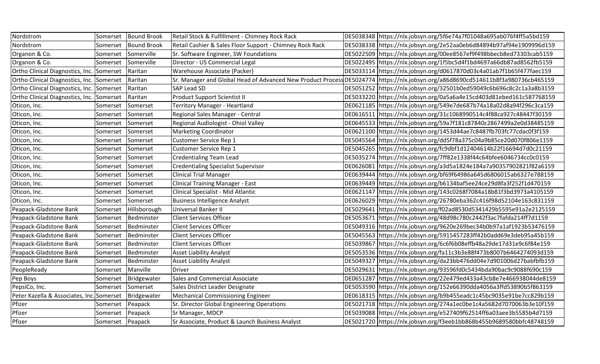| Nordstrom                                 | Somerset         | <b>Bound Brook</b> | Retail Stock & Fulfillment - Chimney Rock Rack             | DE5038348 https://nlx.jobsyn.org/5f6e74a7f01048a695ab076f4ff5a5bd159   |
|-------------------------------------------|------------------|--------------------|------------------------------------------------------------|------------------------------------------------------------------------|
| Nordstrom                                 | Somerset         | <b>Bound Brook</b> | Retail Cashier & Sales Floor Support - Chimney Rock Rack   | DE5038338 https://nlx.jobsyn.org/2e52aa0eb6d84894b97af94e1909996d159   |
| Organon & Co.                             | Somerset         | Somerville         | Sr. Software Engineer, SW Foundations                      | DE5022509 https://nlx.jobsyn.org/00ee8567ef9f498bbecb8ed73303cab5159   |
| Organon & Co.                             | Somerset         | Somerville         | Director - US Commercial Legal                             | DE5022495 https://nlx.jobsyn.org/1f5bc5d4f1bd4697a66db87ad8562fb5159   |
| Ortho Clinical Diagnostics, Inc. Somerset |                  | Raritan            | Warehouse Associate (Packer)                               | DE5033114 https://nlx.jobsyn.org/d0617870d03c4a01ab7f1b65f477faec159   |
| Ortho Clinical Diagnostics, Inc. Somerset |                  | Raritan            | Sr. Manager and Global Head of Advanced New Product Proces |                                                                        |
| Ortho Clinical Diagnostics, Inc. Somerset |                  | Raritan            | <b>SAP Lead SD</b>                                         | DE5051252 https://nlx.jobsyn.org/32501b0ed59049c6b696c8c2c1a3a8b3159   |
| Ortho Clinical Diagnostics, Inc. Somerset |                  | Raritan            | <b>Product Support Scientist II</b>                        | DE5033220 https://nlx.jobsyn.org/0a5a6a4e15cd403d81ebed161c587768159   |
| Oticon, Inc.                              | Somerset         | Somerset           | Territory Manager - Heartland                              | DE0621185 https://nlx.jobsyn.org/549e7de687b74a18a02d8a94f296c3ca159   |
| Oticon, Inc.                              | Somerset         | Somerset           | Regional Sales Manager - Central                           | DE0616511   https://nlx.jobsyn.org/31c1068990514c4f88ca927c48447f30159 |
| Oticon, Inc.                              | Somerset         | Somerset           | Regional Audiologist - Ohiol Valley                        | DE0645533 https://nlx.jobsyn.org/59a7f181c87840c2867499a2e0d38485159   |
| Oticon, Inc.                              | Somerset         | Somerset           | Marketing Coordinator                                      | DE0621100 https://nlx.jobsyn.org/1453d44ae7c8487fb703fc77cdac0f3f159   |
| Oticon, Inc.                              | Somerset         | Somerset           | Customer Service Rep 1                                     | DE5045564 https://nlx.jobsyn.org/dd5f78a375c04a9b85ce20d070f806e1159   |
| Oticon, Inc.                              | Somerset         | Somerset           | Customer Service Rep 1                                     | DE5045265 https://nlx.jobsyn.org/fc9dbf1d12404614b22f16694d7d0c21159   |
| Oticon, Inc.                              | Somerset         | Somerset           | <b>Credentialing Team Lead</b>                             | DE5035274  https://nlx.jobsyn.org/7ff82e1338f44c64bfee6046734cc0c0159  |
| Oticon, Inc.                              | Somerset         | Somerset           | <b>Credentialing Specialist Supervisor</b>                 | DE0626081 https://nlx.jobsyn.org/a3d5a1824e184a7a90357902821f82a6159   |
| Oticon, Inc.                              | Somerset         | Somerset           | <b>Clinical Trial Manager</b>                              | DE0639444 https://nlx.jobsyn.org/bf69f64986a645d6806015ab6327e788159   |
| Oticon, Inc.                              | Somerset         | Somerset           | Clinical Training Manager - East                           | DE0639449 https://nlx.jobsyn.org/b6134baf5ee24ce29d8fa3f252f1d470159   |
| Oticon, Inc.                              | Somerset         | Somerset           | Clinical Specialist - Mid Atlantic                         | DE0621147 https://nlx.jobsyn.org/143c0268f7084a18b81f3bd3973a4105159   |
| Oticon, Inc.                              | Somerset         | Somerset           | <b>Business Intelligence Analyst</b>                       | DE0626029  https://nlx.jobsyn.org/26780eba362c416f98d52104e163c831159  |
| Peapack-Gladstone Bank                    | Somerset         | Hillsborough       | Universal Banker II                                        | DE5029641 https://nlx.jobsyn.org/f02ad8530d5341429b5595e91a2e2125159   |
| Peapack-Gladstone Bank                    | Somerset         | Bedminster         | <b>Client Services Officer</b>                             | DE5053671 https://nlx.jobsyn.org/48d98c780c2442f3ac7fafda214ff7d1159   |
| Peapack-Gladstone Bank                    | Somerset         | Bedminster         | <b>Client Services Officer</b>                             | DE5049316 https://nlx.jobsyn.org/9620e269bec34b0b97a1af1923b53476159   |
| Peapack-Gladstone Bank                    | Somerset         | Bedminster         | <b>Client Services Officer</b>                             | DE5045563 https://nlx.jobsyn.org/5915457283ff42b0add69e3deb95a45b159   |
| Peapack-Gladstone Bank                    | Somerset         | Bedminster         | <b>Client Services Officer</b>                             | DE5039867 https://nlx.jobsyn.org/6c6f6b08effb48a29de17d31e9c6f84e159   |
| Peapack-Gladstone Bank                    | Somerset         | Bedminster         | <b>Asset Liability Analyst</b>                             | DE5053536 https://nlx.jobsyn.org/fa11c3b3e88f473b8007b6464274093d159   |
| Peapack-Gladstone Bank                    | Somerset         | Bedminster         | <b>Asset Liability Analyst</b>                             | DE5049327 https://nlx.jobsyn.org/da23bb476dd04e7d901006d27babfbfb159   |
| PeopleReady                               | Somerset         | Manville           | Driver                                                     | DE5029631 https://nlx.jobsyn.org/93596fd0c5434bda90bac9c9088f690c159   |
| Pep Boys                                  | Somerset         | Bridgewater        | Sales and Commercial Associate                             | DE0651287 https://nlx.jobsyn.org/22e479ed433a43cb8e7e466938044de8159   |
| PepsiCo, Inc.                             | Somerset         | Somerset           | Sales District Leader Designate                            | DE5053590 https://nlx.jobsyn.org/152e66390dda4056a3ffd53890b5f863159   |
| Peter Kazella & Associates, Inc. Somerset |                  | Bridgewater        | Mechanical Commissioning Engineer                          | DE0618315 https://nlx.jobsyn.org/b9b455eadc1c45bc9035e91be7cc829b159   |
| Pfizer                                    | Somerset         | Peapack            | Sr. Director Global Engineering Operations                 | DE5021718 https://nlx.jobsyn.org/274a1ec0be1c4a5682d7070063b3e10f159   |
| Pfizer                                    | Somerset         | Peapack            | Sr Manager, MDCP                                           | DE5039088 https://nlx.jobsyn.org/e527409f62514ff6a03aee3b5585b4d7159   |
| Pfizer                                    | Somerset Peapack |                    | Sr Associate, Product & Launch Business Analyst            | DE5021720 https://nlx.jobsyn.org/f3eeb1bb868b455b9689580bbfc48748159   |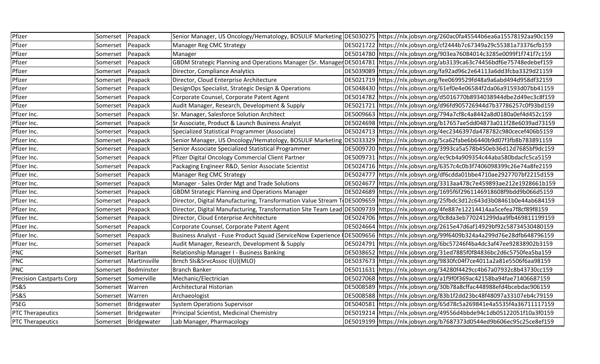| Pfizer                          | Somerset | Peapack              |                                                              | Senior Manager, US Oncology/Hematology, BOSULIF Marketing DE5030275 https://nlx.jobsyn.org/260ac0fa45544b6ea6a15578192aa90c159        |
|---------------------------------|----------|----------------------|--------------------------------------------------------------|---------------------------------------------------------------------------------------------------------------------------------------|
| Pfizer                          | Somerset | Peapack              | Manager Reg CMC Strategy                                     | DE5021722 https://nlx.jobsyn.org/cf2444b7c67349a29c55381a73376cfb159                                                                  |
| Pfizer                          | Somerset | Peapack              | Manager                                                      | DE5014780 https://nlx.jobsyn.org/903ea76084014c3285e0099f1f741f7c159                                                                  |
| Pfizer                          | Somerset | Peapack              |                                                              | GBDM Strategic Planning and Operations Manager (Sr. Manager DE5014781   https://nlx.jobsyn.org/ab3139ca63c74456bdf6e75748edebef159    |
| Pfizer                          | Somerset | Peapack              | Director, Compliance Analytics                               | DE5039089 https://nlx.jobsyn.org/fa92ad96c2e64113a6dd3fcba3329d21159                                                                  |
| Pfizer                          | Somerset | Peapack              | Director, Cloud Enterprise Architecture                      | DE5021719 https://nlx.jobsyn.org/fee0699529fd48a9a6abd494d958df32159                                                                  |
| Pfizer                          | Somerset | Peapack              | DesignOps Specialist, Strategic Design & Operations          | DE5048430 https://nlx.jobsyn.org/61ef0e4e06584f2da06a91593d07bb41159                                                                  |
| Pfizer                          | Somerset | Peapack              | Corporate Counsel, Corporate Patent Agent                    | DE5014782 https://nlx.jobsyn.org/d5016770b8934038944dbe2d49ec3c8f159                                                                  |
| Pfizer                          | Somerset | Peapack              | Audit Manager, Research, Development & Supply                | DE5021721 https://nlx.jobsyn.org/d96fd905726944d7b37786257c0f93bd159                                                                  |
| Pfizer Inc.                     | Somerset | Peapack              | Sr. Manager, Salesforce Solution Architect                   | DE5009663 https://nlx.jobsyn.org/794a7cf8c4a8442a8d0180a0ef4d452c159                                                                  |
| Pfizer Inc.                     | Somerset | Peapack              | Sr Associate, Product & Launch Business Analyst              | DE5024698 https://nlx.jobsyn.org/b17657ae5dd04873a011f28e6039ad73159                                                                  |
| Pfizer Inc.                     | Somerset | Peapack              | Specialized Statistical Programmer (Associate)               | DE5024713 https://nlx.jobsyn.org/4ec2346397da478782c980cecef406b5159                                                                  |
| Pfizer Inc.                     | Somerset | Peapack              |                                                              | Senior Manager, US Oncology/Hematology, BOSULIF Marketing DE5033329 https://nlx.jobsyn.org/5ca62fabe6b6440b9d07f3fb8b783891159        |
| Pfizer Inc.                     | Somerset | Peapack              | Senior Associate Specialized Statistical Programmer          | DE5009720 https://nlx.jobsyn.org/3993ca5a578b450eb36d12d7685bf9dc159                                                                  |
| Pfizer Inc.                     | Somerset | Peapack              | Pfizer Digital Oncology Commercial Client Partner            | DE5009731 https://nlx.jobsyn.org/ec9cb4a909354c44aba580bdacfc5ca5159                                                                  |
| Pfizer Inc.                     | Somerset | Peapack              | Packaging Engineer R&D, Senior Associate Scientist           | DE5024716 https://nlx.jobsyn.org/6357c4c0b3f7406098399c26e74a8fe2159                                                                  |
| Pfizer Inc.                     | Somerset | Peapack              | Manager Reg CMC Strategy                                     | DE5024777 https://nlx.jobsyn.org/df6cdda01bbe4710ae2927707bf2215d159                                                                  |
| Pfizer Inc.                     | Somerset | Peapack              | Manager - Sales Order Mgt and Trade Solutions                | DE5024677 https://nlx.jobsyn.org/3313aa478c7e459893ae212e1928661b159                                                                  |
| Pfizer Inc.                     | Somerset | Peapack              | <b>GBDM Strategic Planning and Operations Manager</b>        | DE5024689 https://nlx.jobsyn.org/1695f6f2961146918608f9bdd9b066d5159                                                                  |
| Pfizer Inc.                     | Somerset | Peapack              |                                                              | Director, Digital Manufacturing, Transformation Value Stream T DE5009659   https://nlx.jobsyn.org/25fbdc3d12c643d3b08461b0e44ab684159 |
| Pfizer Inc.                     | Somerset | Peapack              |                                                              | Director, Digital Manufacturing, Transformation Site Team Lead DE5009739 https://nlx.jobsyn.org/4fe887e12214414aa5cefea7f8cf89f8159   |
| Pfizer Inc.                     | Somerset | Peapack              | Director, Cloud Enterprise Architecture                      | DE5024706 https://nlx.jobsyn.org/0c8da3eb770241299daa9fb469811199159                                                                  |
| Pfizer Inc.                     | Somerset | Peapack              | Corporate Counsel, Corporate Patent Agent                    | DE5024664 https://nlx.jobsyn.org/2615e47d6af14929bf92c58734530480159                                                                  |
| Pfizer Inc.                     | Somerset | Peapack              | Business Analyst - Fuse Product Squad (ServiceNow Experience | IDE5009656 https://nlx.jobsyn.org/99f6409b324a4a299d76e28dfb648796159                                                                 |
| Pfizer Inc.                     | Somerset | Peapack              | Audit Manager, Research, Development & Supply                | DE5024791 https://nlx.jobsyn.org/6bc57246f4ba4dc3af47ee92838902b3159                                                                  |
| <b>PNC</b>                      | Somerset | Raritan              | Relationship Manager I - Business Banking                    | DE5038652 https://nlx.jobsyn.org/31ed7885f0f84836bc2d6c5750fea5ba159                                                                  |
| <b>PNC</b>                      | Somerset | Martinsville         | Brnch SIs&SrvcAssoc I(U)(MLO)                                | DE5037673 https://nlx.jobsyn.org/9830fc04f7ce4011a2a81e5506f6aa98159                                                                  |
| <b>PNC</b>                      | Somerset | Bedminster           | <b>Branch Banker</b>                                         | DE5011631 https://nlx.jobsyn.org/34280f4429cc4b67a07932c8b43730cc159                                                                  |
| <b>Precision Castparts Corp</b> | Somerset | Somerville           | Mechanic/Electrician                                         | DE5027068 https://nlx.jobsyn.org/a1f9f0f369ac42158ba94fae71406687159                                                                  |
| PS&S                            | Somerset | Warren               | Architectural Historian                                      | DE5008589 https://nlx.jobsyn.org/30b78a8cffac448988efd4bcebdac906159                                                                  |
| PS&S                            | Somerset | Warren               | Archaeologist                                                | DE5008588 https://nlx.jobsyn.org/83b1f2dd23bc48f48097a33107eb4c79159                                                                  |
| <b>PSEG</b>                     | Somerset | Bridgewater          | System Operations Supervisor                                 | DE5040581 https://nlx.jobsyn.org/65d78c5a269841e4a5535f4a36711117159                                                                  |
| PTC Therapeutics                | Somerset | Bridgewater          | Principal Scientist, Medicinal Chemistry                     | DE5019214 https://nlx.jobsyn.org/49556d4bbde94c1db05122051f10a3f0159                                                                  |
| <b>PTC Therapeutics</b>         |          | Somerset Bridgewater | Lab Manager, Pharmacology                                    | DE5019199  https://nlx.jobsyn.org/b7687373d0544ed9b606ec95c25ce8ef159                                                                 |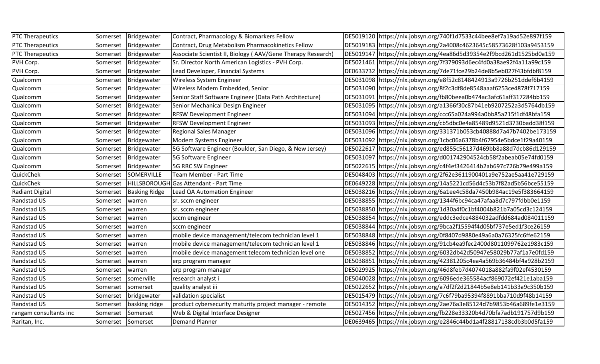| <b>PTC Therapeutics</b> | Somerset          | Bridgewater          | Contract, Pharmacology & Biomarkers Fellow                  | DE5019120 https://nlx.jobsyn.org/740f1d7533c44bee8ef7a19ad52e897f159 |
|-------------------------|-------------------|----------------------|-------------------------------------------------------------|----------------------------------------------------------------------|
| PTC Therapeutics        | Somerset          | Bridgewater          | Contract, Drug Metabolism Pharmacokinetics Fellow           | DE5019183 https://nlx.jobsyn.org/2a4008c4623645c58573628f103a9453159 |
| <b>PTC Therapeutics</b> | Somerset          | Bridgewater          | Associate Scientist II, Biology (AAV/Gene Therapy Research) | DE5019147 https://nlx.jobsyn.org/4ea86d5d39354e2f9bcd261d1525bd0a159 |
| PVH Corp.               | Somerset          | Bridgewater          | Sr. Director North American Logistics - PVH Corp.           | DE5021461 https://nlx.jobsyn.org/7f379093d6ec4fd0a38ae92f4a11a99c159 |
| PVH Corp.               | Somerset          | Bridgewater          | Lead Developer, Financial Systems                           | DE0633732 https://nlx.jobsyn.org/7de71fce29b24de8b5eb027f43bfdbf8159 |
| Qualcomm                | Somerset          | Bridgewater          | Wireless System Engineer                                    | DE5031098 https://nlx.jobsyn.org/e8f52c8148424913a9726b251ddef6b4159 |
| Qualcomm                | Somerset          | Bridgewater          | Wireless Modem Embedded, Senior                             | DE5031090 https://nlx.jobsyn.org/8f2c3df8de8548aaaf6253ce4878f717159 |
| Qualcomm                | Somerset          | Bridgewater          | Senior Staff Software Engineer (Data Path Architecture)     | DE5031091 https://nlx.jobsyn.org/fb80beea0b474ac3afc61aff317284bb159 |
| Qualcomm                | Somerset          | Bridgewater          | Senior Mechanical Design Engineer                           | DE5031095 https://nlx.jobsyn.org/a1366f30c87b41eb9207252a3d5764db159 |
| Qualcomm                | Somerset          | Bridgewater          | <b>RFSW Development Engineer</b>                            | DE5031094 https://nlx.jobsyn.org/ccc65a024a994a0bb85a215f1df48bfa159 |
| Qualcomm                | Somerset          | Bridgewater          | <b>RFSW Development Engineer</b>                            | DE5031093 https://nlx.jobsyn.org/cb5dbc0e4a85489d9521d3730badd38f159 |
| Qualcomm                | Somerset          | Bridgewater          | <b>Regional Sales Manager</b>                               | DE5031096 https://nlx.jobsyn.org/331371b053cb40888d7a47b7402be173159 |
| Qualcomm                | Somerset          | Bridgewater          | Modem Systems Engineer                                      | DE5031092 https://nlx.jobsyn.org/1cbc06a6378b4f67954e5bdce1f29a40159 |
| Qualcomm                | Somerset          | Bridgewater          | 5G Software Engineer (Boulder, San Diego, & New Jersey)     | DE5022617 https://nlx.jobsyn.org/ed855c56137d469bb8a88d7dcb86d129159 |
| Qualcomm                | Somerset          | Bridgewater          | 5G Software Engineer                                        | DE5031097 https://nlx.jobsyn.org/d001742904524cb58f2abeab05e74fd0159 |
| Qualcomm                | Somerset          | Bridgewater          | 5G RRC SW Engineer                                          | DE5022615 https://nlx.jobsyn.org/c4f4ef3426414b2ab697c726b79e499a159 |
| QuickChek               | Somerset          | SOMERVILLE           | Team Member - Part Time                                     | DE5048403 https://nlx.jobsyn.org/2f62e3611900401a9e752ae5aa41e729159 |
| QuickChek               | Somerset          |                      | HILLSBOROUGH Gas Attendant - Part Time                      | DE0649228 https://nlx.jobsyn.org/14a5221cd56d4c53b7f82ad5b56bce55159 |
| Radiant Digital         | Somerset          | <b>Basking Ridge</b> | Lead QA Automation Engineer                                 | DE5038216 https://nlx.jobsyn.org/6a1ee4c58da7450b984ac19e5f383664159 |
| Randstad US             | Somerset          | warren               | sr. sccm engineer                                           | DE5038855 https://nlx.jobsyn.org/1344f6bc94ca47afaa8d7c797fdbb0e1159 |
| Randstad US             | Somerset          | warren               | sr. sccm engineer                                           | DE5038850 https://nlx.jobsyn.org/1d30a4f0c1bf4004b821b7a05cd3c124159 |
| Randstad US             | Somerset          | warren               | sccm engineer                                               | DE5038854 https://nlx.jobsyn.org/eddc3edce4884032adfdd684ad084011159 |
| Randstad US             | Somerset          | warren               | sccm engineer                                               | DE5038844 https://nlx.jobsyn.org/9bca2f15594f4d05bf737e5ed1f3ce26159 |
| Randstad US             | Somerset          | warren               | mobile device management/telecom technician level 1         | DE5038848 https://nlx.jobsyn.org/0f8407d9880e49a6a0a76325fc6ffe62159 |
| Randstad US             | Somerset          | warren               | mobile device management/telecom technician level 1         | DE5038846 https://nlx.jobsyn.org/91cb4ea9fec2400d8011099762e1983c159 |
| Randstad US             | Somerset          | warren               | mobile device management telecom technician level one       | DE5038852 https://nlx.jobsyn.org/6032db42d50947e58029b77af1a7e0fd159 |
| Randstad US             | Somerset          | warren               | erp program manager                                         | DE5038851 https://nlx.jobsyn.org/42381205c4ea4a569b36484bf4a928b2159 |
| Randstad US             | Somerset          | warren               | erp program manager                                         | DE5029925 https://nlx.jobsyn.org/46d8feb7d4074018a882fa9f02ef4530159 |
| Randstad US             | Somerset          | somerville           | research analyst i                                          | DE5040028 https://nlx.jobsyn.org/6096ede365584acf869072ef421e1aba159 |
| Randstad US             | Somerset          | somerset             | quality analyst iii                                         | DE5022652 https://nlx.jobsyn.org/a7df2f2d21844b5e8eb141b33a9c350b159 |
| Randstad US             | Somerset          | bridgewater          | validation specialist                                       | DE5015479 https://nlx.jobsyn.org/7c6f79ba95394f8891bba710d9f48b14159 |
| Randstad US             | Somerset          | basking ridge        | product cybersecurity maturity project manager - remote     | DE5014352 https://nlx.jobsyn.org/2ae76a3e85124d7b9853b46a689fe1e3159 |
| rangam consultants inc  | Somerset          | Somerset             | Web & Digital Interface Designer                            | DE5027456 https://nlx.jobsyn.org/fb228e33320b4d70bfa7adb191757d9b159 |
| Raritan, Inc.           | Somerset Somerset |                      | Demand Planner                                              | DE0639465 https://nlx.jobsyn.org/e2846c44bd1a4f28817138cdb3b0d5fa159 |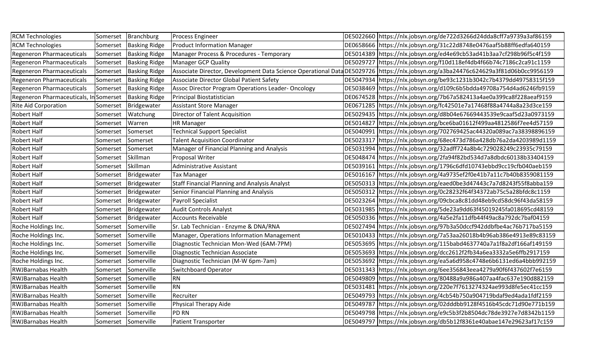| <b>RCM Technologies</b>                |                     | Somerset Branchburg  | <b>Process Engineer</b>                           | DE5022660 https://nlx.jobsyn.org/de722d3266d24dda8cff7a9739a3af86159                                                                |
|----------------------------------------|---------------------|----------------------|---------------------------------------------------|-------------------------------------------------------------------------------------------------------------------------------------|
| <b>RCM Technologies</b>                | Somerset            | <b>Basking Ridge</b> | <b>Product Information Manager</b>                | DE0658666 https://nlx.jobsyn.org/31c22d8748e0476aaf5b88ff6edfa640159                                                                |
| <b>Regeneron Pharmaceuticals</b>       | Somerset            | <b>Basking Ridge</b> | Manager Process & Procedures - Temporary          | DE5014389 https://nlx.jobsyn.org/ed4e69cb53ad41b3aa7cf298b96f5c4f159                                                                |
| <b>Regeneron Pharmaceuticals</b>       | Somerset            | <b>Basking Ridge</b> | <b>Manager GCP Quality</b>                        | DE5029727 https://nlx.jobsyn.org/f10d118ef4db4f66b74c7186c2ca91c1159                                                                |
| <b>Regeneron Pharmaceuticals</b>       | Somerset            | <b>Basking Ridge</b> |                                                   | Associate Director, Development Data Science Operational Data DE5029726  https://nlx.jobsyn.org/a3ba24476c624629a3f81d06b0cc9956159 |
| <b>Regeneron Pharmaceuticals</b>       | Somerset            | <b>Basking Ridge</b> | Associate Director Global Patient Safety          | DE5047934 https://nlx.jobsyn.org/be93c1231b3042c7b4379dd49758315f159                                                                |
| <b>Regeneron Pharmaceuticals</b>       | Somerset            | <b>Basking Ridge</b> | Assoc Director Program Operations Leader-Oncology | DE5038469 https://nlx.jobsyn.org/d109c6b5bdda49708a754d4ad6246fb9159                                                                |
| Regeneron Pharmaceuticals, In Somerset |                     | <b>Basking Ridge</b> | Principal Biostatistician                         | DE0674528 https://nlx.jobsyn.org/7b67a582413a4ae0a399ca8f228aeaf9159                                                                |
| <b>Rite Aid Corporation</b>            | Somerset            | Bridgewater          | <b>Assistant Store Manager</b>                    | DE0671285 https://nlx.jobsyn.org/fc42501e7a17468f88a4744a8a23d3ce159                                                                |
| Robert Half                            | Somerset            | Watchung             | <b>Director of Talent Acquisition</b>             | DE5029435 https://nlx.jobsyn.org/d8b04e67669443539e9caaf5d23a0973159                                                                |
| Robert Half                            | Somerset            | Warren               | <b>HR Manager</b>                                 | DE5014827 https://nlx.jobsyn.org/bce6ba01612f499aa4812586f7ee4d57159                                                                |
| Robert Half                            | Somerset            | Somerset             | <b>Technical Support Specialist</b>               | DE5040991 https://nlx.jobsyn.org/702769425ac44320a089ac7a38398896159                                                                |
| <b>Robert Half</b>                     | Somerset            | Somerset             | <b>Talent Acquisition Coordinator</b>             | DE5023317 https://nlx.jobsyn.org/68ec473d786a428db76a2da4203989d1159                                                                |
| Robert Half                            | Somerset            | Somerset             | Manager of Financial Planning and Analysis        | DE5031994 https://nlx.jobsyn.org/32adff724a8b4c729028249c23935c79159                                                                |
| Robert Half                            | Somerset            | Skillman             | Proposal Writer                                   | DE5048474 https://nlx.jobsyn.org/2fa94f82bd534d7a8dbdc60138b33404159                                                                |
| Robert Half                            | Somerset            | Skillman             | Administrative Assistant                          | DE5039161 https://nlx.jobsyn.org/1796c6dfd10743ebbd9cc19cfb040aeb159                                                                |
| Robert Half                            | Somerset            | Bridgewater          | <b>Tax Manager</b>                                | DE5016167 https://nlx.jobsyn.org/4a9735ef2f0e41b7a11c7b40b8359081159                                                                |
| Robert Half                            | Somerset            | Bridgewater          | Staff Financial Planning and Analysis Analyst     | DE5050313 https://nlx.jobsyn.org/eaed0be3d47443c7a7d8243f55f8abba159                                                                |
| Robert Half                            | Somerset            | Bridgewater          | Senior Financial Planning and Analysis            | DE5050312 https://nlx.jobsyn.org/0c28232f64f34372ab75c5a28bfdc8c1159                                                                |
| Robert Half                            | Somerset            | Bridgewater          | <b>Payroll Specialist</b>                         | DE5023264 https://nlx.jobsyn.org/09cbca8c81dd48eb9cd58dc96f43da58159                                                                |
| Robert Half                            | Somerset            | Bridgewater          | <b>Audit Controls Analyst</b>                     | DE5031985 https://nlx.jobsyn.org/5de23a9dd63f45019245fa018695cd48159                                                                |
| Robert Half                            | Somerset            | Bridgewater          | <b>Accounts Receivable</b>                        | DE5050336 https://nlx.jobsyn.org/4a5e2fa11dfb44f49ac8a792dc7baf04159                                                                |
| Roche Holdings Inc.                    | Somerset            | Somerville           | Sr. Lab Technician - Enzyme & DNA/RNA             | DE5027494 https://nlx.jobsyn.org/97b3a50dccf942ddbfbe4ac76b717ba5159                                                                |
| Roche Holdings Inc.                    | Somerset            | Somerville           | Manager, Operations Information Management        | DE5010433 https://nlx.jobsyn.org/7a53aa26018b4b96ab386e4913e89c83159                                                                |
| Roche Holdings Inc.                    | Somerset            | Somerville           | Diagnostic Technician Mon-Wed (6AM-7PM)           | DE5053695 https://nlx.jobsyn.org/115babd4637740a7a1f8a2df166af149159                                                                |
| Roche Holdings Inc.                    | Somerset            | Somerville           | Diagnostic Technician Associate                   | DE5053693 https://nlx.jobsyn.org/dcc2612f2fb34a6ea3332a5e6ffb2917159                                                                |
| Roche Holdings Inc.                    | Somerset            | Somerville           | Diagnostic Technician (M-W 6pm-7am)               | DE5053692 https://nlx.jobsyn.org/ea5a6d958c4748e6b6131ed6a4bbb992159                                                                |
| <b>RWJBarnabas Health</b>              | Somerset            | Somerville           | <b>Switchboard Operator</b>                       | DE5031343 https://nlx.jobsyn.org/6ee356843eea4279a90f6f437602f7e6159                                                                |
| <b>RWJBarnabas Health</b>              | Somerset            | Somerville           | RN <sub>.</sub>                                   | DE5049809 https://nlx.jobsyn.org/80488a9a986a407aa4fac637e190d882159                                                                |
| <b>RWJBarnabas Health</b>              | Somerset            | Somerville           | RN                                                | DE5031481 https://nlx.jobsyn.org/220e7f7613274324ae993d8fe5ec41cc159                                                                |
| <b>RWJBarnabas Health</b>              | Somerset            | Somerville           | Recruiter                                         | DE5049793 https://nlx.jobsyn.org/4cb54b750a904719bdaf9ed4ada1fdf2159                                                                |
| <b>RWJBarnabas Health</b>              | Somerset            | Somerville           | Physical Therapy Aide                             | DE5049787 https://nlx.jobsyn.org/02dddbb9128f4516b45cdc71d90e771b159                                                                |
| <b>RWJBarnabas Health</b>              | Somerset            | Somerville           | <b>PD RN</b>                                      | DE5049798 https://nlx.jobsyn.org/e9c5b3f2b8504dc78de3927e7d8342b1159                                                                |
| <b>RWJBarnabas Health</b>              | Somerset Somerville |                      | <b>Patient Transporter</b>                        | DE5049797 https://nlx.jobsyn.org/db5b12f8361e40abae147e29623af17c159                                                                |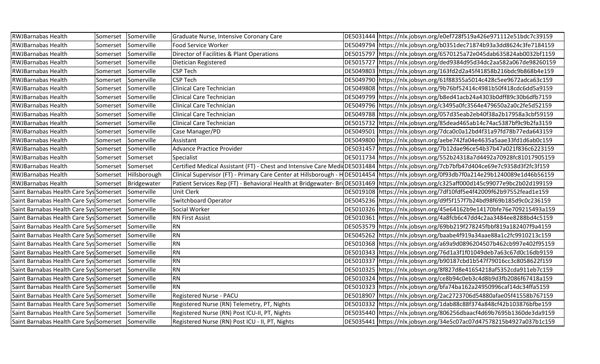| <b>RWJBarnabas Health</b>                          | Somerset | Somerville   | Graduate Nurse, Intensive Coronary Care                          | DE5031444 https://nlx.jobsyn.org/e0ef728f519a426e971112e51bdc7c39159                                                                  |
|----------------------------------------------------|----------|--------------|------------------------------------------------------------------|---------------------------------------------------------------------------------------------------------------------------------------|
| <b>RWJBarnabas Health</b>                          | Somerset | Somerville   | Food Service Worker                                              | DE5049794 https://nlx.jobsyn.org/b0351dec71874b93a3dd8624c3fe7184159                                                                  |
| <b>RWJBarnabas Health</b>                          | Somerset | Somerville   | Director of Facilities & Plant Operations                        | DE5015797 https://nlx.jobsyn.org/6570125a72e045dab635824ab0032bf1159                                                                  |
| <b>RWJBarnabas Health</b>                          | Somerset | Somerville   | Dietician Registered                                             | DE5015727 https://nlx.jobsyn.org/ded9384d95d34dc2aa582a067de98260159                                                                  |
| <b>RWJBarnabas Health</b>                          | Somerset | Somerville   | <b>CSP Tech</b>                                                  | DE5049803 https://nlx.jobsyn.org/163fd2d2a45f41858b216bdc9b868b4e159                                                                  |
| <b>RWJBarnabas Health</b>                          | Somerset | Somerville   | <b>CSP Tech</b>                                                  | DE5049790 https://nlx.jobsyn.org/61f88355a5014c428c5ee9672adca63c159                                                                  |
| <b>RWJBarnabas Health</b>                          | Somerset | Somerville   | Clinical Care Technician                                         | DE5049808 https://nlx.jobsyn.org/9b76bf52414c4981b50f418cdc6dd5a9159                                                                  |
| <b>RWJBarnabas Health</b>                          | Somerset | Somerville   | Clinical Care Technician                                         | DE5049799 https://nlx.jobsyn.org/b8ed41acb24a4303b0dff89c30b6dfb7159                                                                  |
| <b>RWJBarnabas Health</b>                          | Somerset | Somerville   | Clinical Care Technician                                         | DE5049796 https://nlx.jobsyn.org/c3495a0fc3564e479650a2a0c2fe5d52159                                                                  |
| <b>RWJBarnabas Health</b>                          | Somerset | Somerville   | Clinical Care Technician                                         | DE5049788 https://nlx.jobsyn.org/057d35eab2eb40f38a2b17958a3cbf59159                                                                  |
| <b>RWJBarnabas Health</b>                          | Somerset | Somerville   | Clinical Care Technician                                         | DE5015732 https://nlx.jobsyn.org/85dead465ab14c74ac5387bf9c9b2fa3159                                                                  |
| <b>RWJBarnabas Health</b>                          | Somerset | Somerville   | Case Manager/PD                                                  | DE5049501 https://nlx.jobsyn.org/7dca0c0a12bd4f31a97fd78b77eda643159                                                                  |
| <b>RWJBarnabas Health</b>                          | Somerset | Somerville   | Assistant                                                        | DE5049800 https://nlx.jobsyn.org/aebe742fa04e4635a5aae33fd1d6ab0c159                                                                  |
| <b>RWJBarnabas Health</b>                          | Somerset | Somerville   | Advance Practice Provider                                        | DE5031457 https://nlx.jobsyn.org/7b12dae96ce54b37b47a021f836c6223159                                                                  |
| <b>RWJBarnabas Health</b>                          | Somerset | Somerset     | Specialist                                                       | DE5011734 https://nlx.jobsyn.org/552b24318a7d4492a70928fc81017905159                                                                  |
| <b>RWJBarnabas Health</b>                          | Somerset | Somerset     |                                                                  | Certified Medical Assistant (FT) - Chest and Intensive Care MedioDE5031484 https://nlx.jobsyn.org/7cb7bfb47d404ce69e7c9358d3f2fc3f159 |
| <b>RWJBarnabas Health</b>                          | Somerset | Hillsborough | Clinical Supervisor (FT) - Primary Care Center at Hillsborough - | HOE5014454 https://nlx.jobsyn.org/0f93db7f0a214e29b1240089e1d46b56159                                                                 |
| <b>RWJBarnabas Health</b>                          | Somerset | Bridgewater  |                                                                  | Patient Services Rep (FT) - Behavioral Health at Bridgewater- BriDE5031469 https://nlx.jobsyn.org/c325aff000d145c99077e9bc2b02d199159 |
| Saint Barnabas Health Care Sys Somerset            |          | Somerville   | <b>Unit Clerk</b>                                                | DE5019108 https://nlx.jobsyn.org/7df10fdf5e4f42009f62b97552fead1e159                                                                  |
| Saint Barnabas Health Care Sys Somerset            |          | Somerville   | Switchboard Operator                                             | DE5045236 https://nlx.jobsyn.org/d9f5f157f7b24bd98f69b185d9c0c236159                                                                  |
| Saint Barnabas Health Care Sys Somerset            |          | Somerville   | Social Worker                                                    | DE5010326 https://nlx.jobsyn.org/45e64162b9e14170bfe76e709215493a159                                                                  |
| Saint Barnabas Health Care Sys Somerset            |          | Somerville   | <b>RN First Assist</b>                                           | DE5010361 https://nlx.jobsyn.org/4a8fcb6c47dd4c2aa3484ee8288bd4c5159                                                                  |
| Saint Barnabas Health Care Sys Somerset            |          | Somerville   | <b>RN</b>                                                        | DE5053579 https://nlx.jobsyn.org/69bb219f278245fbbf819a182407f9a4159                                                                  |
| Saint Barnabas Health Care Sys Somerset            |          | Somerville   | RN                                                               | DE5045262 https://nlx.jobsyn.org/baabe4f919a34aae88a1c2fc9910213c159                                                                  |
| Saint Barnabas Health Care Sys Somerset            |          | Somerville   | RN                                                               | DE5010368 https://nlx.jobsyn.org/a69a9d0896204507b462cb997e402f95159                                                                  |
| Saint Barnabas Health Care Sys Somerset            |          | Somerville   | <b>RN</b>                                                        | DE5010343 https://nlx.jobsyn.org/76d1a3f1f01049deb7a63c67d0c16db9159                                                                  |
| Saint Barnabas Health Care Sys Somerset            |          | Somerville   | <b>RN</b>                                                        | DE5010337 https://nlx.jobsyn.org/b90187cbd1b547f79016cc3c8058622f159                                                                  |
| Saint Barnabas Health Care Sys Somerset            |          | Somerville   | RN                                                               | DE5010325 https://nlx.jobsyn.org/8f827d8e41654218af5352cda911eb7c159                                                                  |
| Saint Barnabas Health Care Sys Somerset            |          | Somerville   | RN                                                               | DE5010324 https://nlx.jobsyn.org/ce8b94c0eb3c4d8b9d3fb2086f67418a159                                                                  |
| Saint Barnabas Health Care Sys Somerset            |          | Somerville   | RN                                                               | DE5010323 https://nlx.jobsyn.org/bfa74ba162a24950996caf14dc34ffa5159                                                                  |
| Saint Barnabas Health Care Sys Somerset            |          | Somerville   | Registered Nurse - PACU                                          | DE5018907 https://nlx.jobsyn.org/2ac2723706d54880afae05f41558b767159                                                                  |
| Saint Barnabas Health Care Sys Somerset            |          | Somerville   | Registered Nurse (RN) Telemetry, PT, Nights                      | DE5010332 https://nlx.jobsyn.org/1dab88c88f374a848cf42b103876bfbe159                                                                  |
| Saint Barnabas Health Care Sys Somerset            |          | Somerville   | Registered Nurse (RN) Post ICU-II, PT, Nights                    | DE5035440 https://nlx.jobsyn.org/806256dbaacf4d69b7695b1360de3da9159                                                                  |
| Saint Barnabas Health Care Sys Somerset Somerville |          |              | Registered Nurse (RN) Post ICU - II, PT, Nights                  | DE5035441 https://nlx.jobsyn.org/34e5c07ac07d47578215b4927a037b1c159                                                                  |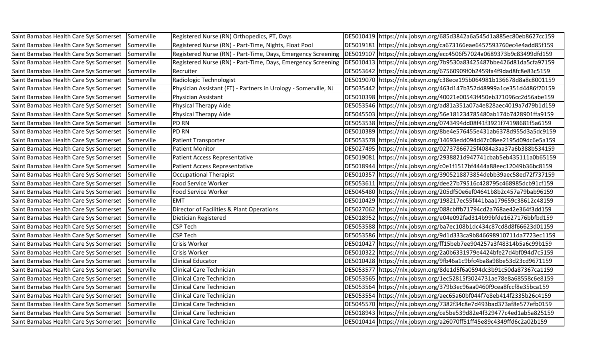| Saint Barnabas Health Care Sys Somerset Somerville   |            | Registered Nurse (RN) Orthopedics, PT, Days                     | DE5010419 https://nlx.jobsyn.org/685d3842a6a545d1a885ec80eb8627cc159 |
|------------------------------------------------------|------------|-----------------------------------------------------------------|----------------------------------------------------------------------|
| Saint Barnabas Health Care Sys Somerset              | Somerville | Registered Nurse (RN) - Part-Time, Nights, Float Pool           | DE5019181 https://nlx.jobsyn.org/ca673166eae6457593760ec4e4add85f159 |
| Saint Barnabas Health Care Sys Somerset Somerville   |            | Registered Nurse (RN) - Part-Time, Days, Emergency Screening    | DE5019107 https://nlx.jobsyn.org/ecc4506f57024a0689373b9c83499dfd159 |
| Saint Barnabas Health Care Sys Somerset Somerville   |            | Registered Nurse (RN) - Part-Time, Days, Emergency Screening    | DE5010413 https://nlx.jobsyn.org/7b9530a83425487bbe426d81da5cfa97159 |
| Saint Barnabas Health Care Sys Somerset              | Somerville | Recruiter                                                       | DE5053642 https://nlx.jobsyn.org/67560909f0b2459fa4f9dad8fc8e83c5159 |
| Saint Barnabas Health Care Sys Somerset              | Somerville | Radiologic Technologist                                         | DE5019070 https://nlx.jobsyn.org/c38ece195b064981b136678d8a8c8001159 |
| Saint Barnabas Health Care Sys Somerset              | Somerville | Physician Assistant (FT) - Partners in Urology - Somerville, NJ | DE5035442 https://nlx.jobsyn.org/463d147b352d48999a1ce351d4486f70159 |
| Saint Barnabas Health Care Sys Somerset Somerville   |            | Physician Assistant                                             | DE5010398 https://nlx.jobsyn.org/40021e00543f450eb371096cc2d56abe159 |
| Saint Barnabas Health Care Sys Somerset Somerville   |            | Physical Therapy Aide                                           | DE5053546 https://nlx.jobsyn.org/ad81a351a07a4e828aec4019a7d79b1d159 |
| Saint Barnabas Health Care Sys Somerset Somerville   |            | Physical Therapy Aide                                           | DE5045503 https://nlx.jobsyn.org/56e181234785480ab174b7428901ffa9159 |
| Saint Barnabas Health Care Sys Somerset              | Somerville | <b>IPD RN</b>                                                   | DE5053538 https://nlx.jobsyn.org/0743494dd08f41f3921f74198681f5a6159 |
| Saint Barnabas Health Care Sys Somerset              | Somerville | <b>PD RN</b>                                                    | DE5010389 https://nlx.jobsyn.org/8be4e576455e431ab6378d955d3a5dc9159 |
| Saint Barnabas Health Care Sys Somerset Somerville   |            | Patient Transporter                                             | DE5053578 https://nlx.jobsyn.org/14693edd094d47c08ee2195d09dc6e5a159 |
| Saint Barnabas Health Care Sys Somerset Somerville   |            | <b>Patient Monitor</b>                                          | DE5027495 https://nlx.jobsyn.org/02737866725f4084a3aa37a6b388b534159 |
| Saint Barnabas Health Care Sys Somerset              | Somerville | Patient Access Representative                                   | DE5019081 https://nlx.jobsyn.org/2938821d947741cbab5eb435111a0b65159 |
| Saint Barnabas Health Care Sys Somerset              | Somerville | Patient Access Representative                                   | DE5018944 https://nlx.jobsyn.org/c0e1f1517bf4444a88eec12049b36bc8159 |
| Saint Barnabas Health Care Sys Somerset              | Somerville | Occupational Therapist                                          | DE5010357 https://nlx.jobsyn.org/3905218873854debb39aec58ed72f737159 |
| Saint Barnabas Health Care Sys Somerset Somerville   |            | Food Service Worker                                             | DE5053611 https://nlx.jobsyn.org/dee27b79516c428795c468985dcb91cf159 |
| Saint Barnabas Health Care Sys Somerset Somerville   |            | Food Service Worker                                             | DE5045480 https://nlx.jobsyn.org/205df50e6ef04641b8b2c457a79bab96159 |
| Saint Barnabas Health Care Sys Somerset Somerville   |            | <b>EMT</b>                                                      | DE5010429 https://nlx.jobsyn.org/198217ec55f441baa179659c38612c48159 |
| Saint Barnabas Health Care Sys Somerset              | Somerville | Director of Facilities & Plant Operations                       | DE5027062 https://nlx.jobsyn.org/088cbffb71794cd2a768ae42e364f3dd159 |
| Saint Barnabas Health Care Sys Somerset              | Somerville | Dietician Registered                                            | DE5018952 https://nlx.jobsyn.org/e04e092fad314b99bfde1627176bbfbd159 |
| Saint Barnabas Health Care Sys Somerset Somerville   |            | CSP Tech                                                        | DE5053588 https://nlx.jobsyn.org/ba7ec108b1dc434c87cd8d8f66623d01159 |
| Saint Barnabas Health Care Sys Somerset Somerville   |            | <b>CSP Tech</b>                                                 | DE5053586 https://nlx.jobsyn.org/9d1d333ca9b846698910711da7723ec1159 |
| Saint Barnabas Health Care Sys Somerset              | Somerville | <b>Crisis Worker</b>                                            | DE5010427 https://nlx.jobsyn.org/ff15beb7ee904257a3f48314b5a6c99b159 |
| Saint Barnabas Health Care Sys Somerset              | Somerville | Crisis Worker                                                   | DE5010322 https://nlx.jobsyn.org/2a0b6331979e4424bfe27d4bf094d7c5159 |
| Saint Barnabas Health Care Sys Somerset              | Somerville | <b>Clinical Educator</b>                                        | DE5010428 https://nlx.jobsyn.org/9fb46a1c9bfc4ba8a98be53d23cd9671159 |
| Saint Barnabas Health Care Sys Somerset   Somerville |            | <b>Clinical Care Technician</b>                                 | DE5053577 https://nlx.jobsyn.org/8de1d5f6a0594dc3b91c50da87367ca1159 |
| Saint Barnabas Health Care Sys Somerset Somerville   |            | <b>Clinical Care Technician</b>                                 | DE5053565 https://nlx.jobsyn.org/1ec52815f3024731ae78e8a68558c6e8159 |
| Saint Barnabas Health Care Sys Somerset Somerville   |            | <b>Clinical Care Technician</b>                                 | DE5053564 https://nlx.jobsyn.org/379b3ec96aa0460f9cea8fccf8e35bca159 |
| Saint Barnabas Health Care Sys Somerset              | Somerville | Clinical Care Technician                                        | DE5053554 https://nlx.jobsyn.org/aec65a60bf044f7e8eb414f2335b26c4159 |
| Saint Barnabas Health Care Sys Somerset Somerville   |            | Clinical Care Technician                                        | DE5045570 https://nlx.jobsyn.org/7382f34c8e7d493bad373af8e577efb0159 |
| Saint Barnabas Health Care Sys Somerset Somerville   |            | Clinical Care Technician                                        | DE5018943 https://nlx.jobsyn.org/ce5be539d82e4f329477c4ed1ab5a825159 |
| Saint Barnabas Health Care Sys Somerset Somerville   |            | <b>Clinical Care Technician</b>                                 | DE5010414 https://nlx.jobsyn.org/a26070ff51ff45e89c4349ffd6c2a02b159 |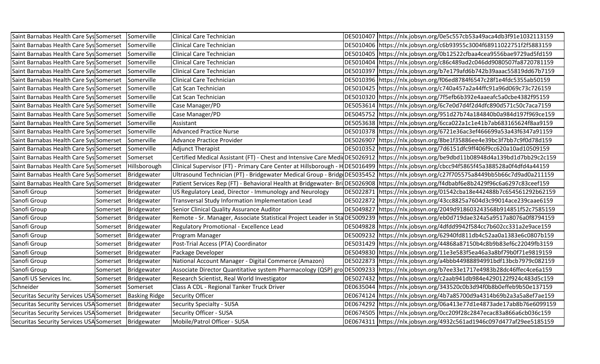| Saint Barnabas Health Care Sys Somerset                |          | Somerville           | Clinical Care Technician                                         | DE5010407 https://nlx.jobsyn.org/0e5c557cb53a49aca4db3f91e1032113159                                                                   |
|--------------------------------------------------------|----------|----------------------|------------------------------------------------------------------|----------------------------------------------------------------------------------------------------------------------------------------|
| Saint Barnabas Health Care Sys Somerset                |          | Somerville           | Clinical Care Technician                                         | DE5010406 https://nlx.jobsyn.org/c6b93955c3004f68911022751f2f5883159                                                                   |
| Saint Barnabas Health Care Sys Somerset                |          | Somerville           | Clinical Care Technician                                         | DE5010405 https://nlx.jobsyn.org/0b12522cfbaa4cea9556bae9729ad5fd159                                                                   |
| Saint Barnabas Health Care Sys Somerset                |          | Somerville           | Clinical Care Technician                                         | DE5010404 https://nlx.jobsyn.org/c86c489ad2c046dd9080507fa8720781159                                                                   |
| Saint Barnabas Health Care Sys Somerset                |          | Somerville           | <b>Clinical Care Technician</b>                                  | DE5010397 https://nlx.jobsyn.org/b7e179afd6b742b39aaac55819dd67b7159                                                                   |
| Saint Barnabas Health Care Sys Somerset                |          | Somerville           | Clinical Care Technician                                         | DE5010396 https://nlx.jobsyn.org/f06ed8784f6547c28f1e4fdc5355ab50159                                                                   |
| Saint Barnabas Health Care Sys Somerset                |          | Somerville           | Cat Scan Technician                                              | DE5010425 https://nlx.jobsyn.org/c740a457a2a44ffc91a96d069c73c726159                                                                   |
| Saint Barnabas Health Care Sys Somerset                |          | Somerville           | Cat Scan Technician                                              | DE5010320 https://nlx.jobsyn.org/7f5efb6b392e4aaeafc5a0cbe4382f95159                                                                   |
| Saint Barnabas Health Care Sys Somerset                |          | Somerville           | Case Manager/PD                                                  | DE5053614 https://nlx.jobsyn.org/6c7e0d7d4f2d4dfc890d571c50c7aca7159                                                                   |
| Saint Barnabas Health Care Sys Somerset                |          | Somerville           | Case Manager/PD                                                  | DE5045752 https://nlx.jobsyn.org/951d27b74a184840b0a984d197f969ce159                                                                   |
| Saint Barnabas Health Care Sys Somerset                |          | Somerville           | Assistant                                                        | DE5053638 https://nlx.jobsyn.org/6cca022a1c1e41b7ab683165624f8aa9159                                                                   |
| Saint Barnabas Health Care Sys Somerset                |          | Somerville           | <b>Advanced Practice Nurse</b>                                   | DE5010378 https://nlx.jobsyn.org/6721e36ac3ef466699a53a43f6347a91159                                                                   |
| Saint Barnabas Health Care Sys Somerset                |          | Somerville           | <b>Advance Practice Provider</b>                                 | DE5026907 https://nlx.jobsyn.org/8be1f35886ee4e39bc3f7bb7c9f0d78d159                                                                   |
| Saint Barnabas Health Care Sys Somerset                |          | Somerville           | <b>Adjunct Therapist</b>                                         | DE5010352 https://nlx.jobsyn.org/7d6151dfc9ff406f9cc620a10ad10509159                                                                   |
| Saint Barnabas Health Care Sys Somerset                |          | Somerset             |                                                                  | Certified Medical Assistant (FT) - Chest and Intensive Care MedioDE5026912 https://nlx.jobsyn.org/be9dbd11b08948d4a139bd1d7bb29c2c159  |
| Saint Barnabas Health Care Sys Somerset                |          | Hillsborough         | Clinical Supervisor (FT) - Primary Care Center at Hillsborough - | HDE5016499 https://nlx.jobsyn.org/cbcc94f5865f45a388528a0f4dfd4a44159                                                                  |
| Saint Barnabas Health Care Sys Somerset                |          | Bridgewater          |                                                                  | Ultrasound Technician (PT) - Bridgewater Medical Group - Bridg DE5035452 https://nlx.jobsyn.org/c27f705575a8449bb5b66c7d9ad0a211159    |
| Saint Barnabas Health Care Sys Somerset                |          | Bridgewater          |                                                                  | Patient Services Rep (FT) - Behavioral Health at Bridgewater- Bri DE5026908 https://nlx.jobsyn.org/f4dbabf6e8b2429f96c6a6297c83ceef159 |
| Sanofi Group                                           |          | Somerset Bridgewater | US Regulatory Lead, Director - Immunology and Neurology          | DE5022871 https://nlx.jobsyn.org/01542cba18e442488b7c654561292b62159                                                                   |
| Sanofi Group                                           | Somerset | Bridgewater          | Transversal Study Information Implementation Lead                | DE5022872 https://nlx.jobsyn.org/43cc8825a7604d3c99014ace239caae6159                                                                   |
| Sanofi Group                                           | Somerset | Bridgewater          | Senior Clinical Quality Assurance Auditor                        | DE5049827 https://nlx.jobsyn.org/2049d918603243568b914851f52c7585159                                                                   |
| Sanofi Group                                           | Somerset | Bridgewater          |                                                                  | Remote - Sr. Manager, Associate Statistical Project Leader in Sta DE5009239 https://nlx.jobsyn.org/eb0d719dae324a5a9517a8076a0f8794159 |
| Sanofi Group                                           | Somerset | Bridgewater          | Regulatory Promotional - Excellence Lead                         | DE5049828 https://nlx.jobsyn.org/4dfdd9942f584cc7b602cc331a2e9ace159                                                                   |
| Sanofi Group                                           |          | Somerset Bridgewater | Program Manager                                                  | DE5009232 https://nlx.jobsyn.org/62940fd811db4c52aa0a1383e6c0807b159                                                                   |
| Sanofi Group                                           | Somerset | Bridgewater          | Post-Trial Access (PTA) Coordinator                              | DE5031429   https://nlx.jobsyn.org/44868a87150b4c8b9b83ef6c22049fb3159                                                                 |
| Sanofi Group                                           | Somerset | Bridgewater          | Package Developer                                                | DE5049830 https://nlx.jobsyn.org/11e3e583f5ea46a3a8bf79b0f71e9819159                                                                   |
| Sanofi Group                                           | Somerset | Bridgewater          | National Account Manager - Digital Commerce (Amazon)             | DE5022873 https://nlx.jobsyn.org/a4bbb44988894991bdf13bcb7979c082159                                                                   |
| Sanofi Group                                           | Somerset | Bridgewater          |                                                                  | Associate Director Quantitative system Pharmacology (QSP) gro DE5009233 https://nlx.jobsyn.org/b7ee33e1717e4983b28dc46ffec4ce6a159     |
| Sanofi US Services Inc.                                |          | Somerset Bridgewater | Research Scientist, Real World Investigator                      | DE5027432 https://nlx.jobsyn.org/c2aab941db984e4290122f924c483d5c159                                                                   |
| Schneider                                              | Somerset | Somerset             | Class A CDL - Regional Tanker Truck Driver                       | DE0635044 https://nlx.jobsyn.org/343520c0b3d94f0b8b0effeb9b50e137159                                                                   |
| Securitas Security Services USA Somerset               |          | <b>Basking Ridge</b> | <b>Security Officer</b>                                          | DE0674124 https://nlx.jobsyn.org/4b7a85700d9a4314b69b2a3a5a8ef7ae159                                                                   |
| Securitas Security Services USA Somerset               |          | Bridgewater          | <b>Security Specialty - SUSA</b>                                 | DE0674292 https://nlx.jobsyn.org/06a413e77d1e4873ade17ab8b76e6099159                                                                   |
| Securitas Security Services USA Somerset   Bridgewater |          |                      | Security Officer - SUSA                                          | DE0674505 https://nlx.jobsyn.org/0cc209f28c2847ecac83a866a6cb036c159                                                                   |
| Securitas Security Services USA Somerset   Bridgewater |          |                      | Mobile/Patrol Officer - SUSA                                     | DE0674311  https://nlx.jobsyn.org/4932c561ad1946c097d477af29ee5185159                                                                  |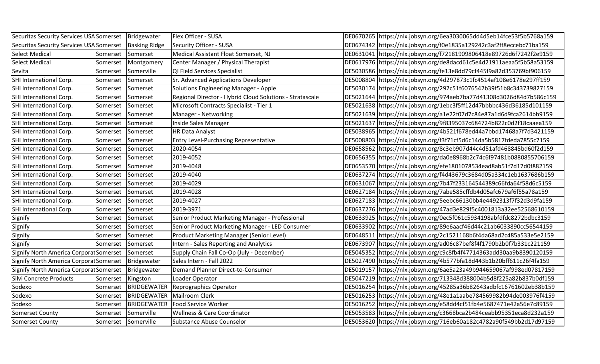| Securitas Security Services USA Somerset   Bridgewater |                     |                      | Flex Officer - SUSA                                      | DE0670265 https://nlx.jobsyn.org/6ea3030065dd4d5eb14fce53f5b5768a159   |
|--------------------------------------------------------|---------------------|----------------------|----------------------------------------------------------|------------------------------------------------------------------------|
| <b>Securitas Security Services USA Somerset</b>        |                     | <b>Basking Ridge</b> | Security Officer - SUSA                                  | DE0674342 https://nlx.jobsyn.org/f0e1835a129242c3af2ff8eccebc71ba159   |
| <b>Select Medical</b>                                  | Somerset            | Somerset             | Medical Assistant Float Somerset, NJ                     | DE0631041 https://nlx.jobsyn.org/f72181909806418e89726d6f7242f2e9159   |
| <b>Select Medical</b>                                  | Somerset            | Montgomery           | Center Manager / Physical Therapist                      | DE0617976 https://nlx.jobsyn.org/de8dacd61c5e4d21911aeaa5f5b58a53159   |
| Sevita                                                 | Somerset            | Somerville           | QI Field Services Specialist                             | DE5030586 https://nlx.jobsyn.org/fe13e8dd79cf445f9a82d353769bf906159   |
| SHI International Corp.                                | Somerset            | Somerset             | Sr. Advanced Applications Developer                      | DE5008804 https://nlx.jobsyn.org/4d297873c1fc4514af108e6178e297ff159   |
| SHI International Corp.                                | Somerset            | Somerset             | Solutions Engineering Manager - Apple                    | DE5030174 https://nlx.jobsyn.org/292c51f6076542b39f51b8c343739827159   |
| SHI International Corp.                                | Somerset            | Somerset             | Regional Director - Hybrid Cloud Solutions - Stratascale | DE5021644 https://nlx.jobsyn.org/974aeb7ba77d41308d3026d84d7b586c159   |
| SHI International Corp.                                | Somerset            | Somerset             | Microsoft Contracts Specialist - Tier 1                  | DE5021638 https://nlx.jobsyn.org/1ebc3f5ff12d47bbbbc436d36185d101159   |
| SHI International Corp.                                | Somerset            | Somerset             | Manager - Networking                                     | DE5021639 https://nlx.jobsyn.org/a1e22f07d7c84e87a1d6d9fca2614bb9159   |
| SHI International Corp.                                | Somerset            | Somerset             | Inside Sales Manager                                     | DE5021637 https://nlx.jobsyn.org/9f8395037c684724b822c0d2f18caaea159   |
| SHI International Corp.                                | Somerset            | Somerset             | <b>HR Data Analyst</b>                                   | DE5038965 https://nlx.jobsyn.org/4b521f678ed44a7bbd17468a7f7d3421159   |
| SHI International Corp.                                | Somerset            | Somerset             | <b>Entry Level-Purchasing Representative</b>             | DE5008803 https://nlx.jobsyn.org/f3f71cf5d6c14da5b5817fdeda7855c7159   |
| SHI International Corp.                                | Somerset            | Somerset             | 2020-4054                                                | DE0658562 https://nlx.jobsyn.org/8c3eb907d44c4d51afd468845bd60f2d159   |
| SHI International Corp.                                | Somerset            | Somerset             | 2019-4052                                                | DE0656355 https://nlx.jobsyn.org/da0e8968b2c74c6f97481b0880855706159   |
| SHI International Corp.                                | Somerset            | Somerset             | 2019-4048                                                | DE0653570 https://nlx.jobsyn.org/efe1801078534ead8ab51f7d17d0f882159   |
| SHI International Corp.                                | Somerset            | Somerset             | 2019-4040                                                | DE0637274 https://nlx.jobsyn.org/f4d43679c3684d05a334c1eb1637686b159   |
| SHI International Corp.                                | Somerset            | Somerset             | 2019-4029                                                | DE0631067 https://nlx.jobsyn.org/7b47f233164544389c66fda64f58d6c5159   |
| SHI International Corp.                                | Somerset            | Somerset             | 2019-4028                                                | DE0627184 https://nlx.jobsyn.org/7abe585cffdb4d05afc679af6f55a78a159   |
| SHI International Corp.                                | Somerset            | Somerset             | 2019-4027                                                | DE0627183 https://nlx.jobsyn.org/5eebc66130bb4e4492313f7f32d3d9fa159   |
| SHI International Corp.                                | Somerset            | Somerset             | 2019-3971                                                | DE0637276 https://nlx.jobsyn.org/47ad3e829f5c4001813a32ee52568610159   |
| Signify                                                | Somerset            | Somerset             | Senior Product Marketing Manager - Professional          | DE0633925 https://nlx.jobsyn.org/0ec5f061c5934198abfdfdc8272bdbc3159   |
| Signify                                                | Somerset            | Somerset             | Senior Product Marketing Manager - LED Consumer          | DE0633902 https://nlx.jobsyn.org/89e6aacf46d44c21ab6033890cc56544159   |
| Signify                                                | Somerset            | Somerset             | Product Marketing Manager (Senior Level)                 | DE0648511   https://nlx.jobsyn.org/2c1521168b6f4da68ad2c485a533e5e2159 |
| Signify                                                | Somerset            | Somerset             | Intern - Sales Reporting and Analytics                   | DE0673907 https://nlx.jobsyn.org/ad06c87bef8f4f1790b2b0f7b331c221159   |
| Signify North America Corporat Somerset                |                     | Somerset             | Supply Chain Fall Co-Op (July - December)                | DE5045352 https://nlx.jobsyn.org/c9c8fb4f47714363add30aa9b8390120159   |
| Signify North America Corporat Somerset                |                     | Bridgewater          | Sales Intern - Fall 2022                                 | DE5027490 https://nlx.jobsyn.org/4b577bfa18d443b1b20bff611c26f4fa159   |
| Signify North America Corporat Somerset                |                     | Bridgewater          | Demand Planner Direct-to-Consumer                        | DE5019157 https://nlx.jobsyn.org/6ae5a23a49b944659067af998ed07817159   |
| Silvi Concrete Products                                | Somerset   Kingston |                      | Loader Operator                                          | DE5047219 https://nlx.jobsyn.org/713348d388004b5d8f225a82b837b0df159   |
| Sodexo                                                 | Somerset            | BRIDGEWATER          | Reprographics Operator                                   | DE5016254 https://nlx.jobsyn.org/45285a36b82643adbfc16761602eb38b159   |
| Sodexo                                                 | Somerset            | <b>BRIDGEWATER</b>   | Mailroom Clerk                                           | DE5016253 https://nlx.jobsyn.org/48e1a1aabe784569982b94de003976f4159   |
| Sodexo                                                 | Somerset            | <b>BRIDGEWATER</b>   | Food Service Worker                                      | DE5016252 https://nlx.jobsyn.org/e58dd4cf51fb4e5687471e42a56e7c89159   |
| Somerset County                                        |                     | Somerset Somerville  | <b>Wellness &amp; Care Coordinator</b>                   | DE5053583 https://nlx.jobsyn.org/c3668bca2b484ceabb95351eca8d232a159   |
| <b>Somerset County</b>                                 |                     | Somerset Somerville  | Substance Abuse Counselor                                | DE5053620 https://nlx.jobsyn.org/716eb60a182c4782a90f549bb2d17d97159   |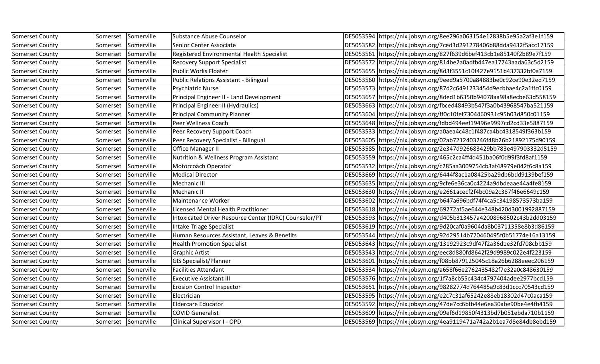| <b>Somerset County</b> | Somerset            | Somerville | Substance Abuse Counselor                              | DE5053594 https://nlx.jobsyn.org/8ee296a063154e12838b5e95a2af3e1f159   |
|------------------------|---------------------|------------|--------------------------------------------------------|------------------------------------------------------------------------|
| Somerset County        | Somerset            | Somerville | Senior Center Associate                                | DE5053582 https://nlx.jobsyn.org/7ced3d291278406b88dda9432f5acc17159   |
| Somerset County        | Somerset            | Somerville | Registered Environmental Health Specialist             | DE5053561 https://nlx.jobsyn.org/827f639d6bef413cb1e85140f2b89e7f159   |
| Somerset County        | Somerset            | Somerville | <b>Recovery Support Specialist</b>                     | DE5053572 https://nlx.jobsyn.org/814be2a0adfb447ea17743aada63c5d2159   |
| Somerset County        | Somerset            | Somerville | <b>Public Works Floater</b>                            | DE5053655 https://nlx.jobsyn.org/8d3f3551c10f427e9151b437332bf0a7159   |
| Somerset County        | Somerset            | Somerville | Public Relations Assistant - Bilingual                 | DE5053560 https://nlx.jobsyn.org/9eed9a5700a84883be0c92ce90e32ed7159   |
| Somerset County        | Somerset            | Somerville | <b>Psychiatric Nurse</b>                               | DE5053573 https://nlx.jobsyn.org/87d2c6491233454d9ecbbae4c2a1ffc0159   |
| <b>Somerset County</b> | Somerset            | Somerville | Principal Engineer II - Land Development               | DE5053657 https://nlx.jobsyn.org/8ded1b6350b94078aa98a8ecbe63d558159   |
| Somerset County        | Somerset            | Somerville | Principal Engineer II (Hydraulics)                     | DE5053663 https://nlx.jobsyn.org/fbced48493b547f3a0b43968547ba521159   |
| Somerset County        | Somerset            | Somerville | <b>Principal Community Planner</b>                     | DE5053604 https://nlx.jobsyn.org/ff0c10fef7304460931c95b03d850c01159   |
| Somerset County        | Somerset            | Somerville | Peer Wellness Coach                                    | DE5053648 https://nlx.jobsyn.org/fdbd494eef19496e9997cd2cd33e5887159   |
| Somerset County        | Somerset            | Somerville | Peer Recovery Support Coach                            | DE5053533 https://nlx.jobsyn.org/a0aea4c48c1f487ca4bc4318549f363b159   |
| Somerset County        | Somerset            | Somerville | Peer Recovery Specialist - Bilingual                   | DE5053605 https://nlx.jobsyn.org/02ab7212403246f48b26b21892175d90159   |
| Somerset County        | Somerset            | Somerville | Office Manager II                                      | DE5053585 https://nlx.jobsyn.org/2e347d926683429bb783e497903332d5159   |
| Somerset County        | Somerset            | Somerville | Nutrition & Wellness Program Assistant                 | DE5053559   https://nlx.jobsyn.org/465c2ca4ff4d451ba06f0d99f3fd8af1159 |
| Somerset County        | Somerset            | Somerville | Motorcoach Operator                                    | DE5053532 https://nlx.jobsyn.org/c285aa3009754cb3af48979e042f6c8a159   |
| Somerset County        | Somerset            | Somerville | <b>Medical Director</b>                                | DE5053669 https://nlx.jobsyn.org/6444f8ac1a08425ba29db6bdd9139bef159   |
| Somerset County        | Somerset            | Somerville | Mechanic III                                           | DE5053635 https://nlx.jobsyn.org/9cfe6e36ca0c4224a9dbdeaae44a4fe8159   |
| Somerset County        | Somerset            | Somerville | Mechanic II                                            | DE5053630 https://nlx.jobsyn.org/e2661acecf2f4bc09a2c387f46e6649c159   |
| Somerset County        | Somerset            | Somerville | Maintenance Worker                                     | DE5053602 https://nlx.jobsyn.org/b647a696bdf74f4ca5c34198573573ba159   |
| Somerset County        | Somerset            | Somerville | Licensed Mental Health Practitioner                    | DE5053618   https://nlx.jobsyn.org/69272af5ae644e348b420d3001992887159 |
| Somerset County        | Somerset            | Somerville | Intoxicated Driver Resource Center (IDRC) Counselor/PT | DE5053593 https://nlx.jobsyn.org/d405b313457a42008968502c43b2dd03159   |
| Somerset County        | Somerset            | Somerville | Intake Triage Specialist                               | DE5053619 https://nlx.jobsyn.org/9d20caf0a9604da8b03711358e8b3d86159   |
| <b>Somerset County</b> | Somerset            | Somerville | Human Resources Assistant, Leaves & Benefits           | DE5053544 https://nlx.jobsyn.org/92d29514b720460495f0b51774e16a13159   |
| Somerset County        | Somerset            | Somerville | <b>Health Promotion Specialist</b>                     | DE5053643 https://nlx.jobsyn.org/13192923c9df47f2a36d1e32fd708cbb159   |
| Somerset County        | Somerset            | Somerville | <b>Graphic Artist</b>                                  | DE5053543 https://nlx.jobsyn.org/eec8d880fd8642f29d9989c022e4f223159   |
| Somerset County        | Somerset            | Somerville | <b>GIS Specialist/Planner</b>                          | DE5053601 https://nlx.jobsyn.org/f08bb879125045c18a26b6288eeec206159   |
| Somerset County        | Somerset            | Somerville | <b>Facilities Attendant</b>                            | DE5053534 https://nlx.jobsyn.org/a658f66e2762435482f7e32a0c848630159   |
| Somerset County        | Somerset            | Somerville | <b>Executive Assistant III</b>                         | DE5053576 https://nlx.jobsyn.org/1f7a8cb55c434c4797404adee2977bcd159   |
| Somerset County        | Somerset            | Somerville | <b>Erosion Control Inspector</b>                       | DE5053651 https://nlx.jobsyn.org/98282774d764485a9c83d1ccc70543cd159   |
| Somerset County        | Somerset            | Somerville | Electrician                                            | DE5053595 https://nlx.jobsyn.org/e2c7c31af65242e88eb18302d47c0aca159   |
| Somerset County        | Somerset            | Somerville | <b>Eldercare Educator</b>                              | DE5053592 https://nlx.jobsyn.org/47de7cc6bfb44e6ea30abe90be4e4fb4159   |
| Somerset County        | Somerset Somerville |            | <b>COVID Generalist</b>                                | DE5053609  https://nlx.jobsyn.org/09ef6d19850f4313bd7b051ebda710b1159  |
| Somerset County        | Somerset Somerville |            | Clinical Supervisor I - OPD                            | DE5053569 https://nlx.jobsyn.org/4ea9119471a742a2b1ea7d8e84db8ebd159   |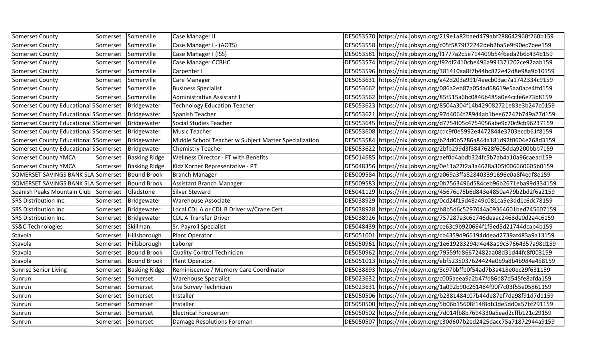| Somerset County                                     | Somerset            | Somerville            | Case Manager II                                       | DE5053570 https://nlx.jobsyn.org/219e1a82baed479abf288642960f260b159 |
|-----------------------------------------------------|---------------------|-----------------------|-------------------------------------------------------|----------------------------------------------------------------------|
| Somerset County                                     | Somerset            | Somerville            | Case Manager I - (AOTS)                               | DE5053558 https://nlx.jobsyn.org/c05f5879f72242deb2ba5e9f90ec7bee159 |
| <b>Somerset County</b>                              | Somerset Somerville |                       | Case Manager I (ISS)                                  | DE5053581 https://nlx.jobsyn.org/f1777a2c5e714409b54f6eda2b6c434b159 |
| Somerset County                                     | Somerset            | Somerville            | <b>Case Manager CCBHC</b>                             | DE5053574 https://nlx.jobsyn.org/f92df2410cbe496a991371202ce92aab159 |
| <b>Somerset County</b>                              | Somerset            | Somerville            | Carpenter I                                           | DE5053596 https://nlx.jobsyn.org/381410aa8f7b44bc822e42d8e98a9b10159 |
| <b>Somerset County</b>                              | Somerset            | Somerville            | Care Manager                                          | DE5053631 https://nlx.jobsyn.org/a42d203a991f4eecb03ac7a1742334c9159 |
| Somerset County                                     | Somerset            | Somerville            | <b>Business Specialist</b>                            | DE5053662 https://nlx.jobsyn.org/086a2eb87a054ad68619e5aa0ace4ffd159 |
| Somerset County                                     | Somerset Somerville |                       | Administrative Assistant I                            | DE5053562 https://nlx.jobsyn.org/85f515a6bc0846b485a0e4ccfe6e73b8159 |
| Somerset County Educational Somerset   Bridgewater  |                     |                       | <b>Technology Education Teacher</b>                   | DE5053623 https://nlx.jobsyn.org/8504a304f14b429082721e83e3b247c0159 |
| Somerset County Educational SSomerset   Bridgewater |                     |                       | Spanish Teacher                                       | DE5053621 https://nlx.jobsyn.org/97d4064f28944ab1bee67242b749a27d159 |
| Somerset County Educational Somerset   Bridgewater  |                     |                       | Social Studies Teacher                                | DE5053645 https://nlx.jobsyn.org/d7754f05c4754056abe9c70c9cb96237159 |
| Somerset County Educational Somerset   Bridgewater  |                     |                       | <b>Music Teacher</b>                                  | DE5053608 https://nlx.jobsyn.org/cdc9f0e5992e4472844e3703ecdb61f8159 |
| Somerset County Educational Somerset   Bridgewater  |                     |                       | Middle School Teacher w Subject Matter Specialization | DE5053584 https://nlx.jobsyn.org/b24d0b5286a844a181d92f0604e268d3159 |
| Somerset County Educational Somerset   Bridgewater  |                     |                       | <b>Chemistry Teacher</b>                              | DE5053622 https://nlx.jobsyn.org/2bfb299d3f3847628f605dda9200bbb7159 |
| <b>Somerset County YMCA</b>                         | Somerset            | <b>Basking Ridge</b>  | <b>Wellness Director - FT with Benefits</b>           | DE5014685 https://nlx.jobsyn.org/aef0d4abdb324fc5b7ab4a10a96caead159 |
| <b>Somerset County YMCA</b>                         | Somerset            | <b>Basking Ridge</b>  | Kidz Korner Representative - PT                       | DE5048356 https://nlx.jobsyn.org/0e11a27f2a3a4628a305f006660605b0159 |
| SOMERSET SAVINGS BANK SLA Somerset Bound Brook      |                     |                       | Branch Manager                                        | DE5009584 https://nlx.jobsyn.org/a069a3ffa828403391696e0a8f4edf8e159 |
| SOMERSET SAVINGS BANK SLA Somerset   Bound Brook    |                     |                       | Assistant Branch Manager                              | DE5009583 https://nlx.jobsyn.org/0b7563496d584ceb96b2671eba99d334159 |
| Spanish Peaks Mountain Club Somerset Gladstone      |                     |                       | Silver Steward                                        | DE5041129 https://nlx.jobsyn.org/45676c75b6d843e4850a479b2bd2f6a2159 |
| SRS Distribution Inc.                               | Somerset            | Bridgewater           | <b>Warehouse Associate</b>                            | DE5038929 https://nlx.jobsyn.org/0cd24f15d48a49c081ca5e3dd1c6dc78159 |
| SRS Distribution Inc.                               | Somerset            | Bridgewater           | Local CDL A or CDL B Driver w/Crane Cert              | DE5038928 https://nlx.jobsyn.org/b8b5d6c5297044a09364601bed745607159 |
| SRS Distribution Inc.                               | Somerset            | Bridgewater           | <b>CDL A Transfer Driver</b>                          | DE5038926 https://nlx.jobsyn.org/757287a3c61746deaac2468de0d2a4c6159 |
| SS&C Technologies                                   | Somerset Skillman   |                       | Sr. Payroll Specialist                                | DE5048439 https://nlx.jobsyn.org/ce63c9b920664f1f9ed5d21744dcab4b159 |
| Stavola                                             |                     | Somerset Hillsborough | Plant Operator                                        | DE5051001 https://nlx.jobsyn.org/cb4359d966194ddead2739af483a9a13159 |
| Stavola                                             | Somerset            | Hillsborough          | Laborer                                               | DE5050961 https://nlx.jobsyn.org/1e619283294d4e48a19c37664357a98d159 |
| Stavola                                             | Somerset            | <b>Bound Brook</b>    | Quality Control Technician                            | DE5050962 https://nlx.jobsyn.org/79559fd86672482aa08d31d44fc8f003159 |
| Stavola                                             | Somerset            | <b>Bound Brook</b>    | Plant Operator                                        | DE5051013 https://nlx.jobsyn.org/ebf5235037624424a0b9a8b4b984a458159 |
| <b>Sunrise Senior Living</b>                        | Somerset            | <b>Basking Ridge</b>  | Reminiscence / Memory Care Coordinator                | DE5038893 https://nlx.jobsyn.org/3c97bbffb0f54ad7b3a418e0ec29f631159 |
| Sunrun                                              | Somerset            | Somerset              | <b>Warehouse Specialist</b>                           | DE5023632 https://nlx.jobsyn.org/c005aeea9a2b47fd86d87d545fe8afda159 |
| Sunrun                                              | Somerset            | Somerset              | Site Survey Technician                                | DE5023631 https://nlx.jobsyn.org/1a092b90c261484f90f7c03f55e05861159 |
| Sunrun                                              | Somerset            | Somerset              | Installer                                             | DE5050506 https://nlx.jobsyn.org/b2381484c07b44de87ef7da98f91d7d1159 |
| Sunrun                                              | Somerset            | Somerset              | Installer                                             | DE5050500 https://nlx.jobsyn.org/5b06b15608f14f8db3de5dd0a57bf291159 |
| Sunrun                                              | Somerset Somerset   |                       | <b>Electrical Foreperson</b>                          | DE5050502 https://nlx.jobsyn.org/7d014fb8b7694330a5ead2cffb121c29159 |
| Sunrun                                              | Somerset Somerset   |                       | Damage Resolutions Foreman                            | DE5050507 https://nlx.jobsyn.org/c30d607b2ed2425dacc75a71872944a9159 |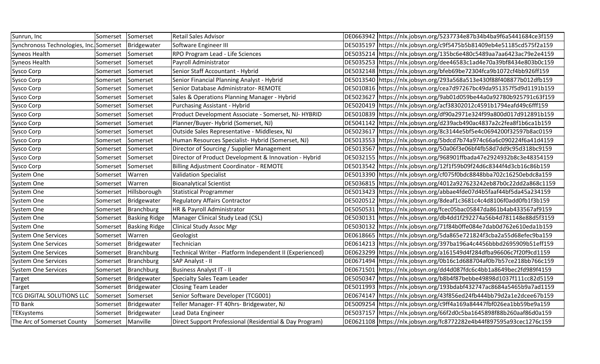| Sunrun, Inc                            | Somerset          | Somerset             | <b>Retail Sales Advisor</b>                              | DE0663942 https://nlx.jobsyn.org/5237734e87b34b4ba9f6a5441684ce3f159 |
|----------------------------------------|-------------------|----------------------|----------------------------------------------------------|----------------------------------------------------------------------|
| Synchronoss Technologies, Inc.Somerset |                   | Bridgewater          | Software Engineer III                                    | DE5035197 https://nlx.jobsyn.org/c9f5475b5b81409eb4e51185cd575f2a159 |
| Syneos Health                          | Somerset          | Somerset             | RPO Program Lead - Life Sciences                         | DE5035214 https://nlx.jobsyn.org/135bc6e480c5489aa7aa6423ac79e2e4159 |
| Syneos Health                          | Somerset          | Somerset             | Payroll Administrator                                    | DE5035253 https://nlx.jobsyn.org/dee46583c1ad4e70a39bf8434e803b0c159 |
| Sysco Corp                             | Somerset          | Somerset             | Senior Staff Accountant - Hybrid                         | DE5032148 https://nlx.jobsyn.org/bfeb69be72304fca9b1072cf4bb926ff159 |
| Sysco Corp                             | Somerset          | Somerset             | Senior Financial Planning Analyst - Hybrid               | DE5013540 https://nlx.jobsyn.org/293a568a513e430f88f408877b012dfb159 |
| Sysco Corp                             | Somerset          | Somerset             | Senior Database Administrator-REMOTE                     | DE5010816 https://nlx.jobsyn.org/cea7d97267bc49da951357f5d9d1191b159 |
| Sysco Corp                             | Somerset          | Somerset             | Sales & Operations Planning Manager - Hybrid             | DE5023627 https://nlx.jobsyn.org/9ab01d059be44a0a92780b925791c63f159 |
| Sysco Corp                             | Somerset          | Somerset             | Purchasing Assistant - Hybrid                            | DE5020419 https://nlx.jobsyn.org/acf38302012c4591b1794eafd49c6fff159 |
| Sysco Corp                             | Somerset          | Somerset             | Product Development Associate - Somerset, NJ- HYBRID     | DE5010839 https://nlx.jobsyn.org/df90a2971e324f99a800d017d912891b159 |
| Sysco Corp                             | Somerset          | Somerset             | Planner/Buyer- Hybrid (Somerset, NJ)                     | DE5041142 https://nlx.jobsyn.org/d239acb490ac4837a2c2fea8f1b6ca1b159 |
| Sysco Corp                             | Somerset          | Somerset             | Outside Sales Representative - Middlesex, NJ             | DE5023617 https://nlx.jobsyn.org/8c3144e5bf5e4c0694200f32597b8ac0159 |
| Sysco Corp                             | Somerset          | Somerset             | Human Resources Specialist- Hybrid (Somerset, NJ)        | DE5013553 https://nlx.jobsyn.org/5bdcd7b74a974c66a6c090224f6a41d4159 |
| Sysco Corp                             | Somerset          | Somerset             | Director of Sourcing / Supplier Management               | DE5013567 https://nlx.jobsyn.org/50a06f3e06bf4fb58d7dd9c95d318bc9159 |
| Sysco Corp                             | Somerset          | Somerset             | Director of Product Development & Innovation - Hybrid    | DE5032155 https://nlx.jobsyn.org/968901ffbada47e2924932b8c3e48354159 |
| Sysco Corp                             | Somerset          | Somerset             | <b>Billing Adjustment Coordinator - REMOTE</b>           | DE5013542 https://nlx.jobsyn.org/12f1f59b09f24d6c8344f4d3cb16c86b159 |
| System One                             | Somerset          | Warren               | <b>Validation Specialist</b>                             | DE5013390 https://nlx.jobsyn.org/cf075f0bdc8848bba702c16250ebdc8a159 |
| System One                             | Somerset          | Warren               | <b>Bioanalytical Scientist</b>                           | DE5036815 https://nlx.jobsyn.org/4012a927623242eb87b0c22dd2a868c1159 |
| System One                             | Somerset          | Hillsborough         | Statistical Programmer                                   | DE5013423 https://nlx.jobsyn.org/abbae4fde07d4b5faaf44bf5da45a234159 |
| System One                             | Somerset          | Bridgewater          | <b>Regulatory Affairs Contractor</b>                     | DE5020512 https://nlx.jobsyn.org/8deaf1c3681c4c4d8106f0add0fb1f3b159 |
| System One                             | Somerset          | Branchburg           | HR & Payroll Administrator                               | DE5050531 https://nlx.jobsyn.org/fcec05bac05847da861b4ab433567af9159 |
| System One                             | Somerset          | <b>Basking Ridge</b> | Manager Clinical Study Lead (CSL)                        | DE5030131 https://nlx.jobsyn.org/db4dd1f292274a56b4d781148e88d5f3159 |
| System One                             | Somerset          | <b>Basking Ridge</b> | Clinical Study Assoc Mgr                                 | DE5030132 https://nlx.jobsyn.org/71f84b0ffe084e7dab0d762e610eda1b159 |
| <b>System One Services</b>             | Somerset          | Warren               | Geologist                                                | DE0618665 https://nlx.jobsyn.org/5da865e721824f3cba2a55d68efec9ba159 |
| <b>System One Services</b>             | Somerset          | Bridgewater          | Technician                                               | DE0614213 https://nlx.jobsyn.org/397ba196a4c4456bbbd2695909b51eff159 |
| <b>System One Services</b>             | Somerset          | Branchburg           | Technical Writer - Platform Independent II (Experienced) | DE0623299 https://nlx.jobsyn.org/a161549d4f284dfba96606c7f20f9cd1159 |
| <b>System One Services</b>             | Somerset          | Branchburg           | SAP Analyst - II                                         | DE0671494 https://nlx.jobsyn.org/0b16c1d688704af0b7b57ce218bb766c159 |
| <b>System One Services</b>             | Somerset          | Branchburg           | <b>Business Analyst IT - II</b>                          | DE0671501 https://nlx.jobsyn.org/dd4d087fdc6c4bb1a8649bec2fd989f4159 |
| Target                                 | Somerset          | Bridgewater          | Specialty Sales Team Leader                              | DE5050347 https://nlx.jobsyn.org/b8b4f87bebbe49898d1037f111cc82d5159 |
| Target                                 | Somerset          | Bridgewater          | <b>Closing Team Leader</b>                               | DE5011993 https://nlx.jobsyn.org/193bdabf432747ac8684a5465b9a7ad1159 |
| TCG DIGITAL SOLUTIONS LLC              | Somerset          | Somerset             | Senior Software Developer (TCG001)                       | DE0674147 https://nlx.jobsyn.org/43f856ed24fb444bb79d2a1e2dcee67b159 |
| <b>TD Bank</b>                         | Somerset          | Bridgewater          | Teller Manager- FT 40hrs- Bridgewater, NJ                | DE5009254 https://nlx.jobsyn.org/c9ff4a169a84447fbf026ea1bb59be9a159 |
| TEKsystems                             |                   | Somerset Bridgewater | Lead Data Engineer                                       | DE5037157 https://nlx.jobsyn.org/66f2d0c5ba1645898f88b260aaf86d0a159 |
| The Arc of Somerset County             | Somerset Manville |                      | Direct Support Professional (Residential & Day Program)  | DE0621108 https://nlx.jobsyn.org/fc8772282e4b44f897595a93cec1276c159 |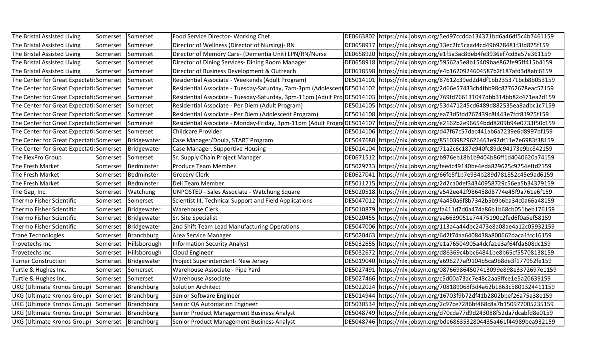| The Bristal Assisted Living                     | Somerset | Somerset     | Food Service Director- Working Chef                          | DE0663802 https://nlx.jobsyn.org/5ed97ccdda134371bd6a46df5c4b7461159                                                                |
|-------------------------------------------------|----------|--------------|--------------------------------------------------------------|-------------------------------------------------------------------------------------------------------------------------------------|
| The Bristal Assisted Living                     | Somerset | Somerset     | Director of Wellness (Director of Nursing)-RN                | DE0658917 https://nlx.jobsyn.org/33ec2fc5caad4cd49b978481f3fd875f159                                                                |
| The Bristal Assisted Living                     | Somerset | Somerset     | Director of Memory Care- (Dementia Unit) LPN/RN/Nurse        | DE0658920 https://nlx.jobsyn.org/e1f5a3ac8deb4fe3936ef7cd8a57e361159                                                                |
| The Bristal Assisted Living                     | Somerset | Somerset     | Director of Dining Services- Dining Room Manager             | DE0658918 https://nlx.jobsyn.org/59562a5e8b15409bae862fe95ff415b4159                                                                |
| The Bristal Assisted Living                     | Somerset | Somerset     | Director of Business Development & Outreach                  | DE0618598 https://nlx.jobsyn.org/e4b1620924604587b2f187afd3d8afc6159                                                                |
| The Center for Great ExpectatioSomerset         |          | Somerset     | Residential Associate - Weekends (Adult Program)             | DE5014101 https://nlx.jobsyn.org/87612c39ed2d4df1bb235371bcb8b053159                                                                |
| The Center for Great Expectati Somerset         |          | Somerset     | Residential Associate - Tuesday-Saturday, 7am-3pm (Adolescen | tDE5014102 https://nlx.jobsyn.org/2d66e57433cb4fbb98c87762678eac57159                                                               |
| The Center for Great Expectati Somerset         |          | Somerset     |                                                              | Residential Associate - Tuesday-Saturday, 3pm-11pm (Adult Pro DE5014103  https://nlx.jobsyn.org/769fd766131047dbb314bb82c471ea2d159 |
| The Center for Great Expectation Somerset       |          | Somerset     | Residential Associate - Per Diem (Adult Program)             | DE5014105 https://nlx.jobsyn.org/53d471245cd6489d882535ea8adbc1c7159                                                                |
| The Center for Great Expectati Somerset         |          | Somerset     | Residential Associate - Per Diem (Adolescent Program)        | DE5014108   https://nlx.jobsyn.org/ea73d5fdd767439c8f443e7fcf81925f159                                                              |
| The Center for Great Expectation Somerset       |          | Somerset     | Residential Associate - Monday-Friday, 3pm-11pm (Adult Progr | dDE5014107 https://nlx.jobsyn.org/e2162b2e96654bdd8209b94e0733f50c159                                                               |
| The Center for Great Expectati Somerset         |          | Somerset     | Childcare Provider                                           | DE5014106 https://nlx.jobsyn.org/d47f67c57dac441ab6a7239e6d8997bf159                                                                |
| The Center for Great Expectati Somerset         |          | Bridgewater  | Case Manager/Doula, START Program                            | DE5047680 https://nlx.jobsyn.org/851039829626463e92df11e7e6983f38159                                                                |
| The Center for Great Expectati Somerset         |          | Bridgewater  | Case Manager, Supportive Housing                             | DE5014104 https://nlx.jobsyn.org/71a2c6c187e940fc89dc94173e9bc842159                                                                |
| The FlexPro Group                               | Somerset | Somerset     | Sr. Supply Chain Project Manager                             | DE0671512 https://nlx.jobsyn.org/b976eb18b1b9404b86ff1d4040620a74159                                                                |
| The Fresh Market                                | Somerset | Bedminster   | Produce Team Member                                          | DE5029733 https://nlx.jobsyn.org/feedc49140be4eda829625c9254effd2159                                                                |
| The Fresh Market                                | Somerset | Bedminster   | Grocery Clerk                                                | DE0627041 https://nlx.jobsyn.org/66fe5f1b7e934b289d781852c45e9ad6159                                                                |
| The Fresh Market                                | Somerset | Bedminster   | Deli Team Member                                             | DE5011215 https://nlx.jobsyn.org/2d2ca0def34340958729c56ea5b34379159                                                                |
| The Gap, Inc.                                   | Somerset | Watchung     | UNPOSTED - Sales Associate - Watchung Square                 | DE5020518 https://nlx.jobsyn.org/a542ee42f986458d8774e45f9a761e6f159                                                                |
| Thermo Fisher Scientific                        | Somerset | Somerset     | Scientist III, Technical Support and Field Applications      | DE5047012 https://nlx.jobsyn.org/4a450a6f8b7342b5b9b6ba34c0a66a48159                                                                |
| Thermo Fisher Scientific                        | Somerset | Bridgewater  | <b>Warehouse Clerk</b>                                       | DE5010879 https://nlx.jobsyn.org/fa411d7d0a474a86b1b68cb051beb176159                                                                |
| Thermo Fisher Scientific                        | Somerset | Bridgewater  | Sr. Site Specialist                                          | DE5020455 https://nlx.jobsyn.org/aa6639051e74475190c2fed6f0a5ef58159                                                                |
| Thermo Fisher Scientific                        | Somerset | Bridgewater  | 2nd Shift Team Lead Manufacturing Operations                 | DE5047006 https://nlx.jobsyn.org/113a4a44dbc2473e8a08ae4a12c05932159                                                                |
| <b>Trane Technologies</b>                       | Somerset | Branchburg   | Area Service Manager                                         | DE5020463 https://nlx.jobsyn.org/6d2f74aa6408438a800662daca1fcc16159                                                                |
| Trovetechs Inc                                  | Somerset | Hillsborough | Information Security Analyst                                 | DE5032655 https://nlx.jobsyn.org/e1a76504905a4dcfa1e3af64fda608dc159                                                                |
| Trovetechs Inc                                  | Somerset | Hillsborough | Cloud Engineer                                               | DE5032672 https://nlx.jobsyn.org/d86369c4bbc64841be8b65cf55708138159                                                                |
| <b>Turner Construction</b>                      | Somerset | Bridgewater  | Project Superintendent- New Jersey                           | DE5019040 https://nlx.jobsyn.org/a696277af9104b5ca9b8de3f177952fe159                                                                |
| Turtle & Hughes Inc.                            | Somerset | Somerset     | Warehouse Associate - Pipe Yard                              | DE5027491 https://nlx.jobsyn.org/087669864507413099e898e3372697e1159                                                                |
| Turtle & Hughes Inc.                            | Somerset | Somerset     | <b>Warehouse Associate</b>                                   | DE5027466 https://nlx.jobsyn.org/c5d00a73ac7e48c2aa9ffce1e5a20639159                                                                |
| <b>UKG (Ultimate Kronos Group)</b>              | Somerset | Branchburg   | Solution Architect                                           | DE5022024 https://nlx.jobsyn.org/708189068f3d4a62b1863c5801324411159                                                                |
| <b>UKG (Ultimate Kronos Group)</b>              | Somerset | Branchburg   | Senior Software Engineer                                     | DE5014944 https://nlx.jobsyn.org/16703f9b72df41b2802bbef26a75a38e159                                                                |
| UKG (Ultimate Kronos Group) Somerset            |          | Branchburg   | Senior QA Automation Engineer                                | DE5030534 https://nlx.jobsyn.org/2c97ce7286bf468c8a7b150977005235159                                                                |
| <b>UKG (Ultimate Kronos Group)</b>              | Somerset | Branchburg   | Senior Product Management Business Analyst                   | DE5048749 https://nlx.jobsyn.org/d70cda77d9d243088f52da7dcabfd8e0159                                                                |
| UKG (Ultimate Kronos Group) Somerset Branchburg |          |              | Senior Product Management Business Analyst                   | DE5048746 https://nlx.jobsyn.org/bde6863532804435a461f44989bea932159                                                                |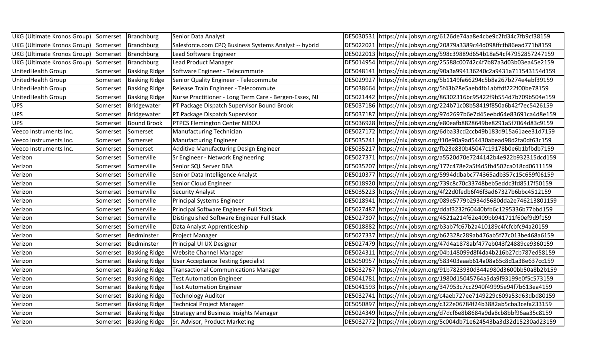| UKG (Ultimate Kronos Group) Somerset   Branchburg |          |                          | Senior Data Analyst                                    | DE5030531 https://nlx.jobsyn.org/6126de74aa8e4cbe9c2fd34c7fb9cf38159  |
|---------------------------------------------------|----------|--------------------------|--------------------------------------------------------|-----------------------------------------------------------------------|
| UKG (Ultimate Kronos Group) Somerset Branchburg   |          |                          | Salesforce.com CPQ Business Systems Analyst -- hybrid  | DE5022021 https://nlx.jobsyn.org/20879a3389c44d098ffcfb86ead771b8159  |
| UKG (Ultimate Kronos Group) Somerset   Branchburg |          |                          | Lead Software Engineer                                 | DE5022013 https://nlx.jobsyn.org/598c39889d654b18a54cf47952857247159  |
| UKG (Ultimate Kronos Group) Somerset Branchburg   |          |                          | Lead Product Manager                                   | DE5014954 https://nlx.jobsyn.org/25588c00742c4f7b87a3d03b03ea45e2159  |
| UnitedHealth Group                                | Somerset | <b>Basking Ridge</b>     | Software Engineer - Telecommute                        | DE5048141 https://nlx.jobsyn.org/90a3a994136240c2a9431a711543154d159  |
| UnitedHealth Group                                | Somerset | <b>Basking Ridge</b>     | Senior Quality Engineer - Telecommute                  | DE5029927 https://nlx.jobsyn.org/5b1149fa66294c5b8a267b274e4abf39159  |
| UnitedHealth Group                                | Somerset | <b>Basking Ridge</b>     | Release Train Engineer - Telecommute                   | DE5038664 https://nlx.jobsyn.org/5f43b28e5aeb4fb1abffdf222f00be78159  |
| UnitedHealth Group                                | Somerset | <b>Basking Ridge</b>     | Nurse Practitioner - Long Term Care - Bergen-Essex, NJ | DE5021442 https://nlx.jobsyn.org/86302316bc95422f9b554d7b709b504e159  |
| <b>UPS</b>                                        | Somerset | Bridgewater              | PT Package Dispatch Supervisor Bound Brook             | DE5037186 https://nlx.jobsyn.org/224b71c08b58419f850a6b42f7ec5426159  |
| <b>UPS</b>                                        | Somerset | Bridgewater              | PT Package Dispatch Supervisor                         | DE5037187 https://nlx.jobsyn.org/97d2697b6e7d45eebd64e83691ca4d8e159  |
| <b>UPS</b>                                        | Somerset | <b>Bound Brook</b>       | <b>PTPCS Flemington Center NJBOU</b>                   | DE5036928 https://nlx.jobsyn.org/e80eafb8828649be8291a5f7064d83c9159  |
| Veeco Instruments Inc.                            | Somerset | Somerset                 | Manufacturing Technician                               | DE5027172 https://nlx.jobsyn.org/6dba33cd2ccb49b183d915a61aee31d7159  |
| Veeco Instruments Inc.                            | Somerset | Somerset                 | <b>Manufacturing Engineer</b>                          | DE5035241 https://nlx.jobsyn.org/f10e90a9ad54430abead98d2fa0df63c159  |
| Veeco Instruments Inc.                            | Somerset | Somerset                 | Additive Manufacturing Design Engineer                 | DE5035217 https://nlx.jobsyn.org/fb23e830b45047c19178b0e6b1bfbdb7159  |
| Verizon                                           | Somerset | Somerville               | Sr Engineer - Network Engineering                      | DE5027371 https://nlx.jobsyn.org/a5520d70e7244142b4e922b932315dcd159  |
| Verizon                                           | Somerset | Somerville               | Senior SQL Server DBA                                  | DE5035207 https://nlx.jobsyn.org/177c478e2a5f4d5fb4502ca018cd0611159  |
| Verizon                                           | Somerset | Somerville               | Senior Data Intelligence Analyst                       | DE5010377 https://nlx.jobsyn.org/5994ddbabc774365adb357c15c659f06159  |
| Verizon                                           | Somerset | Somerville               | Senior Cloud Engineer                                  | DE5018920  https://nlx.jobsyn.org/739c8c70c33748beb5eddc3fd8517f50159 |
| Verizon                                           | Somerset | Somerville               | <b>Security Analyst</b>                                | DE5035223 https://nlx.jobsyn.org/4f22d0fedb6f46f3ad67327b6bbc4512159  |
| Verizon                                           | Somerset | Somerville               | Principal Systems Engineer                             | DE5018941 https://nlx.jobsyn.org/089e5779b2934d5680dda2e746213801159  |
| Verizon                                           | Somerset | Somerville               | Principal Software Engineer Full Stack                 | DE5027487 https://nlx.jobsyn.org/ddaf3232f60440bfb6c1295336b77bbd159  |
| Verizon                                           | Somerset | Somerville               | Distinguished Software Engineer Full Stack             | DE5027307 https://nlx.jobsyn.org/4521a214f62e409bb941711f60ef9d9f159  |
| Verizon                                           | Somerset | Somerville               | Data Analyst Apprenticeship                            | DE5018882 https://nlx.jobsyn.org/b3ab7fc67b2a410189c4fcfcbfc94a20159  |
| Verizon                                           | Somerset | Bedminster               | Project Manager                                        | DE5027337 https://nlx.jobsyn.org/b62328c289ab476ab5f77c013be468a6159  |
| Verizon                                           | Somerset | Bedminster               | Principal UI UX Designer                               | DE5027479 https://nlx.jobsyn.org/47d4a1878abf477eb043f24889ce9360159  |
| Verizon                                           | Somerset | <b>Basking Ridge</b>     | <b>Website Channel Manager</b>                         | DE5024311 https://nlx.jobsyn.org/04b148099d8f4da4b216b27cb787ed58159  |
| Verizon                                           | Somerset | <b>Basking Ridge</b>     | <b>User Acceptance Testing Specialist</b>              | DE5050957 https://nlx.jobsyn.org/583403aaab614a08a65c8d1a38e637cc159  |
| Verizon                                           | Somerset | <b>Basking Ridge</b>     | Transactional Communications Manager                   | DE5032767 https://nlx.jobsyn.org/91b7823930d344a980d3600bb50a8b2b159  |
| Verizon                                           | Somerset | <b>Basking Ridge</b>     | <b>Test Automation Engineer</b>                        | DE5041781 https://nlx.jobsyn.org/1980d15045764a5da9f93199e0f5c573159  |
| Verizon                                           | Somerset | <b>Basking Ridge</b>     | <b>Test Automation Engineer</b>                        | DE5041593 https://nlx.jobsyn.org/347953c7cc2940f49995e94f7b613ea4159  |
| Verizon                                           | Somerset | <b>Basking Ridge</b>     | <b>Technology Auditor</b>                              | DE5032741 https://nlx.jobsyn.org/c4aeb727ee7149229c609a53d63dbd80159  |
| Verizon                                           | Somerset | <b>Basking Ridge</b>     | Technical Project Manager                              | DE5050897 https://nlx.jobsyn.org/c322e06784f24b3882ab5cba3cefa233159  |
| Verizon                                           | Somerset | <b>Basking Ridge</b>     | <b>Strategy and Business Insights Manager</b>          | DE5024349 https://nlx.jobsyn.org/d7dcf6e8b8684a9da8cb8bbf96aa35c8159  |
| Verizon                                           |          | Somerset   Basking Ridge | Sr. Advisor, Product Marketing                         | DE5032772 https://nlx.jobsyn.org/5c004db71e624543ba3d32d15230ad23159  |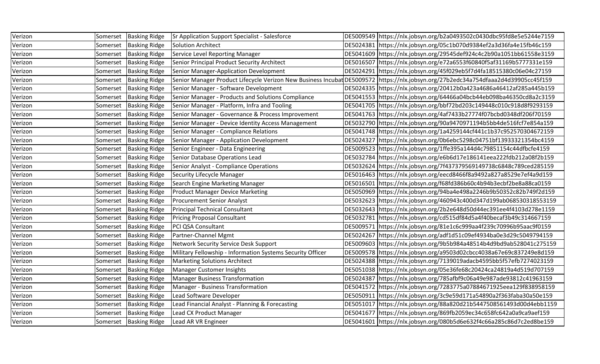| Verizon | Somerset | <b>Basking Ridge</b>     | Sr Application Support Specialist - Salesforce             | DE5009549 https://nlx.jobsyn.org/b2a0493502c0430dbc95fd8e5e5244e7159                                                                |
|---------|----------|--------------------------|------------------------------------------------------------|-------------------------------------------------------------------------------------------------------------------------------------|
| Verizon | Somerset | <b>Basking Ridge</b>     | Solution Architect                                         | DE5024381 https://nlx.jobsyn.org/05c1b070d9384ef2a3d36fa4e15fb46c159                                                                |
| Verizon | Somerset | <b>Basking Ridge</b>     | Service Level Reporting Manager                            | DE5041609 https://nlx.jobsyn.org/29545def924c4c2b90a1051bb61558e3159                                                                |
| Verizon | Somerset | <b>Basking Ridge</b>     | Senior Principal Product Security Architect                | DE5016507 https://nlx.jobsyn.org/e72a6553f60840f5af31169b5777331e159                                                                |
| Verizon | Somerset | <b>Basking Ridge</b>     | Senior Manager-Application Development                     | DE5024291 https://nlx.jobsyn.org/45f029eb5f7d4fa18515380c06e04c27159                                                                |
| Verizon | Somerset | <b>Basking Ridge</b>     |                                                            | Senior Manager Product Lifecycle Verizon New Business Incubat DE5009572  https://nlx.jobsyn.org/27b2edc34a754dfaaa2d4d39905cc45f159 |
| Verizon | Somerset | <b>Basking Ridge</b>     | Senior Manager - Software Development                      | DE5024335 https://nlx.jobsyn.org/20412b0a423a4686a46412af285a445b159                                                                |
| Verizon | Somerset | <b>Basking Ridge</b>     | Senior Manager - Products and Solutions Compliance         | DE5041553 https://nlx.jobsyn.org/64466a04bcb44eb098ba46350cd8a2c3159                                                                |
| Verizon | Somerset | <b>Basking Ridge</b>     | Senior Manager - Platform, Infra and Tooling               | DE5041705 https://nlx.jobsyn.org/bbf72bd203c149448c010c918d8f9293159                                                                |
| Verizon | Somerset | <b>Basking Ridge</b>     | Senior Manager - Governance & Process Improvement          | DE5041763 https://nlx.jobsyn.org/4af7433b27774f07bcbd0348df206f70159                                                                |
| Verizon | Somerset | <b>Basking Ridge</b>     | Senior Manager - Device Identity Access Management         | DE5032790 https://nlx.jobsyn.org/90a9470971194b5bb4de516fcf7e854a159                                                                |
| Verizon | Somerset | <b>Basking Ridge</b>     | Senior Manager - Compliance Relations                      | DE5041748 https://nlx.jobsyn.org/1a4259144cf441c1b37c952570304672159                                                                |
| Verizon | Somerset | <b>Basking Ridge</b>     | Senior Manager - Application Development                   | DE5024327 https://nlx.jobsyn.org/0b6ebc5298c04751bf13933321354bc4159                                                                |
| Verizon | Somerset | <b>Basking Ridge</b>     | Senior Engineer - Data Engineering                         | DE5009523 https://nlx.jobsyn.org/1ffe395a144d4c79851154c44dfbcfe4159                                                                |
| Verizon | Somerset | <b>Basking Ridge</b>     | Senior Database Operations Lead                            | DE5032784 https://nlx.jobsyn.org/e6b6d17e186141eea222fdb212a08f2b159                                                                |
| Verizon | Somerset | <b>Basking Ridge</b>     | Senior Analyst - Compliance Operations                     | DE5032624 https://nlx.jobsyn.org/7f437379569149738c6848c789ced285159                                                                |
| Verizon | Somerset | <b>Basking Ridge</b>     | Security Lifecycle Manager                                 | DE5016463 https://nlx.jobsyn.org/eecd8466f8a9492a827a8529e7ef4a9d159                                                                |
| Verizon | Somerset | <b>Basking Ridge</b>     | Search Engine Marketing Manager                            | DE5016501 https://nlx.jobsyn.org/f68fd386b60c4b94b3ecbf2be8a88ca0159                                                                |
| Verizon | Somerset | <b>Basking Ridge</b>     | <b>Product Manager Device Marketing</b>                    | DE5050969 https://nlx.jobsyn.org/94ba4e498a2246b9b50352c82b749f2d159                                                                |
| Verizon | Somerset | <b>Basking Ridge</b>     | <b>Procurement Senior Analyst</b>                          | DE5032623 https://nlx.jobsyn.org/460943c400d347d199ab068530318553159                                                                |
| Verizon | Somerset | <b>Basking Ridge</b>     | Principal Technical Consultant                             | DE5032643 https://nlx.jobsyn.org/2b2e648d50d44ec391ee4f4103d278e1159                                                                |
| Verizon | Somerset | <b>Basking Ridge</b>     | <b>Pricing Proposal Consultant</b>                         | DE5032781 https://nlx.jobsyn.org/cd515df84d5a4f40becaf3b49c314667159                                                                |
| Verizon | Somerset | <b>Basking Ridge</b>     | PCI QSA Consultant                                         | DE5009571 https://nlx.jobsyn.org/81e1c6c999aa4f239c70996b95aac9f0159                                                                |
| Verizon | Somerset | <b>Basking Ridge</b>     | Partner-Channel Mgmt                                       | DE5024267 https://nlx.jobsyn.org/adf1d51c09ef4934ba0e3d29c5049794159                                                                |
| Verizon | Somerset | <b>Basking Ridge</b>     | Network Security Service Desk Support                      | DE5009603 https://nlx.jobsyn.org/9b5b984a48514b4d9bd9ab528041c275159                                                                |
| Verizon | Somerset | <b>Basking Ridge</b>     | Military Fellowship - Information Systems Security Officer | DE5009578 https://nlx.jobsyn.org/a9503d02cbcc4038a67e69c837249e8d159                                                                |
| Verizon | Somerset | <b>Basking Ridge</b>     | Marketing Solutions Architect                              | DE5024388 https://nlx.jobsyn.org/7139019adacb4595bb5f57efb7274023159                                                                |
| Verizon | Somerset | <b>Basking Ridge</b>     | Manager Customer Insights                                  | DE5051038 https://nlx.jobsyn.org/05e36fe68c20424ca24819a4d519d707159                                                                |
| Verizon | Somerset | <b>Basking Ridge</b>     | Manager Business Transformation                            | DE5024387 https://nlx.jobsyn.org/785afbf9c06a49e987ade93812c41963159                                                                |
| Verizon | Somerset | <b>Basking Ridge</b>     | Manager - Business Transformation                          | DE5041572 https://nlx.jobsyn.org/7283775a07884671925eea129f838958159                                                                |
| Verizon | Somerset | <b>Basking Ridge</b>     | Lead Software Developer                                    | DE5050911 https://nlx.jobsyn.org/3c9e59d171a54890a2f363faba30a50e159                                                                |
| Verizon | Somerset | <b>Basking Ridge</b>     | Lead Financial Analyst - Planning & Forecasting            | DE5051017 https://nlx.jobsyn.org/88a820d21b5447508561493d00d4ebb1159                                                                |
| Verizon | Somerset | <b>Basking Ridge</b>     | Lead CX Product Manager                                    | DE5041677 https://nlx.jobsyn.org/869fb2059ec34c658fc642a0a9ca9aef159                                                                |
| Verizon |          | Somerset   Basking Ridge | Lead AR VR Engineer                                        | DE5041601 https://nlx.jobsyn.org/080b5d6e632f4c66a285c86d7c2ed8be159                                                                |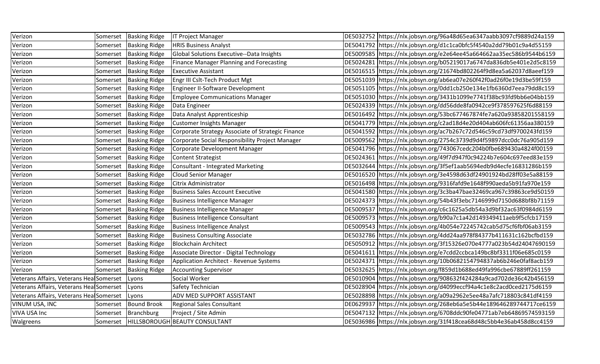| Verizon                                 | Somerset | <b>Basking Ridge</b> | <b>IT Project Manager</b>                         | DE5032752 https://nlx.jobsyn.org/96a48d65ea6347aabb3097cf9889d24a159  |
|-----------------------------------------|----------|----------------------|---------------------------------------------------|-----------------------------------------------------------------------|
| Verizon                                 | Somerset | <b>Basking Ridge</b> | <b>HRIS Business Analyst</b>                      | DE5041792 https://nlx.jobsyn.org/d1c1ca0bfc5f4540a2dd79b01c9a4d55159  |
| Verizon                                 | Somerset | <b>Basking Ridge</b> | Global Solutions Executive--Data Insights         | DE5009585 https://nlx.jobsyn.org/e2e64ee45a664662aa35ec586b9544b6159  |
| Verizon                                 | Somerset | <b>Basking Ridge</b> | Finance Manager Planning and Forecasting          | DE5024281 https://nlx.jobsyn.org/b05219017a6747da836db5e401e2d5c8159  |
| Verizon                                 | Somerset | <b>Basking Ridge</b> | <b>Executive Assistant</b>                        | DE5016515  https://nlx.jobsyn.org/21674bd802264f9d8ea5a62037d8aeef159 |
| Verizon                                 | Somerset | <b>Basking Ridge</b> | Engr III Cslt-Tech Product Mgt                    | DE5051039 https://nlx.jobsyn.org/ab6ea07e260f42f0ad26f0e19d3be59f159  |
| Verizon                                 | Somerset | <b>Basking Ridge</b> | Engineer II-Software Development                  | DE5051105 https://nlx.jobsyn.org/0dd1cb250e134e1fb6360d7eea79dd8c159  |
| Verizon                                 | Somerset | <b>Basking Ridge</b> | <b>Employee Communications Manager</b>            | DE5051030 https://nlx.jobsyn.org/3431b1099e7741f38bc93fd9bb6e04bb159  |
| Verizon                                 | Somerset | <b>Basking Ridge</b> | Data Engineer                                     | DE5024339 https://nlx.jobsyn.org/dd56dde8fa0942ce9f378597625f6d88159  |
| Verizon                                 | Somerset | <b>Basking Ridge</b> | Data Analyst Apprenticeship                       | DE5016492 https://nlx.jobsyn.org/53bc677467874fe7a620a93858201558159  |
| Verizon                                 | Somerset | <b>Basking Ridge</b> | Customer Insights Manager                         | DE5041779 https://nlx.jobsyn.org/c2ad18d4e20d404ab606fc61356aa380159  |
| Verizon                                 | Somerset | <b>Basking Ridge</b> | Corporate Strategy Associate of Strategic Finance | DE5041592 https://nlx.jobsyn.org/ac7b267c72d546c59cd73df9700243fd159  |
| Verizon                                 | Somerset | <b>Basking Ridge</b> | Corporate Social Responsibility Project Manager   | DE5009562 https://nlx.jobsyn.org/2754c3739d9d4f59897dcc0dc76a905d159  |
| Verizon                                 | Somerset | <b>Basking Ridge</b> | Corporate Development Manager                     | DE5041796 https://nlx.jobsyn.org/743067cedc204b0fbe689430a4824f00159  |
| Verizon                                 | Somerset | <b>Basking Ridge</b> | <b>Content Strategist</b>                         | DE5024361 https://nlx.jobsyn.org/49f7d947f0c94224b7e604c697eed83e159  |
| Verizon                                 | Somerset | <b>Basking Ridge</b> | <b>Consultant - Integrated Marketing</b>          | DE5032644 https://nlx.jobsyn.org/3f5ef1aab5694edb9d4ecfe16831286b159  |
| Verizon                                 | Somerset | <b>Basking Ridge</b> | Cloud Senior Manager                              | DE5016520 https://nlx.jobsyn.org/3e4598d63df24901924bd28ff03e5a88159  |
| Verizon                                 | Somerset | <b>Basking Ridge</b> | Citrix Administrator                              | DE5016498 https://nlx.jobsyn.org/9316fafd9e1648f990aeda5b91fa970e159  |
| Verizon                                 | Somerset | <b>Basking Ridge</b> | Business Sales Account Executive                  | DE5041580 https://nlx.jobsyn.org/3c3ba47bae32469ca967c39863ce9d50159  |
| Verizon                                 | Somerset | <b>Basking Ridge</b> | Business Intelligence Manager                     | DE5024373 https://nlx.jobsyn.org/54b43f3ebc7146999d7150d688bf8b71159  |
| Verizon                                 | Somerset | <b>Basking Ridge</b> | Business Intelligence Manager                     | DE5009537 https://nlx.jobsyn.org/c6c1625a5db54a3d9bf32ac63f0984d6159  |
| Verizon                                 | Somerset | <b>Basking Ridge</b> | <b>Business Intelligence Consultant</b>           | DE5009573 https://nlx.jobsyn.org/b90a7c1a42d149349411aeb9f5cfcb17159  |
| Verizon                                 | Somerset | <b>Basking Ridge</b> | <b>Business Intelligence Analyst</b>              | DE5009543 https://nlx.jobsyn.org/4b054e72245742cab5d75cf6fbf06ab3159  |
| Verizon                                 | Somerset | <b>Basking Ridge</b> | <b>Business Consulting Associate</b>              | DE5032786 https://nlx.jobsyn.org/4dd24aa978f84377b411631c162bcfbd159  |
| Verizon                                 | Somerset | <b>Basking Ridge</b> | <b>Blockchain Architect</b>                       | DE5050912 https://nlx.jobsyn.org/3f15326e070e4777a023b54d24047690159  |
| Verizon                                 | Somerset | <b>Basking Ridge</b> | Associate Director - Digital Technology           | DE5041611 https://nlx.jobsyn.org/e7cdd2ccbca149bc8bf3311f06e685c0159  |
| Verizon                                 | Somerset | <b>Basking Ridge</b> | Application Architect - Revenue Systems           | DE5024371 https://nlx.jobsyn.org/10b0682154794837ab6b246e0faf8acb159  |
| Verizon                                 | Somerset | <b>Basking Ridge</b> | <b>Accounting Supervisor</b>                      | DE5032625 https://nlx.jobsyn.org/f859d1b688ed49fa996cbe67889ff261159  |
| Veterans Affairs, Veterans Hea Somerset |          | Lyons                | Social Worker                                     | DE5010904 https://nlx.jobsyn.org/908632f424284a9cad702de36c42b456159  |
| Veterans Affairs, Veterans HealSomerset |          | Lyons                | Safety Technician                                 | DE5028904 https://nlx.jobsyn.org/d4099eccf94a4c1e8c2acd0ced2175d6159  |
| Veterans Affairs, Veterans Hea Somerset |          | Lyons                | ADV MED SUPPORT ASSISTANT                         | DE5028898 https://nlx.jobsyn.org/a09a2962e5ee48a7afc718803c841df4159  |
| VINUM USA, INC                          | Somerset | <b>Bound Brook</b>   | Regional Sales Consultant                         | DE0629937 https://nlx.jobsyn.org/268eb6a5e5b44e189646289744717ce6159  |
| VIVA USA Inc                            | Somerset | Branchburg           | Project / Site Admin                              | DE5047132 https://nlx.jobsyn.org/6708ddc90fe04771ab7eb64869574593159  |
| Walgreens                               |          |                      | Somerset  HILLSBOROUGH BEAUTY CONSULTANT          | DE5036986 https://nlx.jobsyn.org/31f418cea68d48c5bb4e36ab458d8cc4159  |